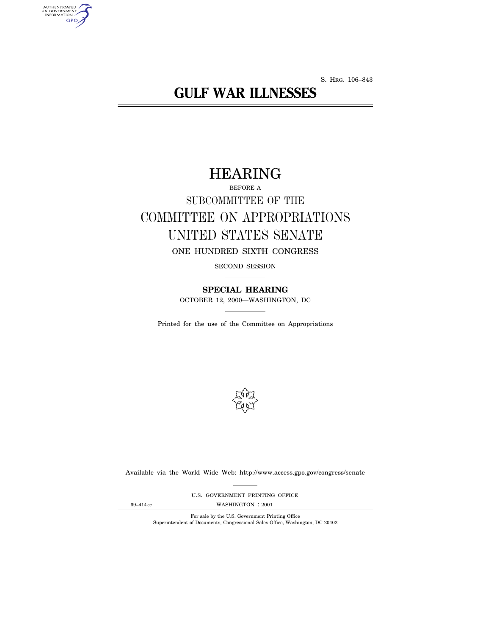S. HRG. 106–843

# **GULF WAR ILLNESSES**

# HEARING

# BEFORE A SUBCOMMITTEE OF THE COMMITTEE ON APPROPRIATIONS UNITED STATES SENATE ONE HUNDRED SIXTH CONGRESS

SECOND SESSION

**SPECIAL HEARING** OCTOBER 12, 2000—WASHINGTON, DC

Printed for the use of the Committee on Appropriations



Available via the World Wide Web: http://www.access.gpo.gov/congress/senate

U.S. GOVERNMENT PRINTING OFFICE

AUTHENTICATED<br>U.S. GOVERNMENT<br>INFORMATION **GPO** 

69–414 cc WASHINGTON : 2001

For sale by the U.S. Government Printing Office Superintendent of Documents, Congressional Sales Office, Washington, DC 20402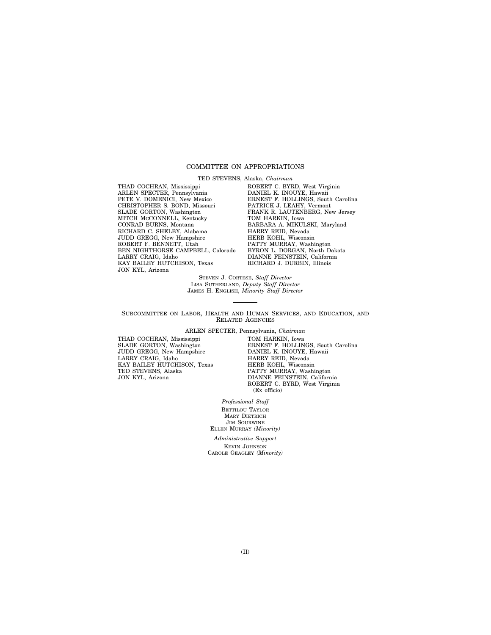# COMMITTEE ON APPROPRIATIONS

TED STEVENS, Alaska, *Chairman*

THAD COCHRAN, Mississippi ARLEN SPECTER, Pennsylvania PETE V. DOMENICI, New Mexico CHRISTOPHER S. BOND, Missouri SLADE GORTON, Washington MITCH MCCONNELL, Kentucky CONRAD BURNS, Montana RICHARD C. SHELBY, Alabama JUDD GREGG, New Hampshire ROBERT F. BENNETT, Utah BEN NIGHTHORSE CAMPBELL, Colorado LARRY CRAIG, Idaho KAY BAILEY HUTCHISON, Texas JON KYL, Arizona

ROBERT C. BYRD, West Virginia DANIEL K. INOUYE, Hawaii ERNEST F. HOLLINGS, South Carolina PATRICK J. LEAHY, Vermont FRANK R. LAUTENBERG, New Jersey TOM HARKIN, Iowa BARBARA A. MIKULSKI, Maryland HARRY REID, Nevada HERB KOHL, Wisconsin PATTY MURRAY, Washington BYRON L. DORGAN, North Dakota DIANNE FEINSTEIN, California RICHARD J. DURBIN, Illinois

STEVEN J. CORTESE, *Staff Director* LISA SUTHERLAND, *Deputy Staff Director* JAMES H. ENGLISH, *Minority Staff Director*

SUBCOMMITTEE ON LABOR, HEALTH AND HUMAN SERVICES, AND EDUCATION, AND RELATED AGENCIES

ARLEN SPECTER, Pennsylvania, *Chairman*

THAD COCHRAN, Mississippi SLADE GORTON, Washington JUDD GREGG, New Hampshire LARRY CRAIG, Idaho KAY BAILEY HUTCHISON, Texas TED STEVENS, Alaska JON KYL, Arizona

TOM HARKIN, Iowa ERNEST F. HOLLINGS, South Carolina DANIEL K. INOUYE, Hawaii HARRY REID, Nevada HERB KOHL, Wisconsin PATTY MURRAY, Washington DIANNE FEINSTEIN, California ROBERT C. BYRD, West Virginia (Ex officio)

*Professional Staff* BETTILOU TAYLOR MARY DIETRICH JIM SOURWINE ELLEN MURRAY *(Minority)*

*Administrative Support* KEVIN JOHNSON CAROLE GEAGLEY *(Minority)*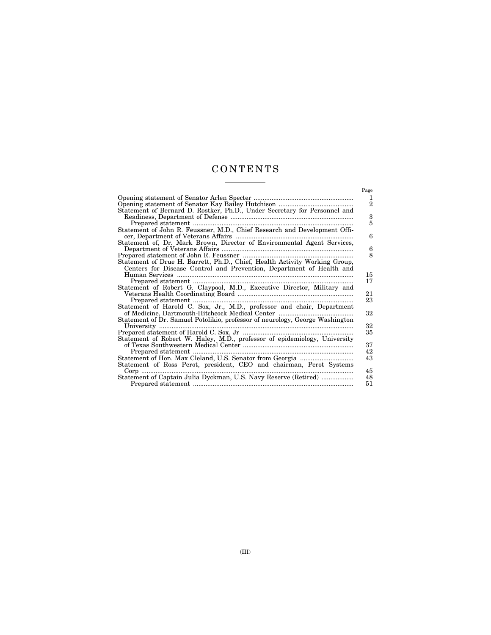# CONTENTS  $\frac{1}{\sqrt{2\pi}}\left( \frac{1}{\sqrt{2\pi}}\right) \left( \frac{1}{\sqrt{2\pi}}\right) \left( \frac{1}{\sqrt{2\pi}}\right) \left( \frac{1}{\sqrt{2\pi}}\right) \left( \frac{1}{\sqrt{2\pi}}\right) \left( \frac{1}{\sqrt{2\pi}}\right) \left( \frac{1}{\sqrt{2\pi}}\right) \left( \frac{1}{\sqrt{2\pi}}\right) \left( \frac{1}{\sqrt{2\pi}}\right) \left( \frac{1}{\sqrt{2\pi}}\right) \left( \frac{1}{\sqrt{2\pi}}\right) \left( \frac{1}{\sqrt$

| Page<br>1<br>$\overline{2}$<br>Statement of Bernard D. Rostker, Ph.D., Under Secretary for Personnel and<br>3<br>5 |
|--------------------------------------------------------------------------------------------------------------------|
|                                                                                                                    |
|                                                                                                                    |
|                                                                                                                    |
|                                                                                                                    |
|                                                                                                                    |
| Statement of John R. Feussner, M.D., Chief Research and Development Offi-                                          |
| 6                                                                                                                  |
| Statement of, Dr. Mark Brown, Director of Environmental Agent Services,                                            |
| 6                                                                                                                  |
| 8                                                                                                                  |
| Statement of Drue H. Barrett, Ph.D., Chief, Health Activity Working Group,                                         |
| Centers for Disease Control and Prevention, Department of Health and                                               |
| 15                                                                                                                 |
| 17                                                                                                                 |
| Statement of Robert G. Claypool, M.D., Executive Director, Military and                                            |
| 21                                                                                                                 |
| 23                                                                                                                 |
| Statement of Harold C. Sox, Jr., M.D., professor and chair, Department                                             |
| 32                                                                                                                 |
| Statement of Dr. Samuel Potolikio, professor of neurology, George Washington                                       |
| 32<br>University                                                                                                   |
| 35                                                                                                                 |
| Statement of Robert W. Haley, M.D., professor of epidemiology, University                                          |
| 37<br>42                                                                                                           |
| 43                                                                                                                 |
| Statement of Ross Perot, president, CEO and chairman, Perot Systems                                                |
| 45<br>Corp                                                                                                         |
| Statement of Captain Julia Dyckman, U.S. Navy Reserve (Retired)<br>48                                              |
| 51                                                                                                                 |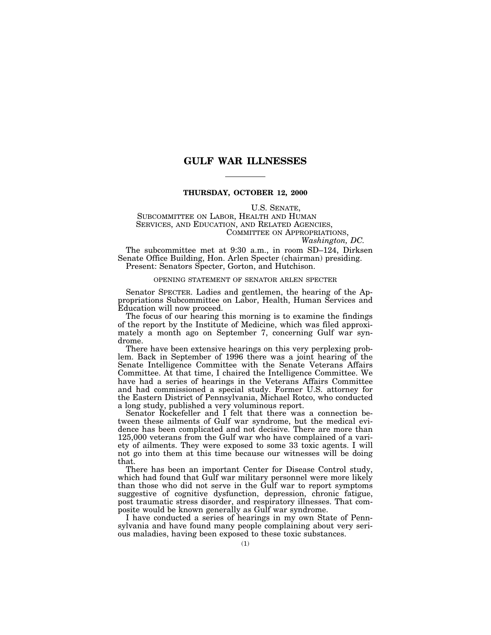# **GULF WAR ILLNESSES**

# **THURSDAY, OCTOBER 12, 2000**

U.S. SENATE, SUBCOMMITTEE ON LABOR, HEALTH AND HUMAN SERVICES, AND EDUCATION, AND RELATED AGENCIES, COMMITTEE ON APPROPRIATIONS, *Washington, DC.*

The subcommittee met at 9:30 a.m., in room SD–124, Dirksen Senate Office Building, Hon. Arlen Specter (chairman) presiding. Present: Senators Specter, Gorton, and Hutchison.

#### OPENING STATEMENT OF SENATOR ARLEN SPECTER

Senator SPECTER. Ladies and gentlemen, the hearing of the Appropriations Subcommittee on Labor, Health, Human Services and Education will now proceed.

The focus of our hearing this morning is to examine the findings of the report by the Institute of Medicine, which was filed approximately a month ago on September 7, concerning Gulf war syndrome.

There have been extensive hearings on this very perplexing problem. Back in September of 1996 there was a joint hearing of the Senate Intelligence Committee with the Senate Veterans Affairs Committee. At that time, I chaired the Intelligence Committee. We have had a series of hearings in the Veterans Affairs Committee and had commissioned a special study. Former U.S. attorney for the Eastern District of Pennsylvania, Michael Rotco, who conducted a long study, published a very voluminous report.

Senator Rockefeller and I felt that there was a connection between these ailments of Gulf war syndrome, but the medical evidence has been complicated and not decisive. There are more than 125,000 veterans from the Gulf war who have complained of a variety of ailments. They were exposed to some 33 toxic agents. I will not go into them at this time because our witnesses will be doing that.

There has been an important Center for Disease Control study, which had found that Gulf war military personnel were more likely than those who did not serve in the Gulf war to report symptoms suggestive of cognitive dysfunction, depression, chronic fatigue, post traumatic stress disorder, and respiratory illnesses. That composite would be known generally as Gulf war syndrome.

I have conducted a series of hearings in my own State of Pennsylvania and have found many people complaining about very serious maladies, having been exposed to these toxic substances.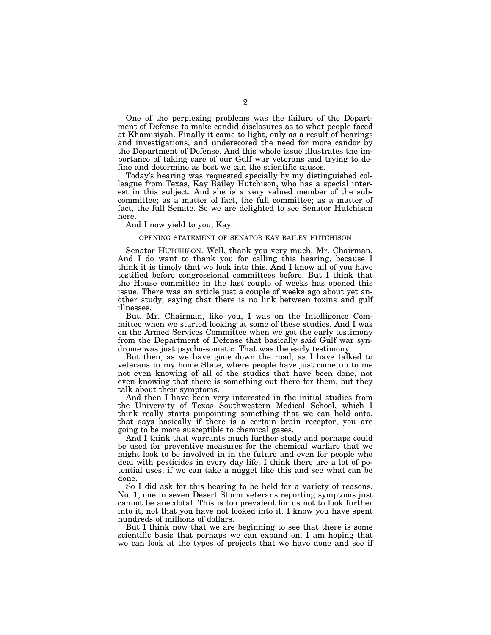One of the perplexing problems was the failure of the Department of Defense to make candid disclosures as to what people faced at Khamisiyah. Finally it came to light, only as a result of hearings and investigations, and underscored the need for more candor by the Department of Defense. And this whole issue illustrates the importance of taking care of our Gulf war veterans and trying to define and determine as best we can the scientific causes.

Today's hearing was requested specially by my distinguished colleague from Texas, Kay Bailey Hutchison, who has a special interest in this subject. And she is a very valued member of the subcommittee; as a matter of fact, the full committee; as a matter of fact, the full Senate. So we are delighted to see Senator Hutchison here.

# And I now yield to you, Kay.

# OPENING STATEMENT OF SENATOR KAY BAILEY HUTCHISON

Senator HUTCHISON. Well, thank you very much, Mr. Chairman. And I do want to thank you for calling this hearing, because I think it is timely that we look into this. And I know all of you have testified before congressional committees before. But I think that the House committee in the last couple of weeks has opened this issue. There was an article just a couple of weeks ago about yet another study, saying that there is no link between toxins and gulf illnesses.

But, Mr. Chairman, like you, I was on the Intelligence Committee when we started looking at some of these studies. And I was on the Armed Services Committee when we got the early testimony from the Department of Defense that basically said Gulf war syndrome was just psycho-somatic. That was the early testimony.

But then, as we have gone down the road, as I have talked to veterans in my home State, where people have just come up to me not even knowing of all of the studies that have been done, not even knowing that there is something out there for them, but they talk about their symptoms.

And then I have been very interested in the initial studies from the University of Texas Southwestern Medical School, which I think really starts pinpointing something that we can hold onto, that says basically if there is a certain brain receptor, you are going to be more susceptible to chemical gases.

And I think that warrants much further study and perhaps could be used for preventive measures for the chemical warfare that we might look to be involved in in the future and even for people who deal with pesticides in every day life. I think there are a lot of potential uses, if we can take a nugget like this and see what can be done.

So I did ask for this hearing to be held for a variety of reasons. No. 1, one in seven Desert Storm veterans reporting symptoms just cannot be anecdotal. This is too prevalent for us not to look further into it, not that you have not looked into it. I know you have spent hundreds of millions of dollars.

But I think now that we are beginning to see that there is some scientific basis that perhaps we can expand on, I am hoping that we can look at the types of projects that we have done and see if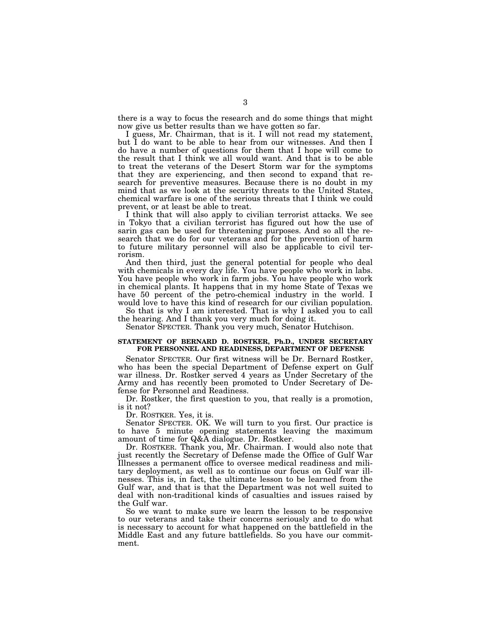there is a way to focus the research and do some things that might now give us better results than we have gotten so far.

I guess, Mr. Chairman, that is it. I will not read my statement, but I do want to be able to hear from our witnesses. And then I do have a number of questions for them that I hope will come to the result that I think we all would want. And that is to be able to treat the veterans of the Desert Storm war for the symptoms that they are experiencing, and then second to expand that research for preventive measures. Because there is no doubt in my mind that as we look at the security threats to the United States, chemical warfare is one of the serious threats that I think we could prevent, or at least be able to treat.

I think that will also apply to civilian terrorist attacks. We see in Tokyo that a civilian terrorist has figured out how the use of sarin gas can be used for threatening purposes. And so all the research that we do for our veterans and for the prevention of harm to future military personnel will also be applicable to civil terrorism.

And then third, just the general potential for people who deal with chemicals in every day life. You have people who work in labs. You have people who work in farm jobs. You have people who work in chemical plants. It happens that in my home State of Texas we have 50 percent of the petro-chemical industry in the world. I would love to have this kind of research for our civilian population.

So that is why I am interested. That is why I asked you to call the hearing. And I thank you very much for doing it.

Senator SPECTER. Thank you very much, Senator Hutchison.

# **STATEMENT OF BERNARD D. ROSTKER, Ph.D., UNDER SECRETARY FOR PERSONNEL AND READINESS, DEPARTMENT OF DEFENSE**

Senator SPECTER. Our first witness will be Dr. Bernard Rostker, who has been the special Department of Defense expert on Gulf war illness. Dr. Rostker served 4 years as Under Secretary of the Army and has recently been promoted to Under Secretary of Defense for Personnel and Readiness.

Dr. Rostker, the first question to you, that really is a promotion, is it not?

Dr. ROSTKER. Yes, it is.

Senator SPECTER. OK. We will turn to you first. Our practice is to have 5 minute opening statements leaving the maximum amount of time for Q&A dialogue. Dr. Rostker.

Dr. ROSTKER. Thank you, Mr. Chairman. I would also note that just recently the Secretary of Defense made the Office of Gulf War Illnesses a permanent office to oversee medical readiness and military deployment, as well as to continue our focus on Gulf war illnesses. This is, in fact, the ultimate lesson to be learned from the Gulf war, and that is that the Department was not well suited to deal with non-traditional kinds of casualties and issues raised by the Gulf war.

So we want to make sure we learn the lesson to be responsive to our veterans and take their concerns seriously and to do what is necessary to account for what happened on the battlefield in the Middle East and any future battlefields. So you have our commitment.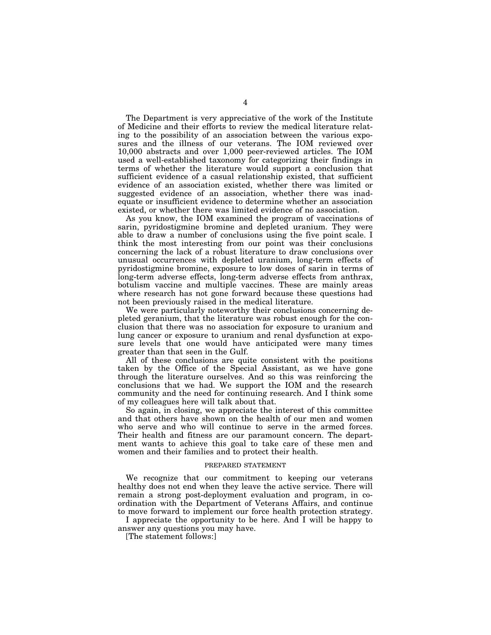The Department is very appreciative of the work of the Institute of Medicine and their efforts to review the medical literature relating to the possibility of an association between the various exposures and the illness of our veterans. The IOM reviewed over 10,000 abstracts and over 1,000 peer-reviewed articles. The IOM used a well-established taxonomy for categorizing their findings in terms of whether the literature would support a conclusion that sufficient evidence of a casual relationship existed, that sufficient evidence of an association existed, whether there was limited or suggested evidence of an association, whether there was inadequate or insufficient evidence to determine whether an association existed, or whether there was limited evidence of no association.

As you know, the IOM examined the program of vaccinations of sarin, pyridostigmine bromine and depleted uranium. They were able to draw a number of conclusions using the five point scale. I think the most interesting from our point was their conclusions concerning the lack of a robust literature to draw conclusions over unusual occurrences with depleted uranium, long-term effects of pyridostigmine bromine, exposure to low doses of sarin in terms of long-term adverse effects, long-term adverse effects from anthrax, botulism vaccine and multiple vaccines. These are mainly areas where research has not gone forward because these questions had not been previously raised in the medical literature.

We were particularly noteworthy their conclusions concerning depleted geranium, that the literature was robust enough for the conclusion that there was no association for exposure to uranium and lung cancer or exposure to uranium and renal dysfunction at exposure levels that one would have anticipated were many times greater than that seen in the Gulf.

All of these conclusions are quite consistent with the positions taken by the Office of the Special Assistant, as we have gone through the literature ourselves. And so this was reinforcing the conclusions that we had. We support the IOM and the research community and the need for continuing research. And I think some of my colleagues here will talk about that.

So again, in closing, we appreciate the interest of this committee and that others have shown on the health of our men and women who serve and who will continue to serve in the armed forces. Their health and fitness are our paramount concern. The department wants to achieve this goal to take care of these men and women and their families and to protect their health.

# PREPARED STATEMENT

We recognize that our commitment to keeping our veterans healthy does not end when they leave the active service. There will remain a strong post-deployment evaluation and program, in coordination with the Department of Veterans Affairs, and continue to move forward to implement our force health protection strategy.

I appreciate the opportunity to be here. And I will be happy to answer any questions you may have.

[The statement follows:]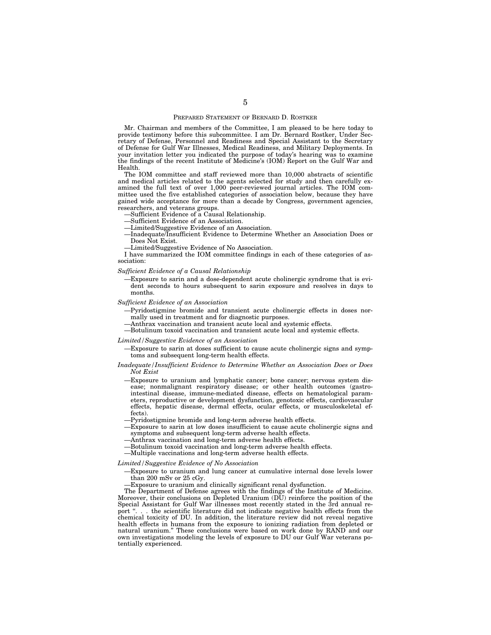## PREPARED STATEMENT OF BERNARD D. ROSTKER

Mr. Chairman and members of the Committee, I am pleased to be here today to provide testimony before this subcommittee. I am Dr. Bernard Rostker, Under Secretary of Defense, Personnel and Readiness and Special Assistant to the Secretary of Defense for Gulf War Illnesses, Medical Readiness, and Military Deployments. In your invitation letter you indicated the purpose of today's hearing was to examine the findings of the recent Institute of Medicine's (IOM) Report on the Gulf War and Health.

The IOM committee and staff reviewed more than 10,000 abstracts of scientific and medical articles related to the agents selected for study and then carefully examined the full text of over 1,000 peer-reviewed journal articles. The IOM committee used the five established categories of association below, because they have gained wide acceptance for more than a decade by Congress, government agencies, researchers, and veterans groups.

- —Sufficient Evidence of a Causal Relationship.
- —Sufficient Evidence of an Association.
- —Limited/Suggestive Evidence of an Association.
- —Inadequate/Insufficient Evidence to Determine Whether an Association Does or Does Not Exist.
- —Limited/Suggestive Evidence of No Association.

I have summarized the IOM committee findings in each of these categories of association:

#### *Sufficient Evidence of a Causal Relationship*

—Exposure to sarin and a dose-dependent acute cholinergic syndrome that is evident seconds to hours subsequent to sarin exposure and resolves in days to months.

#### *Sufficient Evidence of an Association*

- —Pyridostigmine bromide and transient acute cholinergic effects in doses normally used in treatment and for diagnostic purposes.
	- —Anthrax vaccination and transient acute local and systemic effects.
- —Botulinum toxoid vaccination and transient acute local and systemic effects.

#### *Limited/Suggestive Evidence of an Association*

—Exposure to sarin at doses sufficient to cause acute cholinergic signs and symptoms and subsequent long-term health effects.

#### *Inadequate/Insufficient Evidence to Determine Whether an Association Does or Does Not Exist*

- —Exposure to uranium and lymphatic cancer; bone cancer; nervous system disease; nonmalignant respiratory disease; or other health outcomes (gastrointestinal disease, immune-mediated disease, effects on hematological parameters, reproductive or development dysfunction, genotoxic effects, cardiovascular effects, hepatic disease, dermal effects, ocular effects, or musculoskeletal effects).
- —Pyridostigmine bromide and long-term adverse health effects.
- —Exposure to sarin at low doses insufficient to cause acute cholinergic signs and symptoms and subsequent long-term adverse health effects.
- —Anthrax vaccination and long-term adverse health effects.
- —Botulinum toxoid vaccination and long-term adverse health effects.
- —Multiple vaccinations and long-term adverse health effects.

#### *Limited/Suggestive Evidence of No Association*

- —Exposure to uranium and lung cancer at cumulative internal dose levels lower than 200 mSv or 25 cGy.
	- —Exposure to uranium and clinically significant renal dysfunction.

The Department of Defense agrees with the findings of the Institute of Medicine. Moreover, their conclusions on Depleted Uranium (DU) reinforce the position of the Special Assistant for Gulf War illnesses most recently stated in the 3rd annual report ". . . the scientific literature did not indicate negative health effects from the chemical toxicity of DU. In addition, the literature review did not reveal negative health effects in humans from the exposure to ionizing radiation from depleted or natural uranium.'' These conclusions were based on work done by RAND and our own investigations modeling the levels of exposure to DU our Gulf War veterans potentially experienced.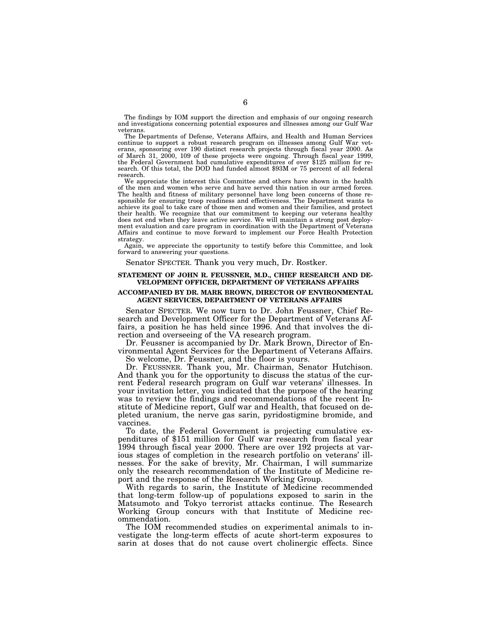The findings by IOM support the direction and emphasis of our ongoing research and investigations concerning potential exposures and illnesses among our Gulf War veterans.

The Departments of Defense, Veterans Affairs, and Health and Human Services continue to support a robust research program on illnesses among Gulf War veterans, sponsoring over 190 distinct research projects through fiscal year 2000. As of March 31, 2000, 109 of these projects were ongoing. Through fiscal year 1999, the Federal Government had cumulative expenditures of over \$125 million for research. Of this total, the DOD had funded almost \$93M or 75 percent of all federal research.

We appreciate the interest this Committee and others have shown in the health of the men and women who serve and have served this nation in our armed forces. The health and fitness of military personnel have long been concerns of those responsible for ensuring troop readiness and effectiveness. The Department wants to achieve its goal to take care of those men and women and their families, and protect their health. We recognize that our commitment to keeping our veterans healthy does not end when they leave active service. We will maintain a strong post deployment evaluation and care program in coordination with the Department of Veterans Affairs and continue to move forward to implement our Force Health Protection strategy.

Again, we appreciate the opportunity to testify before this Committee, and look forward to answering your questions.

Senator SPECTER. Thank you very much, Dr. Rostker.

# **STATEMENT OF JOHN R. FEUSSNER, M.D., CHIEF RESEARCH AND DE-VELOPMENT OFFICER, DEPARTMENT OF VETERANS AFFAIRS**

# **ACCOMPANIED BY DR. MARK BROWN, DIRECTOR OF ENVIRONMENTAL AGENT SERVICES, DEPARTMENT OF VETERANS AFFAIRS**

Senator SPECTER. We now turn to Dr. John Feussner, Chief Research and Development Officer for the Department of Veterans Affairs, a position he has held since 1996. And that involves the direction and overseeing of the VA research program.

Dr. Feussner is accompanied by Dr. Mark Brown, Director of Environmental Agent Services for the Department of Veterans Affairs. So welcome, Dr. Feussner, and the floor is yours.

Dr. FEUSSNER. Thank you, Mr. Chairman, Senator Hutchison. And thank you for the opportunity to discuss the status of the current Federal research program on Gulf war veterans' illnesses. In your invitation letter, you indicated that the purpose of the hearing was to review the findings and recommendations of the recent Institute of Medicine report, Gulf war and Health, that focused on depleted uranium, the nerve gas sarin, pyridostigmine bromide, and vaccines.

To date, the Federal Government is projecting cumulative expenditures of \$151 million for Gulf war research from fiscal year 1994 through fiscal year 2000. There are over 192 projects at various stages of completion in the research portfolio on veterans' illnesses. For the sake of brevity, Mr. Chairman, I will summarize only the research recommendation of the Institute of Medicine report and the response of the Research Working Group.

With regards to sarin, the Institute of Medicine recommended that long-term follow-up of populations exposed to sarin in the Matsumoto and Tokyo terrorist attacks continue. The Research Working Group concurs with that Institute of Medicine recommendation.

The IOM recommended studies on experimental animals to investigate the long-term effects of acute short-term exposures to sarin at doses that do not cause overt cholinergic effects. Since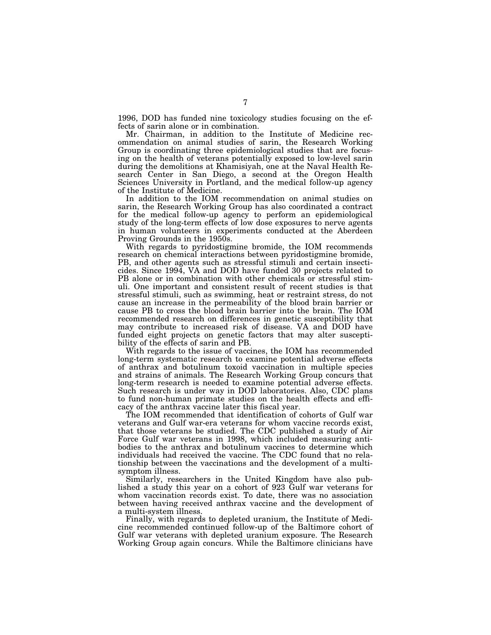1996, DOD has funded nine toxicology studies focusing on the effects of sarin alone or in combination.

Mr. Chairman, in addition to the Institute of Medicine recommendation on animal studies of sarin, the Research Working Group is coordinating three epidemiological studies that are focusing on the health of veterans potentially exposed to low-level sarin during the demolitions at Khamisiyah, one at the Naval Health Research Center in San Diego, a second at the Oregon Health Sciences University in Portland, and the medical follow-up agency of the Institute of Medicine.

In addition to the IOM recommendation on animal studies on sarin, the Research Working Group has also coordinated a contract for the medical follow-up agency to perform an epidemiological study of the long-term effects of low dose exposures to nerve agents in human volunteers in experiments conducted at the Aberdeen Proving Grounds in the 1950s.

With regards to pyridostigmine bromide, the IOM recommends research on chemical interactions between pyridostigmine bromide, PB, and other agents such as stressful stimuli and certain insecticides. Since 1994, VA and DOD have funded 30 projects related to PB alone or in combination with other chemicals or stressful stimuli. One important and consistent result of recent studies is that stressful stimuli, such as swimming, heat or restraint stress, do not cause an increase in the permeability of the blood brain barrier or cause PB to cross the blood brain barrier into the brain. The IOM recommended research on differences in genetic susceptibility that may contribute to increased risk of disease. VA and DOD have funded eight projects on genetic factors that may alter susceptibility of the effects of sarin and PB.

With regards to the issue of vaccines, the IOM has recommended long-term systematic research to examine potential adverse effects of anthrax and botulinum toxoid vaccination in multiple species and strains of animals. The Research Working Group concurs that long-term research is needed to examine potential adverse effects. Such research is under way in DOD laboratories. Also, CDC plans to fund non-human primate studies on the health effects and efficacy of the anthrax vaccine later this fiscal year.

The IOM recommended that identification of cohorts of Gulf war veterans and Gulf war-era veterans for whom vaccine records exist, that those veterans be studied. The CDC published a study of Air Force Gulf war veterans in 1998, which included measuring antibodies to the anthrax and botulinum vaccines to determine which individuals had received the vaccine. The CDC found that no relationship between the vaccinations and the development of a multisymptom illness.

Similarly, researchers in the United Kingdom have also published a study this year on a cohort of 923 Gulf war veterans for whom vaccination records exist. To date, there was no association between having received anthrax vaccine and the development of a multi-system illness.

Finally, with regards to depleted uranium, the Institute of Medicine recommended continued follow-up of the Baltimore cohort of Gulf war veterans with depleted uranium exposure. The Research Working Group again concurs. While the Baltimore clinicians have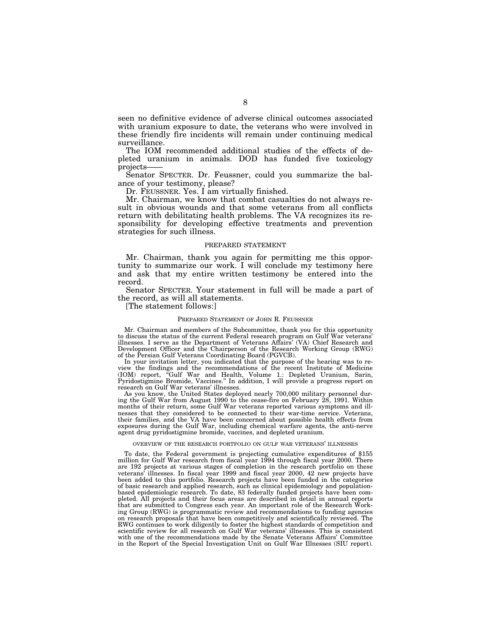seen no definitive evidence of adverse clinical outcomes associated with uranium exposure to date, the veterans who were involved in these friendly fire incidents will remain under continuing medical surveillance.

The IOM recommended additional studies of the effects of depleted uranium in animals. DOD has funded five toxicology projects——

Senator SPECTER. Dr. Feussner, could you summarize the balance of your testimony, please?

Dr. FEUSSNER. Yes. I am virtually finished.

Mr. Chairman, we know that combat casualties do not always result in obvious wounds and that some veterans from all conflicts return with debilitating health problems. The VA recognizes its responsibility for developing effective treatments and prevention strategies for such illness.

### PREPARED STATEMENT

Mr. Chairman, thank you again for permitting me this opportunity to summarize our work. I will conclude my testimony here and ask that my entire written testimony be entered into the record.

Senator SPECTER. Your statement in full will be made a part of the record, as will all statements.

[The statement follows:]

#### PREPARED STATEMENT OF JOHN R. FEUSSNER

Mr. Chairman and members of the Subcommittee, thank you for this opportunity to discuss the status of the current Federal research program on Gulf War veterans' illnesses. I serve as the Department of Veterans Affairs' (VA) Chief Research and Development Officer and the Chairperson of the Research Working Group (RWG) of the Persian Gulf Veterans Coordinating Board (PGVCB).

In your invitation letter, you indicated that the purpose of the hearing was to review the findings and the recommendations of the recent Institute of Medicine (IOM) report, ''Gulf War and Health, Volume 1.: Depleted Uranium, Sarin, Pyridostigmine Bromide, Vaccines.'' In addition, I will provide a progress report on research on Gulf War veterans' illnesses.

As you know, the United States deployed nearly 700,000 military personnel during the Gulf War from August 1990 to the cease-fire on February 28, 1991. Within months of their return, some Gulf War veterans reported various symptoms and illnesses that they considered to be connected to their war-time service. Veterans, their families, and the VA have been concerned about possible health effects from exposures during the Gulf War, including chemical warfare agents, the anti-nerve agent drug pyridostigmine bromide, vaccines, and depleted uranium.

#### OVERVIEW OF THE RESEARCH PORTFOLIO ON GULF WAR VETERANS' ILLNESSES

To date, the Federal government is projecting cumulative expenditures of \$155 million for Gulf War research from fiscal year 1994 through fiscal year 2000. There are 192 projects at various stages of completion in the research portfolio on these veterans' illnesses. In fiscal year 1999 and fiscal year 2000, 42 new projects have been added to this portfolio. Research projects have been funded in the categories of basic research and applied research, such as clinical epidemiology and populationbased epidemiologic research. To date, 83 federally funded projects have been completed. All projects and their focus areas are described in detail in annual reports that are submitted to Congress each year. An important role of the Research Working Group (RWG) is programmatic review and recommendations to funding agencies on research proposals that have been competitively and scientifically reviewed. The RWG continues to work diligently to foster the highest standards of competition and scientific review for all research on Gulf War veterans' illnesses. This is consistent with one of the recommendations made by the Senate Veterans Affairs' Committee in the Report of the Special Investigation Unit on Gulf War Illnesses (SIU report).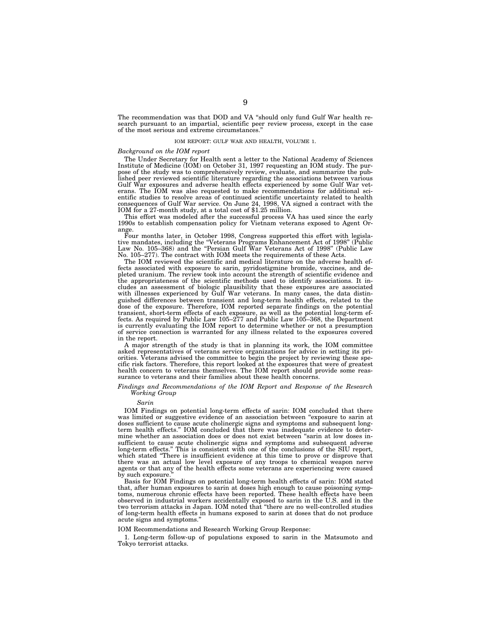The recommendation was that DOD and VA ''should only fund Gulf War health research pursuant to an impartial, scientific peer review process, except in the case of the most serious and extreme circumstances.

#### IOM REPORT: GULF WAR AND HEALTH, VOLUME 1.

# *Background on the IOM report*

The Under Secretary for Health sent a letter to the National Academy of Sciences Institute of Medicine (IOM) on October 31, 1997 requesting an IOM study. The purpose of the study was to comprehensively review, evaluate, and summarize the pub-lished peer reviewed scientific literature regarding the associations between various Gulf War exposures and adverse health effects experienced by some Gulf War veterans. The IOM was also requested to make recommendations for additional scientific studies to resolve areas of continued scientific uncertainty related to health consequences of Gulf War service. On June 24, 1998, VA signed a contract with the IOM for a 27-month study, at a total cost of \$1.25 million.

This effort was modeled after the successful process VA has used since the early 1990s to establish compensation policy for Vietnam veterans exposed to Agent Orange.

Four months later, in October 1998, Congress supported this effort with legislative mandates, including the ''Veterans Programs Enhancement Act of 1998'' (Public Law No. 105–368) and the "Persian Gulf War Veterans Act of 1998" (Public Law No. 105–277). The contract with IOM meets the requirements of these Acts.

The IOM reviewed the scientific and medical literature on the adverse health effects associated with exposure to sarin, pyridostigmine bromide, vaccines, and depleted uranium. The review took into account the strength of scientific evidence and the appropriateness of the scientific methods used to identify associations. It includes an assessment of biologic plausibility that these exposures are associated with illnesses experienced by Gulf War veterans. In many cases, the data distinguished differences between transient and long-term health effects, related to the dose of the exposure. Therefore, IOM reported separate findings on the potential transient, short-term effects of each exposure, as well as the potential long-term effects. As required by Public Law 105–277 and Public Law 105–368, the Department is currently evaluating the IOM report to determine whether or not a presumption of service connection is warranted for any illness related to the exposures covered in the report.

A major strength of the study is that in planning its work, the IOM committee asked representatives of veterans service organizations for advice in setting its priorities. Veterans advised the committee to begin the project by reviewing these specific risk factors. Therefore, this report looked at the exposures that were of greatest health concern to veterans themselves. The IOM report should provide some reassurance to veterans and their families about these health concerns.

#### *Findings and Recommendations of the IOM Report and Response of the Research Working Group*

*Sarin*

IOM Findings on potential long-term effects of sarin: IOM concluded that there was limited or suggestive evidence of an association between "exposure to sarin at doses sufficient to cause acute cholinergic signs and symptoms and subsequent longterm health effects.'' IOM concluded that there was inadequate evidence to determine whether an association does or does not exist between ''sarin at low doses insufficient to cause acute cholinergic signs and symptoms and subsequent adverse long-term effects.'' This is consistent with one of the conclusions of the SIU report, which stated "There is insufficient evidence at this time to prove or disprove that there was an actual low level exposure of any troops to chemical weapon nerve agents or that any of the health effects some veterans are experiencing were caused by such exposure

Basis for IOM Findings on potential long-term health effects of sarin: IOM stated that, after human exposures to sarin at doses high enough to cause poisoning symptoms, numerous chronic effects have been reported. These health effects have been observed in industrial workers accidentally exposed to sarin in the U.S. and in the two terrorism attacks in Japan. IOM noted that ''there are no well-controlled studies of long-term health effects in humans exposed to sarin at doses that do not produce acute signs and symptoms.''

#### IOM Recommendations and Research Working Group Response:

1. Long-term follow-up of populations exposed to sarin in the Matsumoto and Tokyo terrorist attacks.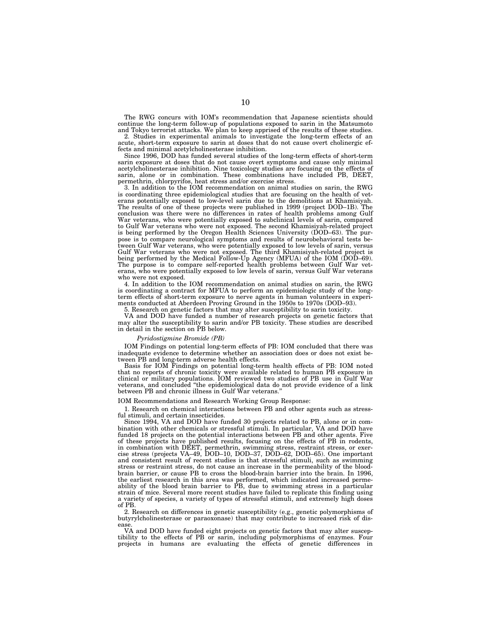The RWG concurs with IOM's recommendation that Japanese scientists should continue the long-term follow-up of populations exposed to sarin in the Matsumoto and Tokyo terrorist attacks. We plan to keep apprised of the results of these studies.

2. Studies in experimental animals to investigate the long-term effects of an acute, short-term exposure to sarin at doses that do not cause overt cholinergic effects and minimal acetylcholinesterase inhibition.

Since 1996, DOD has funded several studies of the long-term effects of short-term sarin exposure at doses that do not cause overt symptoms and cause only minimal acetylcholinesterase inhibition. Nine toxicology studies are focusing on the effects of sarin, alone or in combination. These combinations have included PB, DEET, permethrin, chlorpyrifos, heat stress and/or exercise stress.

3. In addition to the IOM recommendation on animal studies on sarin, the RWG is coordinating three epidemiological studies that are focusing on the health of veterans potentially exposed to low-level sarin due to the demolitions at Khamisiyah. The results of one of these projects were published in 1999 (project DOD–1B). The conclusion was there were no differences in rates of health problems among Gulf War veterans, who were potentially exposed to subclinical levels of sarin, compared to Gulf War veterans who were not exposed. The second Khamisiyah-related project is being performed by the Oregon Health Sciences University (DOD–63). The purpose is to compare neurological symptoms and results of neurobehavioral tests between Gulf War veterans, who were potentially exposed to low levels of sarin, versus Gulf War veterans who were not exposed. The third Khamisiyah-related project is being performed by the Medical Follow-Up Agency (MFUA) of the IOM (DOD–69). The purpose is to compare self-reported health problems between Gulf War veterans, who were potentially exposed to low levels of sarin, versus Gulf War veterans who were not exposed.

4. In addition to the IOM recommendation on animal studies on sarin, the RWG is coordinating a contract for MFUA to perform an epidemiologic study of the longterm effects of short-term exposure to nerve agents in human volunteers in experiments conducted at Aberdeen Proving Ground in the 1950s to 1970s (DOD–93).

5. Research on genetic factors that may alter susceptibility to sarin toxicity.

VA and DOD have funded a number of research projects on genetic factors that may alter the susceptibility to sarin and/or PB toxicity. These studies are described in detail in the section on PB below.

#### *Pyridostigmine Bromide (PB)*

IOM Findings on potential long-term effects of PB: IOM concluded that there was inadequate evidence to determine whether an association does or does not exist between PB and long-term adverse health effects.

Basis for IOM Findings on potential long-term health effects of PB: IOM noted that no reports of chronic toxicity were available related to human PB exposure in clinical or military populations. IOM reviewed two studies of PB use in Gulf War veterans, and concluded ''the epidemiological data do not provide evidence of a link between PB and chronic illness in Gulf War veterans.

# IOM Recommendations and Research Working Group Response:

1. Research on chemical interactions between PB and other agents such as stressful stimuli, and certain insecticides.

Since 1994, VA and DOD have funded 30 projects related to PB, alone or in combination with other chemicals or stressful stimuli. In particular, VA and DOD have funded 18 projects on the potential interactions between PB and other agents. Five of these projects have published results, focusing on the effects of PB in rodents, in combination with DEET, permethrin, swimming stress, restraint stress, or exercise stress (projects VA–49, DOD–10, DOD–37, DOD–62, DOD–65). One important and consistent result of recent studies is that stressful stimuli, such as swimming stress or restraint stress, do not cause an increase in the permeability of the bloodbrain barrier, or cause PB to cross the blood-brain barrier into the brain. In 1996, the earliest research in this area was performed, which indicated increased permeability of the blood brain barrier to PB, due to swimming stress in a particular strain of mice. Several more recent studies have failed to replicate this finding using a variety of species, a variety of types of stressful stimuli, and extremely high doses of PB.

2. Research on differences in genetic susceptibility (e.g., genetic polymorphisms of butyrylcholinesterase or paraoxonase) that may contribute to increased risk of disease.

VA and DOD have funded eight projects on genetic factors that may alter susceptibility to the effects of PB or sarin, including polymorphisms of enzymes. Four projects in humans are evaluating the effects of genetic differences in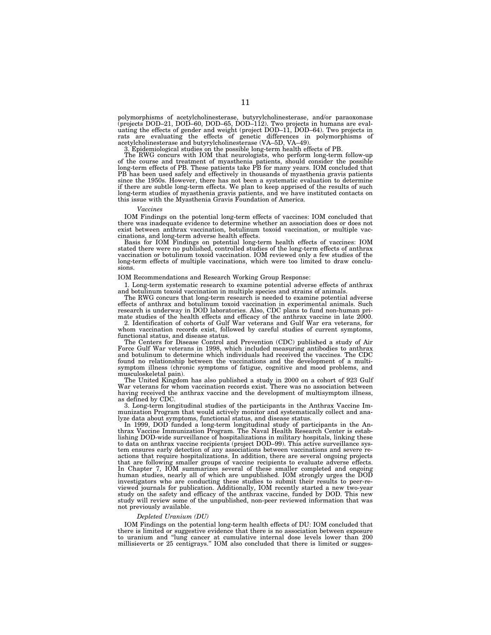polymorphisms of acetylcholinesterase, butyrylcholinesterase, and/or paraoxonase<br>(projects DOD–21, DOD–60, DOD–65, DOD–112). Two projects in humans are eval-<br>uating the effects of gender and weight (project DOD–11, DOD–64) rats are evaluating the effects of genetic differences in polymorphisms of acetylcholinesterase and butyrylcholinesterase (VA–5D, VA–49).

3. Epidemiological studies on the possible long-term health effects of PB. The RWG concurs with IOM that neurologists, who perform long-term follow-up of the course and treatment of myasthenia patients, should consider the possible long-term effects of PB. These patients take PB for many years. IOM concluded that PB has been used safely and effectively in thousands of myasthenia gravis patients since the 1950s. However, there has not been a systematic evaluation to determine if there are subtle long-term effects. We plan to keep apprised of the results of such long-term studies of myasthenia gravis patients, and we have instituted contacts on this issue with the Myasthenia Gravis Foundation of America.

#### *Vaccines*

IOM Findings on the potential long-term effects of vaccines: IOM concluded that there was inadequate evidence to determine whether an association does or does not exist between anthrax vaccination, botulinum toxoid vaccination, or multiple vaccinations, and long-term adverse health effects.

Basis for IOM Findings on potential long-term health effects of vaccines: IOM stated there were no published, controlled studies of the long-term effects of anthrax vaccination or botulinum toxoid vaccination. IOM reviewed only a few studies of the long-term effects of multiple vaccinations, which were too limited to draw conclusions.

#### IOM Recommendations and Research Working Group Response:

1. Long-term systematic research to examine potential adverse effects of anthrax and botulinum toxoid vaccination in multiple species and strains of animals.

The RWG concurs that long-term research is needed to examine potential adverse effects of anthrax and botulinum toxoid vaccination in experimental animals. Such research is underway in DOD laboratories. Also, CDC plans to fund non-human pri-

mate studies of the health effects and efficacy of the anthrax vaccine in late 2000. 2. Identification of cohorts of Gulf War veterans and Gulf War era veterans, for whom vaccination records exist, followed by careful studies of current symptoms, functional status, and disease status.

The Centers for Disease Control and Prevention (CDC) published a study of Air Force Gulf War veterans in 1998, which included measuring antibodies to anthrax and botulinum to determine which individuals had received the vaccines. The CDC found no relationship between the vaccinations and the development of a multisymptom illness (chronic symptoms of fatigue, cognitive and mood problems, and musculoskeletal pain).

The United Kingdom has also published a study in 2000 on a cohort of 923 Gulf War veterans for whom vaccination records exist. There was no association between having received the anthrax vaccine and the development of multisymptom illness, as defined by CDC.

3. Long-term longitudinal studies of the participants in the Anthrax Vaccine Immunization Program that would actively monitor and systematically collect and analyze data about symptoms, functional status, and disease status.

In 1999, DOD funded a long-term longitudinal study of participants in the Anthrax Vaccine Immunization Program. The Naval Health Research Center is establishing DOD-wide surveillance of hospitalizations in military hospitals, linking these to data on anthrax vaccine recipients (project DOD–99). This active surveillance system ensures early detection of any associations between vaccinations and severe reactions that require hospitalizations. In addition, there are several ongoing projects that are following smaller groups of vaccine recipients to evaluate adverse effects. In Chapter 7, IOM summarizes several of these smaller completed and ongoing human studies, nearly all of which are unpublished. IOM strongly urges the DOD investigators who are conducting these studies to submit their results to peer-reviewed journals for publication. Additionally, IOM recently started a new two-year study on the safety and efficacy of the anthrax vaccine, funded by DOD. This new study will review some of the unpublished, non-peer reviewed information that was not previously available.

#### *Depleted Uranium (DU)*

IOM Findings on the potential long-term health effects of DU: IOM concluded that there is limited or suggestive evidence that there is no association between exposure to uranium and ''lung cancer at cumulative internal dose levels lower than 200 millisieverts or 25 centigrays.'' IOM also concluded that there is limited or sugges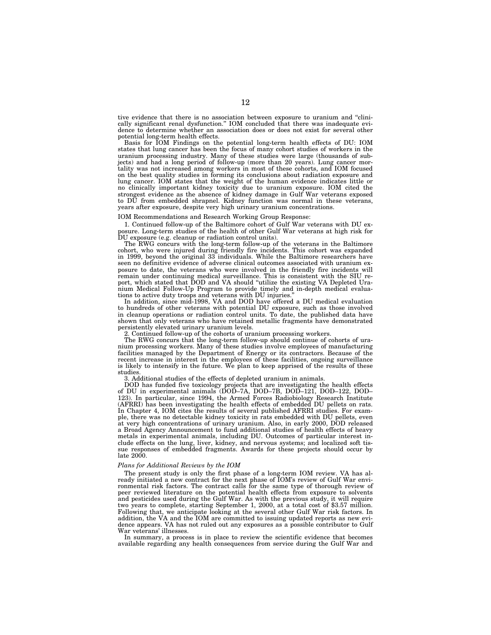tive evidence that there is no association between exposure to uranium and ''clinically significant renal dysfunction.'' IOM concluded that there was inadequate evidence to determine whether an association does or does not exist for several other potential long-term health effects.

Basis for IOM Findings on the potential long-term health effects of DU: IOM states that lung cancer has been the focus of many cohort studies of workers in the uranium processing industry. Many of these studies were large (thousands of subjects) and had a long period of follow-up (more than 20 years). Lung cancer mortality was not increased among workers in most of these cohorts, and IOM focused on the best quality studies in forming its conclusions about radiation exposure and lung cancer. IOM states that the weight of the human evidence indicates little or no clinically important kidney toxicity due to uranium exposure. IOM cited the strongest evidence as the absence of kidney damage in Gulf War veterans exposed to DU from embedded shrapnel. Kidney function was normal in these veterans, years after exposure, despite very high urinary uranium concentrations.

#### IOM Recommendations and Research Working Group Response:

1. Continued follow-up of the Baltimore cohort of Gulf War veterans with DU exposure. Long-term studies of the health of other Gulf War veterans at high risk for DU exposure (e.g. cleanup or radiation control units).

The RWG concurs with the long-term follow-up of the veterans in the Baltimore cohort, who were injured during friendly fire incidents. This cohort was expanded in 1999, beyond the original 33 individuals. While the Baltimore researchers have seen no definitive evidence of adverse clinical outcomes associated with uranium exposure to date, the veterans who were involved in the friendly fire incidents will remain under continuing medical surveillance. This is consistent with the SIU report, which stated that DOD and VA should ''utilize the existing VA Depleted Uranium Medical Follow-Up Program to provide timely and in-depth medical evaluations to active duty troops and veterans with DU injuries.''

In addition, since mid-1998, VA and DOD have offered a DU medical evaluation to hundreds of other veterans with potential DU exposure, such as those involved in cleanup operations or radiation control units. To date, the published data have shown that only veterans who have retained metallic fragments have demonstrated persistently elevated urinary uranium levels.

2. Continued follow-up of the cohorts of uranium processing workers.

The RWG concurs that the long-term follow-up should continue of cohorts of uranium processing workers. Many of these studies involve employees of manufacturing facilities managed by the Department of Energy or its contractors. Because of the recent increase in interest in the employees of these facilities, ongoing surveillance is likely to intensify in the future. We plan to keep apprised of the results of these studies.

3. Additional studies of the effects of depleted uranium in animals.

DOD has funded five toxicology projects that are investigating the health effects of DU in experimental animals (DOD–7A, DOD–7B, DOD–121, DOD–122, DOD– 123). In particular, since 1994, the Armed Forces Radiobiology Research Institute (AFRRI) has been investigating the health effects of embedded DU pellets on rats. In Chapter 4, IOM cites the results of several published AFRRI studies. For example, there was no detectable kidney toxicity in rats embedded with DU pellets, even at very high concentrations of urinary uranium. Also, in early 2000, DOD released a Broad Agency Announcement to fund additional studies of health effects of heavy metals in experimental animals, including DU. Outcomes of particular interest include effects on the lung, liver, kidney, and nervous systems; and localized soft tissue responses of embedded fragments. Awards for these projects should occur by late 2000.

#### *Plans for Additional Reviews by the IOM*

The present study is only the first phase of a long-term IOM review. VA has already initiated a new contract for the next phase of IOM's review of Gulf War environmental risk factors. The contract calls for the same type of thorough review of peer reviewed literature on the potential health effects from exposure to solvents and pesticides used during the Gulf War. As with the previous study, it will require two years to complete, starting September 1, 2000, at a total cost of \$3.57 million. Following that, we anticipate looking at the several other Gulf War risk factors. In addition, the VA and the IOM are committed to issuing updated reports as new evidence appears. VA has not ruled out any exposures as a possible contributor to Gulf War veterans' illnesses.

In summary, a process is in place to review the scientific evidence that becomes available regarding any health consequences from service during the Gulf War and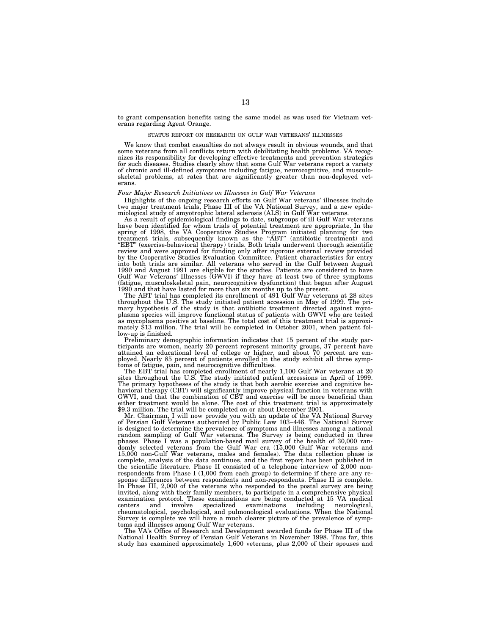to grant compensation benefits using the same model as was used for Vietnam veterans regarding Agent Orange.

#### STATUS REPORT ON RESEARCH ON GULF WAR VETERANS' ILLNESSES

We know that combat casualties do not always result in obvious wounds, and that some veterans from all conflicts return with debilitating health problems. VA recognizes its responsibility for developing effective treatments and prevention strategies for such diseases. Studies clearly show that some Gulf War veterans report a variety of chronic and ill-defined symptoms including fatigue, neurocognitive, and musculoskeletal problems, at rates that are significantly greater than non-deployed veterans.

#### *Four Major Research Initiatives on Illnesses in Gulf War Veterans*

Highlights of the ongoing research efforts on Gulf War veterans' illnesses include two major treatment trials, Phase III of the VA National Survey, and a new epidemiological study of amyotrophic lateral sclerosis (ALS) in Gulf War veterans.

As a result of epidemiological findings to date, subgroups of ill Gulf War veterans have been identified for whom trials of potential treatment are appropriate. In the spring of 1998, the VA Cooperative Studies Program initiated planning for two<br>treatment trials, subsequently known as the "ABT" (antibiotic treatment) and<br>"EBT" (exercise-behavioral therapy) trials. Both trials underwent t review and were approved for funding only after rigorous external review provided by the Cooperative Studies Evaluation Committee. Patient characteristics for entry into both trials are similar. All veterans who served in the Gulf between August 1990 and August 1991 are eligible for the studies. Patients are considered to have Gulf War Veterans' Illnesses (GWVI) if they have at least two of three symptoms (fatigue, musculoskeletal pain, neurocognitive dysfunction) that began after August 1990 and that have lasted for more than six months up to the present.

The ABT trial has completed its enrollment of 491 Gulf War veterans at 28 sites throughout the U.S. The study initiated patient accession in May of 1999. The primary hypothesis of the study is that antibiotic treatment directed against mycoplasma species will improve functional status of patients with GWVI who are tested as mycoplasma positive at baseline. The total cost of this treatment trial is approximately \$13 million. The trial will be completed in October 2001, when patient follow-up is finished.

Preliminary demographic information indicates that 15 percent of the study participants are women, nearly 20 percent represent minority groups, 37 percent have attained an educational level of college or higher, and about 70 percent are employed. Nearly 85 percent of patients enrolled in the study exhibit all three symptoms of fatigue, pain, and neurocognitive difficulties.

The EBT trial has completed enrollment of nearly 1,100 Gulf War veterans at 20 sites throughout the U.S. The study initiated patient accessions in April of 1999. The primary hypotheses of the study is that both aerobic exercise and cognitive behavioral therapy (CBT) will significantly improve physical function in veterans with GWVI, and that the combination of CBT and exercise will be more beneficial than either treatment would be alone. The cost of this treatment trial is approximately \$9.3 million. The trial will be completed on or about December 2001.

Mr. Chairman, I will now provide you with an update of the VA National Survey of Persian Gulf Veterans authorized by Public Law 103–446. The National Survey is designed to determine the prevalence of symptoms and illnesses among a national<br>random sampling of Gulf War veterans. The Survey is being conducted in three<br>phases. Phase I was a population-based mail survey of the heal 15,000 non-Gulf War veterans, males and females). The data collection phase is complete, analysis of the data continues, and the first report has been published in the scientific literature. Phase II consisted of a telephone interview of 2,000 nonrespondents from Phase I (1,000 from each group) to determine if there are any response differences between respondents and non-respondents. Phase II is complete. In Phase III, 2,000 of the veterans who responded to the postal survey are being invited, along with their family members, to participate in a comprehensive physical examination protocol. These examinations are being conducted at 15 VA medical centers and involve specialized examinations including neurological, examinations including neurological, rheumatological, psychological, and pulmonological evaluations. When the National Survey is complete we will have a much clearer picture of the prevalence of symptoms and illnesses among Gulf War veterans.

The VA's Office of Research and Development awarded funds for Phase III of the National Health Survey of Persian Gulf Veterans in November 1998. Thus far, this study has examined approximately 1,600 veterans, plus 2,000 of their spouses and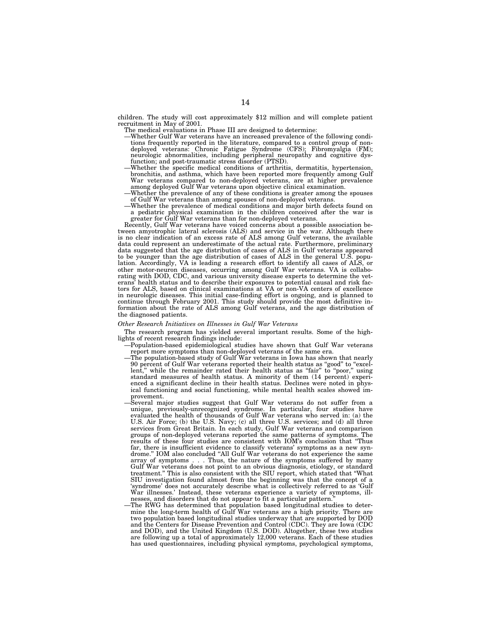children. The study will cost approximately \$12 million and will complete patient recruitment in May of 2001.

- The medical evaluations in Phase III are designed to determine:
- —Whether Gulf War veterans have an increased prevalence of the following conditions frequently reported in the literature, compared to a control group of nondeployed veterans: Chronic Fatigue Syndrome (CFS); Fibromyalgia (FM); neurologic abnormalities, including peripheral neuropathy and cognitive dys-<br>function; and post-traumatic stress disorder (PTSD).
- function; and post-traumatic stress disorder (PTSD).<br>Whether the specific medical conditions of arthritis, dermatitis, hypertension. bronchitis, and asthma, which have been reported more frequently among Gulf War veterans compared to non-deployed veterans, are at higher prevalence among deployed Gulf War veterans upon objective clinical examination.<br>Whether the prevalence of any of these conditions is greater among the spouses
- of Gulf War veterans than among spouses of non-deployed veterans. —Whether the prevalence of medical conditions and major birth defects found on
- a pediatric physical examination in the children conceived after the war is greater for Gulf War veterans than for non-deployed veterans.

Recently, Gulf War veterans have voiced concerns about a possible association between amyotrophic lateral sclerosis (ALS) and service in the war. Although there is no clear indication of an excess rate of ALS among Gulf veterans, the available data could represent an underestimate of the actual rate. Furthermore, preliminary data suggested that the age distribution of cases of ALS in Gulf veterans appeared to be younger than the age distribution of cases of ALS in the general U.S. population. Accordingly, VA is leading a research effort to identify all cases of ALS, or other motor-neuron diseases, occurring among Gulf War veterans. VA is collaborating with DOD, CDC, and various university disease experts to determine the veterans' health status and to describe their exposures to potential causal and risk factors for ALS, based on clinical examinations at VA or non-VA centers of excellence in neurologic diseases. This initial case-finding effort is ongoing, and is planned to continue through February 2001. This study should provide the most definitive information about the rate of ALS among Gulf veterans, and the age distribution of the diagnosed patients.

#### *Other Research Initiatives on Illnesses in Gulf War Veterans*

The research program has yielded several important results. Some of the highlights of recent research findings include:

- —Population-based epidemiological studies have shown that Gulf War veterans report more symptoms than non-deployed veterans of the same era.
- —The population-based study of Gulf War veterans in Iowa has shown that nearly 90 percent of Gulf War veterans reported their health status as ''good'' to ''excellent," while the remainder rated their health status as "fair" to "poor," using standard measures of health status. A minority of them (14 percent) experienced a significant decline in their health status. Declines were noted in physical functioning and social functioning, while mental health scales showed improvement.
- —Several major studies suggest that Gulf War veterans do not suffer from a unique, previously-unrecognized syndrome. In particular, four studies have evaluated the health of thousands of Gulf War veterans who served in: (a) the U.S. Air Force; (b) the U.S. Navy; (c) all three U.S. services; and (d) all three services from Great Britain. In each study, Gulf War veterans and comparison groups of non-deployed veterans reported the same patterns of symptoms. The results of these four studies are consistent with IOM's conclusion that ''Thus far, there is insufficient evidence to classify veterans' symptoms as a new syndrome.'' IOM also concluded ''All Gulf War veterans do not experience the same array of symptoms . . . Thus, the nature of the symptoms suffered by many Gulf War veterans does not point to an obvious diagnosis, etiology, or standard treatment.'' This is also consistent with the SIU report, which stated that ''What SIU investigation found almost from the beginning was that the concept of a 'syndrome' does not accurately describe what is collectively referred to as 'Gulf War illnesses.' Instead, these veterans experience a variety of symptoms, illnesses, and disorders that do not appear to fit a particular pattern.
- —The RWG has determined that population based longitudinal studies to determine the long-term health of Gulf War veterans are a high priority. There are two population based longitudinal studies underway that are supported by DOD the Centers for Disease Prevention and Control (CDC). They are Iowa (CDC) and DOD), and the United Kingdom (U.S. DOD). Altogether, these two studies are following up a total of approximately 12,000 veterans. Each of these studies has used questionnaires, including physical symptoms, psychological symptoms,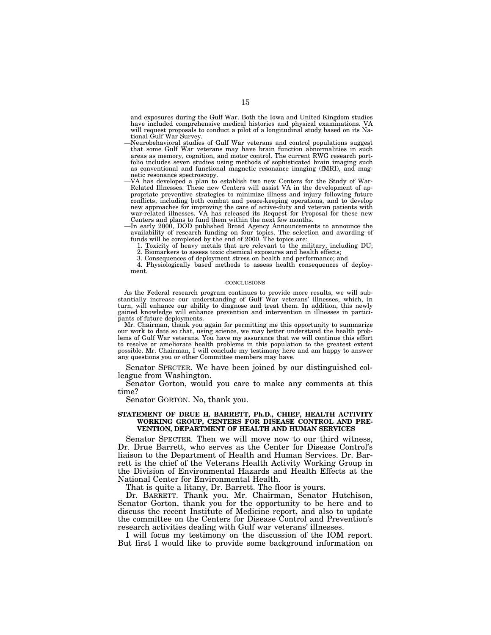and exposures during the Gulf War. Both the Iowa and United Kingdom studies have included comprehensive medical histories and physical examinations. VA will request proposals to conduct a pilot of a longitudinal study based on its National Gulf War Survey.

- —Neurobehavioral studies of Gulf War veterans and control populations suggest that some Gulf War veterans may have brain function abnormalities in such areas as memory, cognition, and motor control. The current RWG research portfolio includes seven studies using methods of sophisticated brain imaging such as conventional and functional magnetic resonance imaging (fMRI), and magnetic resonance spectroscopy.
- —VA has developed a plan to establish two new Centers for the Study of War-Related Illnesses. These new Centers will assist VA in the development of appropriate preventive strategies to minimize illness and injury following future conflicts, including both combat and peace-keeping operations, and to develop new approaches for improving the care of active-duty and veteran patients with war-related illnesses. VA has released its Request for Proposal for these new Centers and plans to fund them within the next few months.
- —In early 2000, DOD published Broad Agency Announcements to announce the availability of research funding on four topics. The selection and awarding of funds will be completed by the end of 2000. The topics are:
	- 1. Toxicity of heavy metals that are relevant to the military, including DU; 2. Biomarkers to assess toxic chemical exposures and health effects;
	- 3. Consequences of deployment stress on health and performance; and

4. Physiologically based methods to assess health consequences of deployment.

#### **CONCLUSIONS**

As the Federal research program continues to provide more results, we will substantially increase our understanding of Gulf War veterans' illnesses, which, in turn, will enhance our ability to diagnose and treat them. In addition, this newly gained knowledge will enhance prevention and intervention in illnesses in participants of future deployments.

Mr. Chairman, thank you again for permitting me this opportunity to summarize our work to date so that, using science, we may better understand the health problems of Gulf War veterans. You have my assurance that we will continue this effort to resolve or ameliorate health problems in this population to the greatest extent possible. Mr. Chairman, I will conclude my testimony here and am happy to answer any questions you or other Committee members may have.

Senator SPECTER. We have been joined by our distinguished colleague from Washington.

Senator Gorton, would you care to make any comments at this time?

Senator GORTON. No, thank you.

# **STATEMENT OF DRUE H. BARRETT, Ph.D., CHIEF, HEALTH ACTIVITY WORKING GROUP, CENTERS FOR DISEASE CONTROL AND PRE-VENTION, DEPARTMENT OF HEALTH AND HUMAN SERVICES**

Senator SPECTER. Then we will move now to our third witness, Dr. Drue Barrett, who serves as the Center for Disease Control's liaison to the Department of Health and Human Services. Dr. Barrett is the chief of the Veterans Health Activity Working Group in the Division of Environmental Hazards and Health Effects at the National Center for Environmental Health.

That is quite a litany, Dr. Barrett. The floor is yours.

Dr. BARRETT. Thank you. Mr. Chairman, Senator Hutchison, Senator Gorton, thank you for the opportunity to be here and to discuss the recent Institute of Medicine report, and also to update the committee on the Centers for Disease Control and Prevention's research activities dealing with Gulf war veterans' illnesses.

I will focus my testimony on the discussion of the IOM report. But first I would like to provide some background information on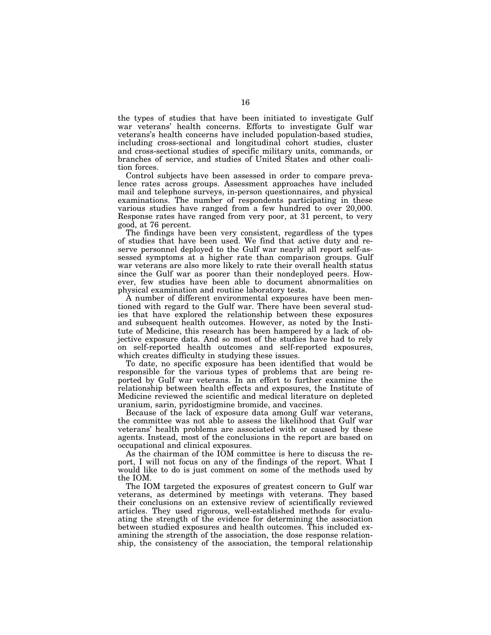the types of studies that have been initiated to investigate Gulf war veterans' health concerns. Efforts to investigate Gulf war veterans's health concerns have included population-based studies, including cross-sectional and longitudinal cohort studies, cluster and cross-sectional studies of specific military units, commands, or branches of service, and studies of United States and other coalition forces.

Control subjects have been assessed in order to compare prevalence rates across groups. Assessment approaches have included mail and telephone surveys, in-person questionnaires, and physical examinations. The number of respondents participating in these various studies have ranged from a few hundred to over 20,000. Response rates have ranged from very poor, at 31 percent, to very good, at 76 percent.

The findings have been very consistent, regardless of the types of studies that have been used. We find that active duty and reserve personnel deployed to the Gulf war nearly all report self-assessed symptoms at a higher rate than comparison groups. Gulf war veterans are also more likely to rate their overall health status since the Gulf war as poorer than their nondeployed peers. However, few studies have been able to document abnormalities on physical examination and routine laboratory tests.

A number of different environmental exposures have been mentioned with regard to the Gulf war. There have been several studies that have explored the relationship between these exposures and subsequent health outcomes. However, as noted by the Institute of Medicine, this research has been hampered by a lack of objective exposure data. And so most of the studies have had to rely on self-reported health outcomes and self-reported exposures, which creates difficulty in studying these issues.

To date, no specific exposure has been identified that would be responsible for the various types of problems that are being reported by Gulf war veterans. In an effort to further examine the relationship between health effects and exposures, the Institute of Medicine reviewed the scientific and medical literature on depleted uranium, sarin, pyridostigmine bromide, and vaccines.

Because of the lack of exposure data among Gulf war veterans, the committee was not able to assess the likelihood that Gulf war veterans' health problems are associated with or caused by these agents. Instead, most of the conclusions in the report are based on occupational and clinical exposures.

As the chairman of the IOM committee is here to discuss the report, I will not focus on any of the findings of the report. What I would like to do is just comment on some of the methods used by the IOM.

The IOM targeted the exposures of greatest concern to Gulf war veterans, as determined by meetings with veterans. They based their conclusions on an extensive review of scientifically reviewed articles. They used rigorous, well-established methods for evaluating the strength of the evidence for determining the association between studied exposures and health outcomes. This included examining the strength of the association, the dose response relationship, the consistency of the association, the temporal relationship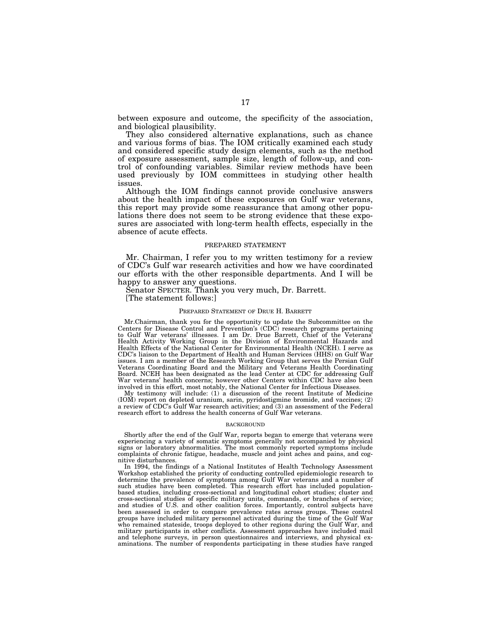between exposure and outcome, the specificity of the association, and biological plausibility.

They also considered alternative explanations, such as chance and various forms of bias. The IOM critically examined each study and considered specific study design elements, such as the method of exposure assessment, sample size, length of follow-up, and control of confounding variables. Similar review methods have been used previously by IOM committees in studying other health issues.

Although the IOM findings cannot provide conclusive answers about the health impact of these exposures on Gulf war veterans, this report may provide some reassurance that among other populations there does not seem to be strong evidence that these exposures are associated with long-term health effects, especially in the absence of acute effects.

#### PREPARED STATEMENT

Mr. Chairman, I refer you to my written testimony for a review of CDC's Gulf war research activities and how we have coordinated our efforts with the other responsible departments. And I will be happy to answer any questions.

Senator SPECTER. Thank you very much, Dr. Barrett.

[The statement follows:]

#### PREPARED STATEMENT OF DRUE H. BARRETT

Mr.Chairman, thank you for the opportunity to update the Subcommittee on the Centers for Disease Control and Prevention's (CDC) research programs pertaining to Gulf War veterans' illnesses. I am Dr. Drue Barrett, Chief of the Veterans' Health Activity Working Group in the Division of Environmental Hazards and Health Effects of the National Center for Environmental Health (NCEH). I serve as CDC's liaison to the Department of Health and Human Services (HHS) on Gulf War issues. I am a member of the Research Working Group that serves the Persian Gulf Veterans Coordinating Board and the Military and Veterans Health Coordinating Board. NCEH has been designated as the lead Center at CDC for addressing Gulf War veterans' health concerns; however other Centers within CDC have also been involved in this effort, most notably, the National Center for Infectious Diseases.

My testimony will include: (1) a discussion of the recent Institute of Medicine (IOM) report on depleted uranium, sarin, pyridostigmine bromide, and vaccines; (2) a review of CDC's Gulf War research activities; and (3) an assessment of the Federal research effort to address the health concerns of Gulf War veterans.

#### **BACKGROUND**

Shortly after the end of the Gulf War, reports began to emerge that veterans were experiencing a variety of somatic symptoms generally not accompanied by physical signs or laboratory abnormalities. The most commonly reported symptoms include complaints of chronic fatigue, headache, muscle and joint aches and pains, and cognitive disturbances.

In 1994, the findings of a National Institutes of Health Technology Assessment Workshop established the priority of conducting controlled epidemiologic research to determine the prevalence of symptoms among Gulf War veterans and a number of such studies have been completed. This research effort has included populationbased studies, including cross-sectional and longitudinal cohort studies; cluster and cross-sectional studies of specific military units, commands, or branches of service; and studies of U.S. and other coalition forces. Importantly, control subjects have been assessed in order to compare prevalence rates across groups. These control groups have included military personnel activated during the time of the Gulf War who remained stateside, troops deployed to other regions during the Gulf War, and military participants in other conflicts. Assessment approaches have included mail and telephone surveys, in person questionnaires and interviews, and physical examinations. The number of respondents participating in these studies have ranged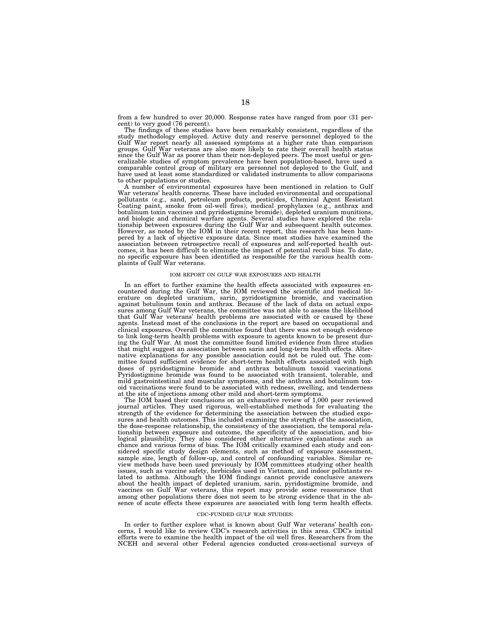from a few hundred to over 20,000. Response rates have ranged from poor (31 percent) to very good (76 percent).

The findings of these studies have been remarkably consistent, regardless of the study methodology employed. Active duty and reserve personnel deployed to the Gulf War report nearly all assessed symptoms at a higher rate than comparison groups. Gulf War veterans are also more likely to rate their overall health status since the Gulf War as poorer than their non-deployed peers. The most useful or generalizable studies of symptom prevalence have been population-based, have used a comparable control group of military era personnel not deployed to the Gulf, and have used at least some standardized or validated instruments to allow comparisons to other populations or studies.

A number of environmental exposures have been mentioned in relation to Gulf War veterans' health concerns. These have included environmental and occupational pollutants (e.g., sand, petroleum products, pesticides, Chemical Agent Resistant Coating paint, smoke from oil-well fires), medical prophylaxes (e.g., anthrax and botulinum toxin vaccines and pyridostigmine bromide), depleted uranium munitions, and biologic and chemical warfare agents. Several studies have explored the relationship between exposures during the Gulf War and subsequent health outcomes. However, as noted by the IOM in their recent report, this research has been hampered by a lack of objective exposure data. Since most studies have examined the association between retrospective recall of exposures and self-reported health outcomes, it has been difficult to eliminate the impact of potential recall bias. To date, no specific exposure has been identified as responsible for the various health complaints of Gulf War veterans.

#### IOM REPORT ON GULF WAR EXPOSURES AND HEALTH

In an effort to further examine the health effects associated with exposures encountered during the Gulf War, the IOM reviewed the scientific and medical literature on depleted uranium, sarin, pyridostigmine bromide, and vaccination against botulinum toxin and anthrax. Because of the lack of data on actual exposures among Gulf War veterans, the committee was not able to assess the likelihood that Gulf War veterans' health problems are associated with or caused by these agents. Instead most of the conclusions in the report are based on occupational and clinical exposures. Overall the committee found that there was not enough evidence to link long-term health problems with exposure to agents known to be present during the Gulf War. At most the committee found limited evidence from three studies that might suggest an association between sarin and long-term health effects. Alternative explanations for any possible association could not be ruled out. The committee found sufficient evidence for short-term health effects associated with high doses of pyridostigmine bromide and anthrax botulinum toxoid vaccinations. Pyridostigmine bromide was found to be associated with transient, tolerable, and mild gastrointestinal and muscular symptoms, and the anthrax and botulinum toxoid vaccinations were found to be associated with redness, swelling, and tenderness at the site of injections among other mild and short-term symptoms.

The IOM based their conclusions on an exhaustive review of 1,000 peer reviewed journal articles. They used rigorous, well-established methods for evaluating the strength of the evidence for determining the association between the studied exposures and health outcomes. This included examining the strength of the association, the dose-response relationship, the consistency of the association, the temporal relationship between exposure and outcome, the specificity of the association, and biological plausibility. They also considered other alternative explanations such as chance and various forms of bias. The IOM critically examined each study and considered specific study design elements, such as method of exposure assessment, sample size, length of follow-up, and control of confounding variables. Similar review methods have been used previously by IOM committees studying other health issues, such as vaccine safety, herbicides used in Vietnam, and indoor pollutants related to asthma. Although the IOM findings cannot provide conclusive answers about the health impact of depleted uranium, sarin, pyridostigmine bromide, and vaccines on Gulf War veterans, this report may provide some reassurance that among other populations there does not seem to be strong evidence that in the absence of acute effects these exposures are associated with long term health effects.

# CDC-FUNDED GULF WAR STUDIES:

In order to further explore what is known about Gulf War veterans' health concerns, I would like to review CDC's research activities in this area. CDC's initial efforts were to examine the health impact of the oil well fires. Researchers from the NCEH and several other Federal agencies conducted cross-sectional surveys of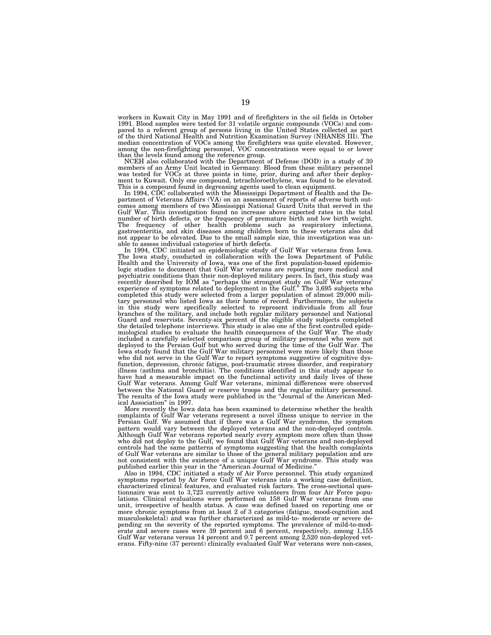workers in Kuwait City in May 1991 and of firefighters in the oil fields in October 1991. Blood samples were tested for 31 volatile organic compounds (VOCs) and compared to a referent group of persons living in the United States collected as part of the third National Health and Nutrition Examination Survey (NHANES III). The median concentration of VOCs among the firefighters was quite elevated. However, among the non-firefighting personnel, VOC concentrations were equal to or lower

than the levels found among the reference group. NCEH also collaborated with the Department of Defense (DOD) in a study of 30 members of an Army Unit located in Germany. Blood from these military personnel was tested for VOCs at three points in time, prior, during and after their deploy-ment to Kuwait. Only one compound, tetrachloroethylene, was found to be elevated. This is a compound found in degreasing agents used to clean equipment. In 1994, CDC collaborated with the Mississippi Department of Health and the De-

partment of Veterans Affairs (VA) on an assessment of reports of adverse birth out-comes among members of two Mississippi National Guard Units that served in the Gulf War. This investigation found no increase above expected rates in the total number of birth defects, or the frequency of premature birth and low birth weight. The frequency of other health problems such as respiratory infections, gastroenteritis, and skin diseases among children born to these veterans also did not appear to be elevated. Due to the small sample size, this investigation was unable to assess individual categories of birth defects.

In 1994, CDC initiated an epidemiologic study of Gulf War veterans from Iowa. The Iowa study, conducted in collaboration with the Iowa Department of Public Health and the University of Iowa, was one of the first population-based epidemio-logic studies to document that Gulf War veterans are reporting more medical and psychiatric conditions than their non-deployed military peers. In fact, this study was recently described by IOM as "perhaps the strongest study on Gulf War veterans"<br>experience of symptoms related to deployment in the Gulf." The 3,695 subjects who<br>completed this study were selected from a larger population branches of the military, and include both regular military personnel and National<br>Guard and reservists. Seventy-six percent of the eligible study subjects completed<br>the detailed telephone interviews. This study is also on miological studies to evaluate the health consequences of the Gulf War. The study included a carefully selected comparison group of military personnel who were not deployed to the Persian Gulf but who served during the time of the Gulf War. The Iowa study found that the Gulf War military personnel were more likely than those who did not serve in the Gulf War to report symptoms suggestive of cognitive dysfunction, depression, chronic fatigue, post-traumatic stress disorder, and respiratory illness (asthma and bronchitis). The conditions identified in this study appear to have had a measurable impact on the functional activity and daily lives of these Gulf War veterans. Among Gulf War veterans, minimal differences were observed between the National Guard or reserve troops and the regular military personnel. The results of the Iowa study were published in the ''Journal of the American Medical Association'' in 1997.

More recently the Iowa data has been examined to determine whether the health complaints of Gulf War veterans represent a novel illness unique to service in the Persian Gulf. We assumed that if there was a Gulf War syndrome, the symptom pattern would vary between the deployed veterans and the non-deployed controls. Although Gulf War veterans reported nearly every symptom more often than those who did not deploy to the Gulf, we found that Gulf War veterans and non-deployed controls had the same patterns of symptoms suggesting that the health complaints of Gulf War veterans are similar to those of the general military population and are not consistent with the existence of a unique Gulf War syndrome. This study was published earlier this year in the "American Journal of Medicine."

Also in 1994, CDC initiated a study of Air Force personnel. This study organized symptoms reported by Air Force Gulf War veterans into a working case definition, characterized clinical features, and evaluated risk factors. The cross-sectional questionnaire was sent to 3,723 currently active volunteers from four Air Force populations. Clinical evaluations were performed on 158 Gulf War veterans from one unit, irrespective of health status. A case was defined based on reporting one or more chronic symptoms from at least 2 of 3 categories (fatigue, mood-cognition and musculoskeletal) and was further characterized as mild-to- moderate or severe depending on the severity of the reported symptoms. The prevalence of mild-to-moderate and severe cases were 39 percent and 6 percent, respectively, among 1,155 Gulf War veterans versus 14 percent and 0.7 percent among 2,520 non-deployed veterans. Fifty-nine (37 percent) clinically evaluated Gulf War veterans were non-cases,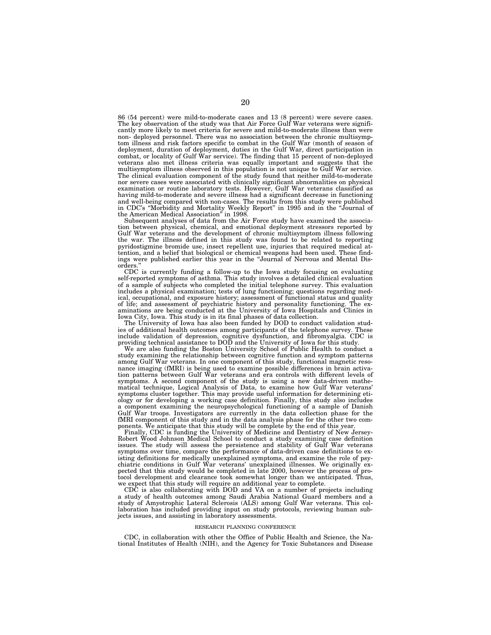86 (54 percent) were mild-to-moderate cases and 13 (8 percent) were severe cases. The key observation of the study was that Air Force Gulf War veterans were significantly more likely to meet criteria for severe and mild-to-moderate illness than were non- deployed personnel. There was no association between the chronic multisymptom illness and risk factors specific to combat in the Gulf War (month of season of deployment, duration of deployment, duties in the Gulf War, direct participation in combat, or locality of Gulf War service). The finding that 15 percent of non-deployed veterans also met illness criteria was equally important and suggests that the multisymptom illness observed in this population is not unique to Gulf War service. The clinical evaluation component of the study found that neither mild-to-moderate nor severe cases were associated with clinically significant abnormalities on physical examination or routine laboratory tests. However, Gulf War veterans classified as having mild-to-moderate and severe illness had a significant decrease in functioning and well-being compared with non-cases. The results from this study were published in CDC's ''Morbidity and Mortality Weekly Report'' in 1995 and in the ''Journal of the American Medical Association'' in 1998.

Subsequent analyses of data from the Air Force study have examined the association between physical, chemical, and emotional deployment stressors reported by Gulf War veterans and the development of chronic multisymptom illness following the war. The illness defined in this study was found to be related to reporting pyridostigmine bromide use, insect repellent use, injuries that required medical attention, and a belief that biological or chemical weapons had been used. These findings were published earlier this year in the ''Journal of Nervous and Mental Disorders.''

CDC is currently funding a follow-up to the Iowa study focusing on evaluating self-reported symptoms of asthma. This study involves a detailed clinical evaluation of a sample of subjects who completed the initial telephone survey. This evaluation includes a physical examination; tests of lung functioning; questions regarding medical, occupational, and exposure history; assessment of functional status and quality of life; and assessment of psychiatric history and personality functioning. The examinations are being conducted at the University of Iowa Hospitals and Clinics in Iowa City, Iowa. This study is in its final phases of data collection.

The University of Iowa has also been funded by DOD to conduct validation studies of additional health outcomes among participants of the telephone survey. These include validation of depression, cognitive dysfunction, and fibromyalgia. CDC is providing technical assistance to DOD and the University of Iowa for this study.

We are also funding the Boston University School of Public Health to conduct a study examining the relationship between cognitive function and symptom patterns among Gulf War veterans. In one component of this study, functional magnetic resonance imaging (fMRI) is being used to examine possible differences in brain activation patterns between Gulf War veterans and era controls with different levels of symptoms. A second component of the study is using a new data-driven mathematical technique, Logical Analysis of Data, to examine how Gulf War veterans' symptoms cluster together. This may provide useful information for determining etiology or for developing a working case definition. Finally, this study also includes a component examining the neuropsychological functioning of a sample of Danish Gulf War troops. Investigators are currently in the data collection phase for the fMRI component of this study and in the data analysis phase for the other two components. We anticipate that this study will be complete by the end of this year.

Finally, CDC is funding the University of Medicine and Dentistry of New Jersey-Robert Wood Johnson Medical School to conduct a study examining case definition issues. The study will assess the persistence and stability of Gulf War veterans symptoms over time, compare the performance of data-driven case definitions to existing definitions for medically unexplained symptoms, and examine the role of psychiatric conditions in Gulf War veterans' unexplained illnesses. We originally expected that this study would be completed in late 2000, however the process of protocol development and clearance took somewhat longer than we anticipated. Thus, we expect that this study will require an additional year to complete.

CDC is also collaborating with DOD and VA on a number of projects including a study of health outcomes among Saudi Arabia National Guard members and a study of Amyotrophic Lateral Sclerosis (ALS) among Gulf War veterans. This collaboration has included providing input on study protocols, reviewing human subjects issues, and assisting in laboratory assessments.

#### RESEARCH PLANNING CONFERENCE

CDC, in collaboration with other the Office of Public Health and Science, the National Institutes of Health (NIH), and the Agency for Toxic Substances and Disease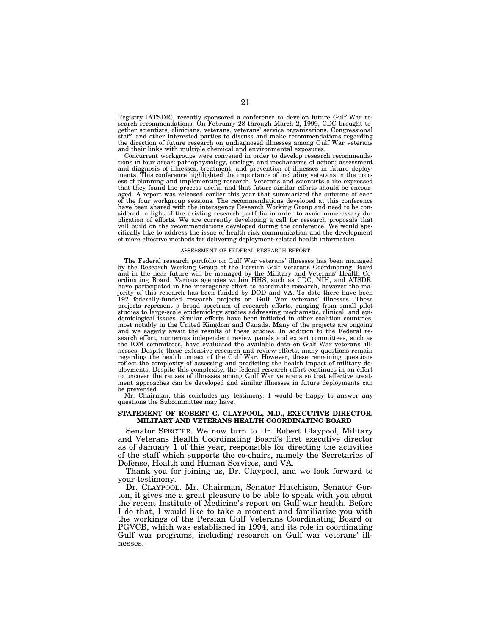Registry (ATSDR), recently sponsored a conference to develop future Gulf War research recommendations. On February 28 through March 2, 1999, CDC brought together scientists, clinicians, veterans, veterans' service organizations, Congressional staff, and other interested parties to discuss and make recommendations regarding the direction of future research on undiagnosed illnesses among Gulf War veterans and their links with multiple chemical and environmental exposures.

Concurrent workgroups were convened in order to develop research recommendations in four areas: pathophysiology, etiology, and mechanisms of action; assessment and diagnosis of illnesses; treatment; and prevention of illnesses in future deployments. This conference highlighted the importance of including veterans in the process of planning and implementing research. Veterans and scientists alike expressed that they found the process useful and that future similar efforts should be encouraged. A report was released earlier this year that summarized the outcome of each of the four workgroup sessions. The recommendations developed at this conference have been shared with the interagency Research Working Group and need to be considered in light of the existing research portfolio in order to avoid unnecessary duplication of efforts. We are currently developing a call for research proposals that will build on the recommendations developed during the conference. We would specifically like to address the issue of health risk communication and the development of more effective methods for delivering deployment-related health information.

#### ASSESSMENT OF FEDERAL RESEARCH EFFORT

The Federal research portfolio on Gulf War veterans' illnesses has been managed by the Research Working Group of the Persian Gulf Veterans Coordinating Board and in the near future will be managed by the Military and Veterans' Health Coordinating Board. Various agencies within HHS, such as CDC, NIH, and ATSDR, have participated in the interagency effort to coordinate research, however the majority of this research has been funded by DOD and VA. To date there have been 192 federally-funded research projects on Gulf War veterans' illnesses. These projects represent a broad spectrum of research efforts, ranging from small pilot studies to large-scale epidemiology studies addressing mechanistic, clinical, and epidemiological issues. Similar efforts have been initiated in other coalition countries, most notably in the United Kingdom and Canada. Many of the projects are ongoing and we eagerly await the results of these studies. In addition to the Federal research effort, numerous independent review panels and expert committees, such as the IOM committees, have evaluated the available data on Gulf War veterans' illnesses. Despite these extensive research and review efforts, many questions remain regarding the health impact of the Gulf War. However, these remaining questions reflect the complexity of assessing and predicting the health impact of military deployments. Despite this complexity, the federal research effort continues in an effort to uncover the causes of illnesses among Gulf War veterans so that effective treatment approaches can be developed and similar illnesses in future deployments can be prevented.

Mr. Chairman, this concludes my testimony. I would be happy to answer any questions the Subcommittee may have.

# **STATEMENT OF ROBERT G. CLAYPOOL, M.D., EXECUTIVE DIRECTOR, MILITARY AND VETERANS HEALTH COORDINATING BOARD**

Senator SPECTER. We now turn to Dr. Robert Claypool, Military and Veterans Health Coordinating Board's first executive director as of January 1 of this year, responsible for directing the activities of the staff which supports the co-chairs, namely the Secretaries of Defense, Health and Human Services, and VA.

Thank you for joining us, Dr. Claypool, and we look forward to your testimony.

Dr. CLAYPOOL. Mr. Chairman, Senator Hutchison, Senator Gorton, it gives me a great pleasure to be able to speak with you about the recent Institute of Medicine's report on Gulf war health. Before I do that, I would like to take a moment and familiarize you with the workings of the Persian Gulf Veterans Coordinating Board or PGVCB, which was established in 1994, and its role in coordinating Gulf war programs, including research on Gulf war veterans' illnesses.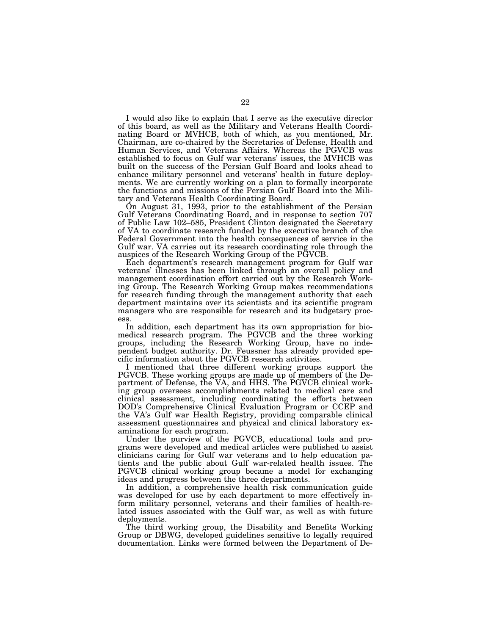I would also like to explain that I serve as the executive director of this board, as well as the Military and Veterans Health Coordinating Board or MVHCB, both of which, as you mentioned, Mr. Chairman, are co-chaired by the Secretaries of Defense, Health and Human Services, and Veterans Affairs. Whereas the PGVCB was established to focus on Gulf war veterans' issues, the MVHCB was built on the success of the Persian Gulf Board and looks ahead to enhance military personnel and veterans' health in future deployments. We are currently working on a plan to formally incorporate the functions and missions of the Persian Gulf Board into the Military and Veterans Health Coordinating Board.

On August 31, 1993, prior to the establishment of the Persian Gulf Veterans Coordinating Board, and in response to section 707 of Public Law 102–585, President Clinton designated the Secretary of VA to coordinate research funded by the executive branch of the Federal Government into the health consequences of service in the Gulf war. VA carries out its research coordinating role through the auspices of the Research Working Group of the PGVCB.

Each department's research management program for Gulf war veterans' illnesses has been linked through an overall policy and management coordination effort carried out by the Research Working Group. The Research Working Group makes recommendations for research funding through the management authority that each department maintains over its scientists and its scientific program managers who are responsible for research and its budgetary process.

In addition, each department has its own appropriation for biomedical research program. The PGVCB and the three working groups, including the Research Working Group, have no independent budget authority. Dr. Feussner has already provided specific information about the PGVCB research activities.

I mentioned that three different working groups support the PGVCB. These working groups are made up of members of the Department of Defense, the VA, and HHS. The PGVCB clinical working group oversees accomplishments related to medical care and clinical assessment, including coordinating the efforts between DOD's Comprehensive Clinical Evaluation Program or CCEP and the VA's Gulf war Health Registry, providing comparable clinical assessment questionnaires and physical and clinical laboratory examinations for each program.

Under the purview of the PGVCB, educational tools and programs were developed and medical articles were published to assist clinicians caring for Gulf war veterans and to help education patients and the public about Gulf war-related health issues. The PGVCB clinical working group became a model for exchanging ideas and progress between the three departments.

In addition, a comprehensive health risk communication guide was developed for use by each department to more effectively inform military personnel, veterans and their families of health-related issues associated with the Gulf war, as well as with future deployments.

The third working group, the Disability and Benefits Working Group or DBWG, developed guidelines sensitive to legally required documentation. Links were formed between the Department of De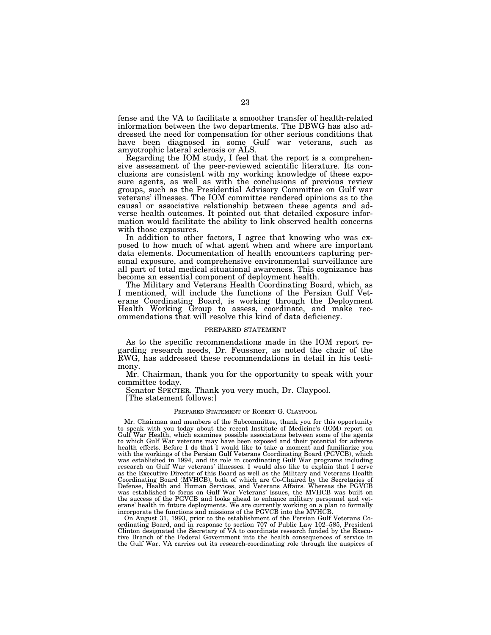fense and the VA to facilitate a smoother transfer of health-related information between the two departments. The DBWG has also addressed the need for compensation for other serious conditions that have been diagnosed in some Gulf war veterans, such as amyotrophic lateral sclerosis or ALS.

Regarding the IOM study, I feel that the report is a comprehensive assessment of the peer-reviewed scientific literature. Its conclusions are consistent with my working knowledge of these exposure agents, as well as with the conclusions of previous review groups, such as the Presidential Advisory Committee on Gulf war veterans' illnesses. The IOM committee rendered opinions as to the causal or associative relationship between these agents and adverse health outcomes. It pointed out that detailed exposure information would facilitate the ability to link observed health concerns with those exposures.

In addition to other factors, I agree that knowing who was exposed to how much of what agent when and where are important data elements. Documentation of health encounters capturing personal exposure, and comprehensive environmental surveillance are all part of total medical situational awareness. This cognizance has become an essential component of deployment health.

The Military and Veterans Health Coordinating Board, which, as I mentioned, will include the functions of the Persian Gulf Veterans Coordinating Board, is working through the Deployment Health Working Group to assess, coordinate, and make recommendations that will resolve this kind of data deficiency.

#### PREPARED STATEMENT

As to the specific recommendations made in the IOM report regarding research needs, Dr. Feussner, as noted the chair of the RWG, has addressed these recommendations in detail in his testimony.

Mr. Chairman, thank you for the opportunity to speak with your committee today.

Senator SPECTER. Thank you very much, Dr. Claypool.

[The statement follows:]

## PREPARED STATEMENT OF ROBERT G. CLAYPOOL

Mr. Chairman and members of the Subcommittee, thank you for this opportunity to speak with you today about the recent Institute of Medicine's (IOM) report on Gulf War Health, which examines possible associations between some of the agents to which Gulf War veterans may have been exposed and their potential for adverse health effects. Before I do that I would like to take a moment and familiarize you with the workings of the Persian Gulf Veterans Coordinating Board (PGVCB), which was established in 1994, and its role in coordinating Gulf War programs including research on Gulf War veterans' illnesses. I would also like to explain that I serve as the Executive Director of this Board as well as the Military and Veterans Health Coordinating Board (MVHCB), both of which are Co-Chaired by the Secretaries of Defense, Health and Human Services, and Veterans Affairs. Whereas the PGVCB was established to focus on Gulf War Veterans' issues, the MVHCB was built on the success of the PGVCB and looks ahead to enhance military personnel and veterans' health in future deployments. We are currently working on a plan to formally incorporate the functions and missions of the PGVCB into the MVHCB.

On August 31, 1993, prior to the establishment of the Persian Gulf Veterans Coordinating Board, and in response to section 707 of Public Law 102–585, President Clinton designated the Secretary of VA to coordinate research funded by the Executive Branch of the Federal Government into the health consequences of service in the Gulf War. VA carries out its research-coordinating role through the auspices of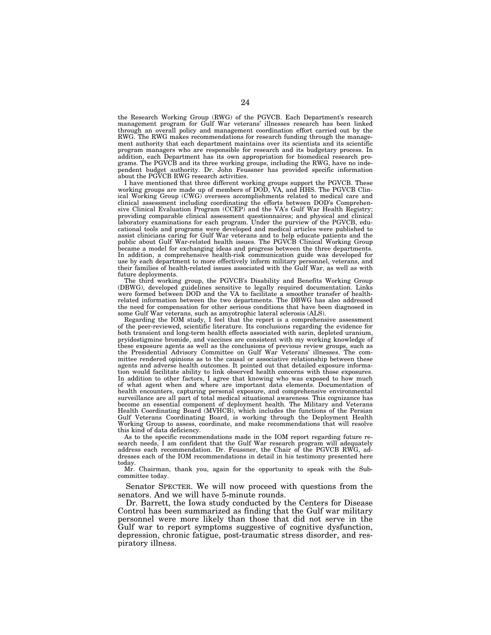the Research Working Group (RWG) of the PGVCB. Each Department's research management program for Gulf War veterans' illnesses research has been linked through an overall policy and management coordination effort carried out by the RWG. The RWG makes recommendations for research funding through the management authority that each department maintains over its scientists and its scientific program managers who are responsible for research and its budgetary process. In addition, each Department has its own appropriation for biomedical research programs. The PGVCB and its three working groups, including the RWG, have no independent budget authority. Dr. John Feussner has provided specific information about the PGVCB RWG research activities.

I have mentioned that three different working groups support the PGVCB. These working groups are made up of members of DOD, VA, and HHS. The PGVCB Clinical Working Group (CWG) oversees accomplishments related to medical care and clinical assessment including coordinating the efforts between DOD's Comprehensive Clinical Evaluation Program (CCEP) and the VA's Gulf War Health Registry; providing comparable clinical assessment questionnaires; and physical and clinical laboratory examinations for each program. Under the purview of the PGVCB, educational tools and programs were developed and medical articles were published to assist clinicians caring for Gulf War veterans and to help educate patients and the public about Gulf War-related health issues. The PGVCB Clinical Working Group became a model for exchanging ideas and progress between the three departments. In addition, a comprehensive health-risk communication guide was developed for use by each department to more effectively inform military personnel, veterans, and their families of health-related issues associated with the Gulf War, as well as with future deployments.

The third working group, the PGVCB's Disability and Benefits Working Group (DBWG), developed guidelines sensitive to legally required documentation. Links were formed between DOD and the VA to facilitate a smoother transfer of healthrelated information between the two departments. The DBWG has also addressed the need for compensation for other serious conditions that have been diagnosed in some Gulf War veterans, such as amyotrophic lateral sclerosis (ALS).

Regarding the IOM study, I feel that the report is a comprehensive assessment of the peer-reviewed, scientific literature. Its conclusions regarding the evidence for both transient and long-term health effects associated with sarin, depleted uranium, pryidostigmine bromide, and vaccines are consistent with my working knowledge of these exposure agents as well as the conclusions of previous review groups, such as the Presidential Advisory Committee on Gulf War Veterans' illnesses. The committee rendered opinions as to the causal or associative relationship between these agents and adverse health outcomes. It pointed out that detailed exposure information would facilitate ability to link observed health concerns with those exposures. In addition to other factors, I agree that knowing who was exposed to how much of what agent when and where are important data elements. Documentation of health encounters, capturing personal exposure, and comprehensive environmental surveillance are all part of total medical situational awareness. This cognizance has become an essential component of deployment health. The Military and Veterans Health Coordinating Board (MVHCB), which includes the functions of the Persian Gulf Veterans Coordinating Board, is working through the Deployment Health Working Group to assess, coordinate, and make recommendations that will resolve this kind of data deficiency.

As to the specific recommendations made in the IOM report regarding future research needs, I am confident that the Gulf War research program will adequately address each recommendation. Dr. Feussner, the Chair of the PGVCB RWG, addresses each of the IOM recommendations in detail in his testimony presented here today.

Mr. Chairman, thank you, again for the opportunity to speak with the Subcommittee today.

Senator SPECTER. We will now proceed with questions from the senators. And we will have 5-minute rounds.

Dr. Barrett, the Iowa study conducted by the Centers for Disease Control has been summarized as finding that the Gulf war military personnel were more likely than those that did not serve in the Gulf war to report symptoms suggestive of cognitive dysfunction, depression, chronic fatigue, post-traumatic stress disorder, and respiratory illness.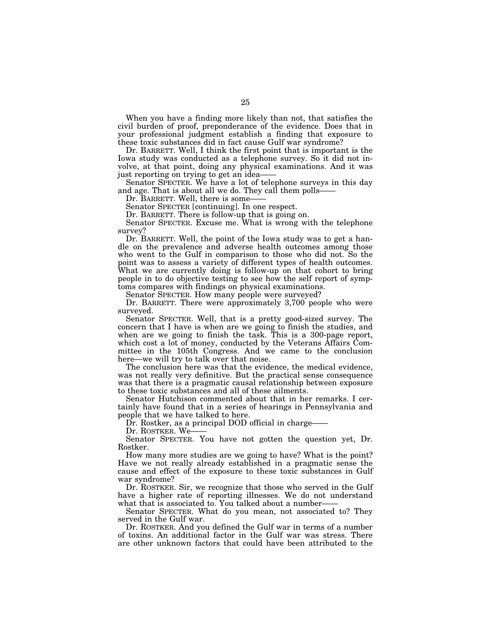When you have a finding more likely than not, that satisfies the civil burden of proof, preponderance of the evidence. Does that in your professional judgment establish a finding that exposure to these toxic substances did in fact cause Gulf war syndrome?

Dr. BARRETT. Well, I think the first point that is important is the Iowa study was conducted as a telephone survey. So it did not involve, at that point, doing any physical examinations. And it was

Senator SPECTER. We have a lot of telephone surveys in this day and age. That is about all we do. They call them polls–Dr. BARRETT. Well, there is some——<br>Senator SPECTER [continuing]. In one respect.

Dr. BARRETT. There is follow-up that is going on.

Senator SPECTER. Excuse me. What is wrong with the telephone survey?

Dr. BARRETT. Well, the point of the Iowa study was to get a handle on the prevalence and adverse health outcomes among those who went to the Gulf in comparison to those who did not. So the point was to assess a variety of different types of health outcomes. What we are currently doing is follow-up on that cohort to bring people in to do objective testing to see how the self report of symptoms compares with findings on physical examinations.

Senator SPECTER. How many people were surveyed?

Dr. BARRETT. There were approximately 3,700 people who were surveyed.

Senator SPECTER. Well, that is a pretty good-sized survey. The concern that I have is when are we going to finish the studies, and when are we going to finish the task. This is a 300-page report, which cost a lot of money, conducted by the Veterans Affairs Committee in the 105th Congress. And we came to the conclusion here—we will try to talk over that noise.

The conclusion here was that the evidence, the medical evidence, was not really very definitive. But the practical sense consequence was that there is a pragmatic causal relationship between exposure to these toxic substances and all of these ailments.

Senator Hutchison commented about that in her remarks. I certainly have found that in a series of hearings in Pennsylvania and people that we have talked to here.

Dr. Rostker, as a principal DOD official in charge-

Dr. ROSTKER. We-

Senator SPECTER. You have not gotten the question yet, Dr. Rostker.

How many more studies are we going to have? What is the point? Have we not really already established in a pragmatic sense the cause and effect of the exposure to these toxic substances in Gulf war syndrome?

Dr. ROSTKER. Sir, we recognize that those who served in the Gulf have a higher rate of reporting illnesses. We do not understand what that is associated to. You talked about a number——<br>Senator SPECTER. What do you mean, not associated to? They

served in the Gulf war.

Dr. ROSTKER. And you defined the Gulf war in terms of a number of toxins. An additional factor in the Gulf war was stress. There are other unknown factors that could have been attributed to the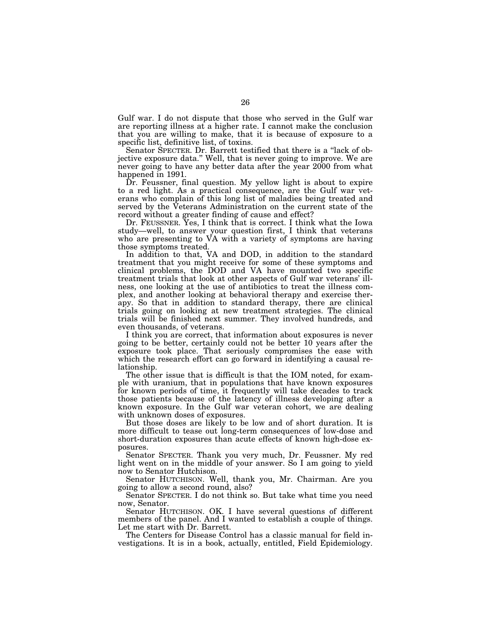Gulf war. I do not dispute that those who served in the Gulf war are reporting illness at a higher rate. I cannot make the conclusion that you are willing to make, that it is because of exposure to a specific list, definitive list, of toxins.

Senator SPECTER. Dr. Barrett testified that there is a ''lack of objective exposure data.'' Well, that is never going to improve. We are never going to have any better data after the year 2000 from what happened in 1991.

Dr. Feussner, final question. My yellow light is about to expire to a red light. As a practical consequence, are the Gulf war veterans who complain of this long list of maladies being treated and served by the Veterans Administration on the current state of the record without a greater finding of cause and effect?

Dr. FEUSSNER. Yes, I think that is correct. I think what the Iowa study—well, to answer your question first, I think that veterans who are presenting to VA with a variety of symptoms are having those symptoms treated.

In addition to that, VA and DOD, in addition to the standard treatment that you might receive for some of these symptoms and clinical problems, the DOD and VA have mounted two specific treatment trials that look at other aspects of Gulf war veterans' illness, one looking at the use of antibiotics to treat the illness complex, and another looking at behavioral therapy and exercise therapy. So that in addition to standard therapy, there are clinical trials going on looking at new treatment strategies. The clinical trials will be finished next summer. They involved hundreds, and even thousands, of veterans.

I think you are correct, that information about exposures is never going to be better, certainly could not be better 10 years after the exposure took place. That seriously compromises the ease with which the research effort can go forward in identifying a causal relationship.

The other issue that is difficult is that the IOM noted, for example with uranium, that in populations that have known exposures for known periods of time, it frequently will take decades to track those patients because of the latency of illness developing after a known exposure. In the Gulf war veteran cohort, we are dealing with unknown doses of exposures.

But those doses are likely to be low and of short duration. It is more difficult to tease out long-term consequences of low-dose and short-duration exposures than acute effects of known high-dose exposures.

Senator SPECTER. Thank you very much, Dr. Feussner. My red light went on in the middle of your answer. So I am going to yield now to Senator Hutchison.

Senator HUTCHISON. Well, thank you, Mr. Chairman. Are you going to allow a second round, also?

Senator SPECTER. I do not think so. But take what time you need now, Senator.

Senator HUTCHISON. OK. I have several questions of different members of the panel. And I wanted to establish a couple of things. Let me start with Dr. Barrett.

The Centers for Disease Control has a classic manual for field investigations. It is in a book, actually, entitled, Field Epidemiology.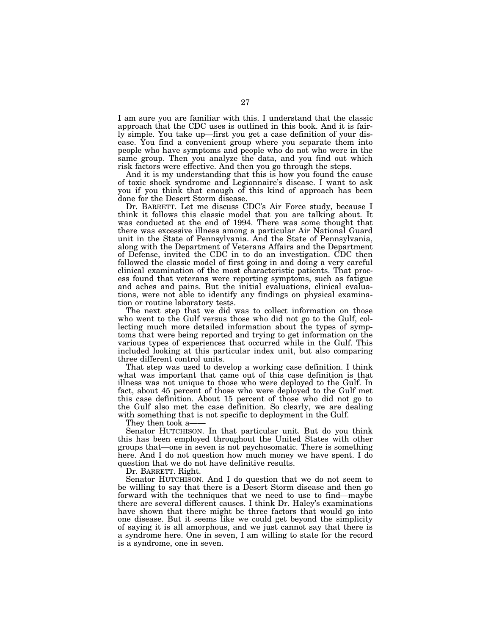I am sure you are familiar with this. I understand that the classic approach that the CDC uses is outlined in this book. And it is fairly simple. You take up—first you get a case definition of your disease. You find a convenient group where you separate them into people who have symptoms and people who do not who were in the same group. Then you analyze the data, and you find out which risk factors were effective. And then you go through the steps.

And it is my understanding that this is how you found the cause of toxic shock syndrome and Legionnaire's disease. I want to ask you if you think that enough of this kind of approach has been done for the Desert Storm disease.

Dr. BARRETT. Let me discuss CDC's Air Force study, because I think it follows this classic model that you are talking about. It was conducted at the end of 1994. There was some thought that there was excessive illness among a particular Air National Guard unit in the State of Pennsylvania. And the State of Pennsylvania, along with the Department of Veterans Affairs and the Department of Defense, invited the CDC in to do an investigation. CDC then followed the classic model of first going in and doing a very careful clinical examination of the most characteristic patients. That process found that veterans were reporting symptoms, such as fatigue and aches and pains. But the initial evaluations, clinical evaluations, were not able to identify any findings on physical examination or routine laboratory tests.

The next step that we did was to collect information on those who went to the Gulf versus those who did not go to the Gulf, collecting much more detailed information about the types of symptoms that were being reported and trying to get information on the various types of experiences that occurred while in the Gulf. This included looking at this particular index unit, but also comparing three different control units.

That step was used to develop a working case definition. I think what was important that came out of this case definition is that illness was not unique to those who were deployed to the Gulf. In fact, about 45 percent of those who were deployed to the Gulf met this case definition. About 15 percent of those who did not go to the Gulf also met the case definition. So clearly, we are dealing with something that is not specific to deployment in the Gulf.

They then took a-

Senator HUTCHISON. In that particular unit. But do you think this has been employed throughout the United States with other groups that—one in seven is not psychosomatic. There is something here. And I do not question how much money we have spent. I do question that we do not have definitive results.

Dr. BARRETT. Right.

Senator HUTCHISON. And I do question that we do not seem to be willing to say that there is a Desert Storm disease and then go forward with the techniques that we need to use to find—maybe there are several different causes. I think Dr. Haley's examinations have shown that there might be three factors that would go into one disease. But it seems like we could get beyond the simplicity of saying it is all amorphous, and we just cannot say that there is a syndrome here. One in seven, I am willing to state for the record is a syndrome, one in seven.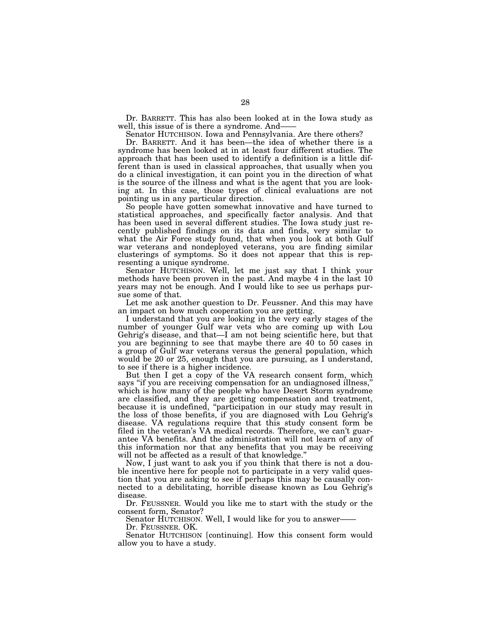Dr. BARRETT. This has also been looked at in the Iowa study as well, this issue of is there a syndrome. And—

Senator HUTCHISON. Iowa and Pennsylvania. Are there others?

Dr. BARRETT. And it has been—the idea of whether there is a syndrome has been looked at in at least four different studies. The approach that has been used to identify a definition is a little different than is used in classical approaches, that usually when you do a clinical investigation, it can point you in the direction of what is the source of the illness and what is the agent that you are looking at. In this case, those types of clinical evaluations are not pointing us in any particular direction.

So people have gotten somewhat innovative and have turned to statistical approaches, and specifically factor analysis. And that has been used in several different studies. The Iowa study just recently published findings on its data and finds, very similar to what the Air Force study found, that when you look at both Gulf war veterans and nondeployed veterans, you are finding similar clusterings of symptoms. So it does not appear that this is representing a unique syndrome.

Senator HUTCHISON. Well, let me just say that I think your methods have been proven in the past. And maybe 4 in the last 10 years may not be enough. And I would like to see us perhaps pursue some of that.

Let me ask another question to Dr. Feussner. And this may have an impact on how much cooperation you are getting.

I understand that you are looking in the very early stages of the number of younger Gulf war vets who are coming up with Lou Gehrig's disease, and that—I am not being scientific here, but that you are beginning to see that maybe there are 40 to 50 cases in a group of Gulf war veterans versus the general population, which would be 20 or 25, enough that you are pursuing, as I understand, to see if there is a higher incidence.

But then I get a copy of the VA research consent form, which says "if you are receiving compensation for an undiagnosed illness," which is how many of the people who have Desert Storm syndrome are classified, and they are getting compensation and treatment, because it is undefined, ''participation in our study may result in the loss of those benefits, if you are diagnosed with Lou Gehrig's disease. VA regulations require that this study consent form be filed in the veteran's VA medical records. Therefore, we can't guarantee VA benefits. And the administration will not learn of any of this information nor that any benefits that you may be receiving will not be affected as a result of that knowledge."

Now, I just want to ask you if you think that there is not a double incentive here for people not to participate in a very valid question that you are asking to see if perhaps this may be causally connected to a debilitating, horrible disease known as Lou Gehrig's disease.

Dr. FEUSSNER. Would you like me to start with the study or the consent form, Senator?

Senator HUTCHISON. Well, I would like for you to answer——

Dr. FEUSSNER. OK.

Senator HUTCHISON [continuing]. How this consent form would allow you to have a study.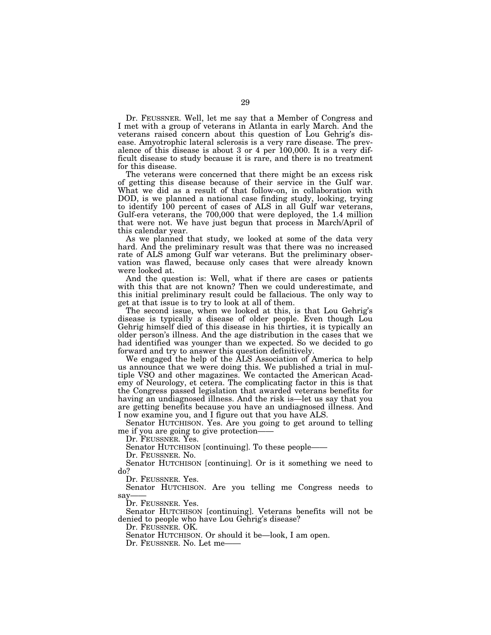Dr. FEUSSNER. Well, let me say that a Member of Congress and I met with a group of veterans in Atlanta in early March. And the veterans raised concern about this question of Lou Gehrig's disease. Amyotrophic lateral sclerosis is a very rare disease. The prevalence of this disease is about 3 or 4 per 100,000. It is a very difficult disease to study because it is rare, and there is no treatment for this disease.

The veterans were concerned that there might be an excess risk of getting this disease because of their service in the Gulf war. What we did as a result of that follow-on, in collaboration with DOD, is we planned a national case finding study, looking, trying to identify 100 percent of cases of ALS in all Gulf war veterans, Gulf-era veterans, the 700,000 that were deployed, the 1.4 million that were not. We have just begun that process in March/April of this calendar year.

As we planned that study, we looked at some of the data very hard. And the preliminary result was that there was no increased rate of ALS among Gulf war veterans. But the preliminary observation was flawed, because only cases that were already known were looked at.

And the question is: Well, what if there are cases or patients with this that are not known? Then we could underestimate, and this initial preliminary result could be fallacious. The only way to get at that issue is to try to look at all of them.

The second issue, when we looked at this, is that Lou Gehrig's disease is typically a disease of older people. Even though Lou Gehrig himself died of this disease in his thirties, it is typically an older person's illness. And the age distribution in the cases that we had identified was younger than we expected. So we decided to go forward and try to answer this question definitively.

We engaged the help of the ALS Association of America to help us announce that we were doing this. We published a trial in multiple VSO and other magazines. We contacted the American Academy of Neurology, et cetera. The complicating factor in this is that the Congress passed legislation that awarded veterans benefits for having an undiagnosed illness. And the risk is—let us say that you are getting benefits because you have an undiagnosed illness. And I now examine you, and I figure out that you have ALS.

Senator HUTCHISON. Yes. Are you going to get around to telling me if you are going to give protection-<br>Dr. FEUSSNER. Yes.

Senator HUTCHISON [continuing]. To these people——

Dr. FEUSSNER. No.

Senator HUTCHISON [continuing]. Or is it something we need to do?

Dr. FEUSSNER. Yes.

Senator HUTCHISON. Are you telling me Congress needs to say

Dr. FEUSSNER. Yes.

Senator HUTCHISON [continuing]. Veterans benefits will not be denied to people who have Lou Gehrig's disease?

Dr. FEUSSNER. OK.

Senator HUTCHISON. Or should it be—look, I am open.

Dr. FEUSSNER. No. Let me-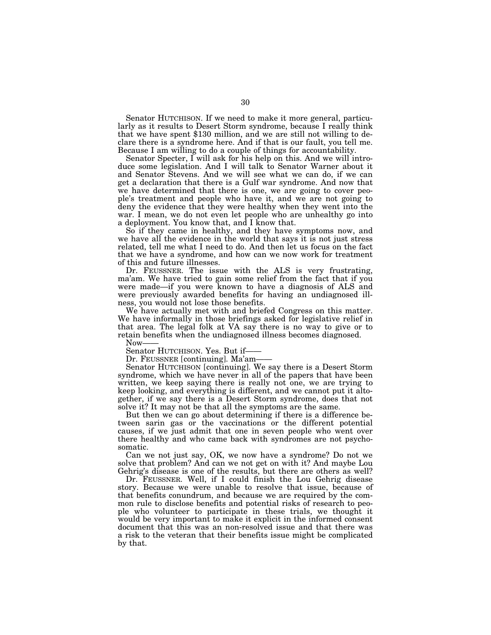Senator HUTCHISON. If we need to make it more general, particularly as it results to Desert Storm syndrome, because I really think that we have spent \$130 million, and we are still not willing to declare there is a syndrome here. And if that is our fault, you tell me. Because I am willing to do a couple of things for accountability.

Senator Specter, I will ask for his help on this. And we will introduce some legislation. And I will talk to Senator Warner about it and Senator Stevens. And we will see what we can do, if we can get a declaration that there is a Gulf war syndrome. And now that we have determined that there is one, we are going to cover people's treatment and people who have it, and we are not going to deny the evidence that they were healthy when they went into the war. I mean, we do not even let people who are unhealthy go into a deployment. You know that, and I know that.

So if they came in healthy, and they have symptoms now, and we have all the evidence in the world that says it is not just stress related, tell me what I need to do. And then let us focus on the fact that we have a syndrome, and how can we now work for treatment of this and future illnesses.

Dr. FEUSSNER. The issue with the ALS is very frustrating, ma'am. We have tried to gain some relief from the fact that if you were made—if you were known to have a diagnosis of ALS and were previously awarded benefits for having an undiagnosed illness, you would not lose those benefits.

We have actually met with and briefed Congress on this matter. We have informally in those briefings asked for legislative relief in that area. The legal folk at VA say there is no way to give or to retain benefits when the undiagnosed illness becomes diagnosed.

Senator HUTCHISON. Yes. But if——<br>Dr. FEUSSNER [continuing]. Ma'am——<br>Senator HUTCHISON [continuing]. We say there is a Desert Storm syndrome, which we have never in all of the papers that have been written, we keep saying there is really not one, we are trying to keep looking, and everything is different, and we cannot put it altogether, if we say there is a Desert Storm syndrome, does that not solve it? It may not be that all the symptoms are the same.

But then we can go about determining if there is a difference between sarin gas or the vaccinations or the different potential causes, if we just admit that one in seven people who went over there healthy and who came back with syndromes are not psychosomatic.

Can we not just say, OK, we now have a syndrome? Do not we solve that problem? And can we not get on with it? And maybe Lou Gehrig's disease is one of the results, but there are others as well?

Dr. FEUSSNER. Well, if I could finish the Lou Gehrig disease story. Because we were unable to resolve that issue, because of that benefits conundrum, and because we are required by the common rule to disclose benefits and potential risks of research to people who volunteer to participate in these trials, we thought it would be very important to make it explicit in the informed consent document that this was an non-resolved issue and that there was a risk to the veteran that their benefits issue might be complicated by that.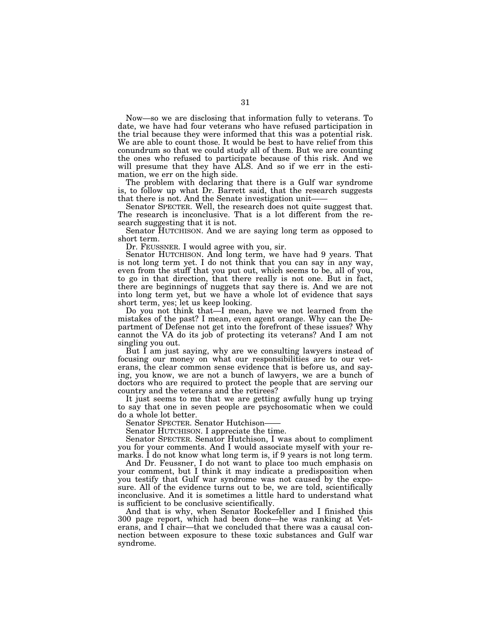Now—so we are disclosing that information fully to veterans. To date, we have had four veterans who have refused participation in the trial because they were informed that this was a potential risk. We are able to count those. It would be best to have relief from this conundrum so that we could study all of them. But we are counting the ones who refused to participate because of this risk. And we will presume that they have ALS. And so if we err in the estimation, we err on the high side.

The problem with declaring that there is a Gulf war syndrome is, to follow up what Dr. Barrett said, that the research suggests

Senator SPECTER. Well, the research does not quite suggest that. The research is inconclusive. That is a lot different from the research suggesting that it is not.

Senator HUTCHISON. And we are saying long term as opposed to short term.

Dr. FEUSSNER. I would agree with you, sir.

Senator HUTCHISON. And long term, we have had 9 years. That is not long term yet. I do not think that you can say in any way, even from the stuff that you put out, which seems to be, all of you, to go in that direction, that there really is not one. But in fact, there are beginnings of nuggets that say there is. And we are not into long term yet, but we have a whole lot of evidence that says short term, yes; let us keep looking.

Do you not think that—I mean, have we not learned from the mistakes of the past? I mean, even agent orange. Why can the Department of Defense not get into the forefront of these issues? Why cannot the VA do its job of protecting its veterans? And I am not singling you out.

But I am just saying, why are we consulting lawyers instead of focusing our money on what our responsibilities are to our veterans, the clear common sense evidence that is before us, and saying, you know, we are not a bunch of lawyers, we are a bunch of doctors who are required to protect the people that are serving our country and the veterans and the retirees?

It just seems to me that we are getting awfully hung up trying to say that one in seven people are psychosomatic when we could do a whole lot better.<br>Senator SPECTER. Senator Hutchison-

Senator HUTCHISON. I appreciate the time.

Senator SPECTER. Senator Hutchison, I was about to compliment you for your comments. And I would associate myself with your remarks. I do not know what long term is, if 9 years is not long term.

And Dr. Feussner, I do not want to place too much emphasis on your comment, but I think it may indicate a predisposition when you testify that Gulf war syndrome was not caused by the exposure. All of the evidence turns out to be, we are told, scientifically inconclusive. And it is sometimes a little hard to understand what is sufficient to be conclusive scientifically.

And that is why, when Senator Rockefeller and I finished this 300 page report, which had been done—he was ranking at Veterans, and I chair—that we concluded that there was a causal connection between exposure to these toxic substances and Gulf war syndrome.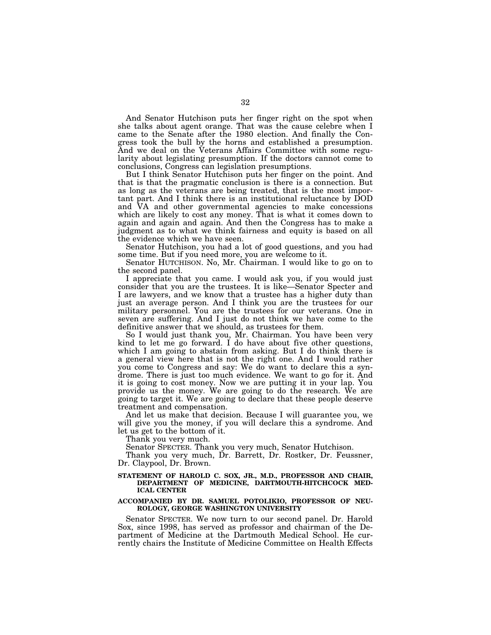And Senator Hutchison puts her finger right on the spot when she talks about agent orange. That was the cause celebre when I came to the Senate after the 1980 election. And finally the Congress took the bull by the horns and established a presumption. And we deal on the Veterans Affairs Committee with some regularity about legislating presumption. If the doctors cannot come to conclusions, Congress can legislation presumptions.

But I think Senator Hutchison puts her finger on the point. And that is that the pragmatic conclusion is there is a connection. But as long as the veterans are being treated, that is the most important part. And I think there is an institutional reluctance by DOD and VA and other governmental agencies to make concessions which are likely to cost any money. That is what it comes down to again and again and again. And then the Congress has to make a judgment as to what we think fairness and equity is based on all the evidence which we have seen.

Senator Hutchison, you had a lot of good questions, and you had some time. But if you need more, you are welcome to it.

Senator HUTCHISON. No, Mr. Chairman. I would like to go on to the second panel.

I appreciate that you came. I would ask you, if you would just consider that you are the trustees. It is like—Senator Specter and I are lawyers, and we know that a trustee has a higher duty than just an average person. And I think you are the trustees for our military personnel. You are the trustees for our veterans. One in seven are suffering. And I just do not think we have come to the definitive answer that we should, as trustees for them.

So I would just thank you, Mr. Chairman. You have been very kind to let me go forward. I do have about five other questions, which I am going to abstain from asking. But I do think there is a general view here that is not the right one. And I would rather you come to Congress and say: We do want to declare this a syndrome. There is just too much evidence. We want to go for it. And it is going to cost money. Now we are putting it in your lap. You provide us the money. We are going to do the research. We are going to target it. We are going to declare that these people deserve treatment and compensation.

And let us make that decision. Because I will guarantee you, we will give you the money, if you will declare this a syndrome. And let us get to the bottom of it.

Thank you very much.

Senator SPECTER. Thank you very much, Senator Hutchison.

Thank you very much, Dr. Barrett, Dr. Rostker, Dr. Feussner, Dr. Claypool, Dr. Brown.

# **STATEMENT OF HAROLD C. SOX, JR., M.D., PROFESSOR AND CHAIR, DEPARTMENT OF MEDICINE, DARTMOUTH-HITCHCOCK MED-ICAL CENTER**

# **ACCOMPANIED BY DR. SAMUEL POTOLIKIO, PROFESSOR OF NEU-ROLOGY, GEORGE WASHINGTON UNIVERSITY**

Senator SPECTER. We now turn to our second panel. Dr. Harold Sox, since 1998, has served as professor and chairman of the Department of Medicine at the Dartmouth Medical School. He currently chairs the Institute of Medicine Committee on Health Effects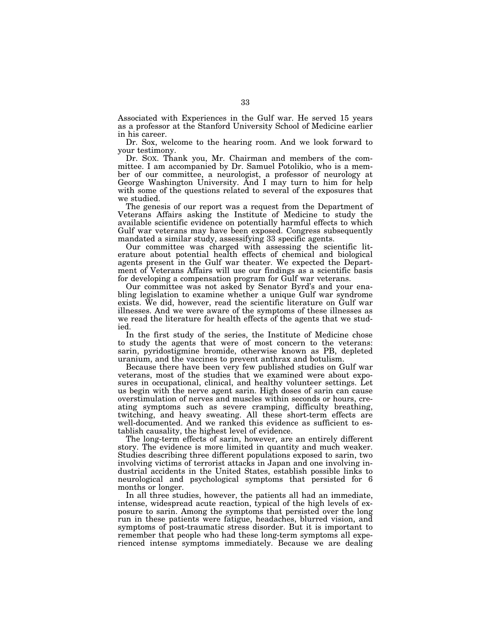Associated with Experiences in the Gulf war. He served 15 years as a professor at the Stanford University School of Medicine earlier in his career.

Dr. Sox, welcome to the hearing room. And we look forward to your testimony.

Dr. SOX. Thank you, Mr. Chairman and members of the committee. I am accompanied by Dr. Samuel Potolikio, who is a member of our committee, a neurologist, a professor of neurology at George Washington University. And I may turn to him for help with some of the questions related to several of the exposures that we studied.

The genesis of our report was a request from the Department of Veterans Affairs asking the Institute of Medicine to study the available scientific evidence on potentially harmful effects to which Gulf war veterans may have been exposed. Congress subsequently mandated a similar study, assessifying 33 specific agents.

Our committee was charged with assessing the scientific literature about potential health effects of chemical and biological agents present in the Gulf war theater. We expected the Department of Veterans Affairs will use our findings as a scientific basis for developing a compensation program for Gulf war veterans.

Our committee was not asked by Senator Byrd's and your enabling legislation to examine whether a unique Gulf war syndrome exists. We did, however, read the scientific literature on Gulf war illnesses. And we were aware of the symptoms of these illnesses as we read the literature for health effects of the agents that we studied.

In the first study of the series, the Institute of Medicine chose to study the agents that were of most concern to the veterans: sarin, pyridostigmine bromide, otherwise known as PB, depleted uranium, and the vaccines to prevent anthrax and botulism.

Because there have been very few published studies on Gulf war veterans, most of the studies that we examined were about exposures in occupational, clinical, and healthy volunteer settings. Let us begin with the nerve agent sarin. High doses of sarin can cause overstimulation of nerves and muscles within seconds or hours, creating symptoms such as severe cramping, difficulty breathing, twitching, and heavy sweating. All these short-term effects are well-documented. And we ranked this evidence as sufficient to establish causality, the highest level of evidence.

The long-term effects of sarin, however, are an entirely different story. The evidence is more limited in quantity and much weaker. Studies describing three different populations exposed to sarin, two involving victims of terrorist attacks in Japan and one involving industrial accidents in the United States, establish possible links to neurological and psychological symptoms that persisted for 6 months or longer.

In all three studies, however, the patients all had an immediate, intense, widespread acute reaction, typical of the high levels of exposure to sarin. Among the symptoms that persisted over the long run in these patients were fatigue, headaches, blurred vision, and symptoms of post-traumatic stress disorder. But it is important to remember that people who had these long-term symptoms all experienced intense symptoms immediately. Because we are dealing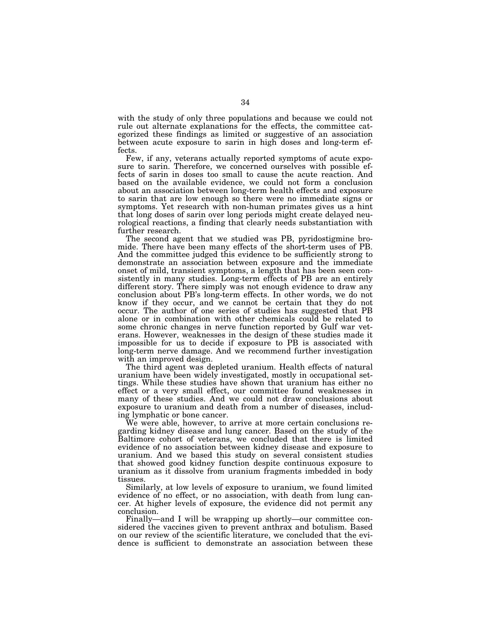with the study of only three populations and because we could not rule out alternate explanations for the effects, the committee categorized these findings as limited or suggestive of an association between acute exposure to sarin in high doses and long-term effects.

Few, if any, veterans actually reported symptoms of acute exposure to sarin. Therefore, we concerned ourselves with possible effects of sarin in doses too small to cause the acute reaction. And based on the available evidence, we could not form a conclusion about an association between long-term health effects and exposure to sarin that are low enough so there were no immediate signs or symptoms. Yet research with non-human primates gives us a hint that long doses of sarin over long periods might create delayed neurological reactions, a finding that clearly needs substantiation with further research.

The second agent that we studied was PB, pyridostigmine bromide. There have been many effects of the short-term uses of PB. And the committee judged this evidence to be sufficiently strong to demonstrate an association between exposure and the immediate onset of mild, transient symptoms, a length that has been seen consistently in many studies. Long-term effects of PB are an entirely different story. There simply was not enough evidence to draw any conclusion about PB's long-term effects. In other words, we do not know if they occur, and we cannot be certain that they do not occur. The author of one series of studies has suggested that PB alone or in combination with other chemicals could be related to some chronic changes in nerve function reported by Gulf war veterans. However, weaknesses in the design of these studies made it impossible for us to decide if exposure to PB is associated with long-term nerve damage. And we recommend further investigation with an improved design.

The third agent was depleted uranium. Health effects of natural uranium have been widely investigated, mostly in occupational settings. While these studies have shown that uranium has either no effect or a very small effect, our committee found weaknesses in many of these studies. And we could not draw conclusions about exposure to uranium and death from a number of diseases, including lymphatic or bone cancer.

We were able, however, to arrive at more certain conclusions regarding kidney disease and lung cancer. Based on the study of the Baltimore cohort of veterans, we concluded that there is limited evidence of no association between kidney disease and exposure to uranium. And we based this study on several consistent studies that showed good kidney function despite continuous exposure to uranium as it dissolve from uranium fragments imbedded in body tissues.

Similarly, at low levels of exposure to uranium, we found limited evidence of no effect, or no association, with death from lung cancer. At higher levels of exposure, the evidence did not permit any conclusion.

Finally—and I will be wrapping up shortly—our committee considered the vaccines given to prevent anthrax and botulism. Based on our review of the scientific literature, we concluded that the evidence is sufficient to demonstrate an association between these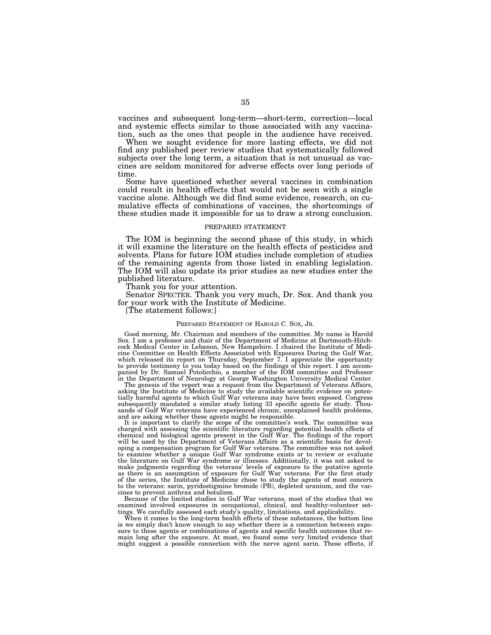vaccines and subsequent long-term—short-term, correction—local and systemic effects similar to those associated with any vaccination, such as the ones that people in the audience have received.

When we sought evidence for more lasting effects, we did not find any published peer review studies that systematically followed subjects over the long term, a situation that is not unusual as vaccines are seldom monitored for adverse effects over long periods of time.

Some have questioned whether several vaccines in combination could result in health effects that would not be seen with a single vaccine alone. Although we did find some evidence, research, on cumulative effects of combinations of vaccines, the shortcomings of these studies made it impossible for us to draw a strong conclusion.

# PREPARED STATEMENT

The IOM is beginning the second phase of this study, in which it will examine the literature on the health effects of pesticides and solvents. Plans for future IOM studies include completion of studies of the remaining agents from those listed in enabling legislation. The IOM will also update its prior studies as new studies enter the published literature.

Thank you for your attention.

Senator SPECTER. Thank you very much, Dr. Sox. And thank you for your work with the Institute of Medicine.

[The statement follows:]

#### PREPARED STATEMENT OF HAROLD C. SOX, JR.

Good morning, Mr. Chairman and members of the committee. My name is Harold Sox. I am a professor and chair of the Department of Medicine at Dartmouth-Hitchcock Medical Center in Lebanon, New Hampshire. I chaired the Institute of Medicine Committee on Health Effects Associated with Exposures During the Gulf War, which released its report on Thursday, September 7. I appreciate the opportunity to provide testimony to you today based on the findings of this report. I am accompanied by Dr. Samuel Potolicchio, a member of the IOM committee and Professor in the Department of Neurology at George Washington University Medical Center.

The genesis of the report was a request from the Department of Veterans Affairs, asking the Institute of Medicine to study the available scientific evidence on potentially harmful agents to which Gulf War veterans may have been exposed. Congress subsequently mandated a similar study listing 33 specific agents for study. Thousands of Gulf War veterans have experienced chronic, unexplained health problems, and are asking whether these agents might be responsible.

It is important to clarify the scope of the committee's work. The committee was charged with assessing the scientific literature regarding potential health effects of chemical and biological agents present in the Gulf War. The findings of the report will be used by the Department of Veterans Affairs as a scientific basis for developing a compensation program for Gulf War veterans. The committee was not asked to examine whether a unique Gulf War syndrome exists or to review or evaluate the literature on Gulf War syndrome or illnesses. Additionally, it was not asked to make judgments regarding the veterans' levels of exposure to the putative agents as there is an assumption of exposure for Gulf War veterans. For the first study of the series, the Institute of Medicine chose to study the agents of most concern to the veterans: sarin, pyridostigmine bromide (PB), depleted uranium, and the vaccines to prevent anthrax and botulism.

Because of the limited studies in Gulf War veterans, most of the studies that we examined involved exposures in occupational, clinical, and healthy-volunteer settings. We carefully assessed each study's quality, limitations, and applicability.

When it comes to the long-term health effects of these substances, the bottom line is we simply don't know enough to say whether there is a connection between exposure to these agents or combinations of agents and specific health outcomes that remain long after the exposure. At most, we found some very limited evidence that might suggest a possible connection with the nerve agent sarin. These effects, if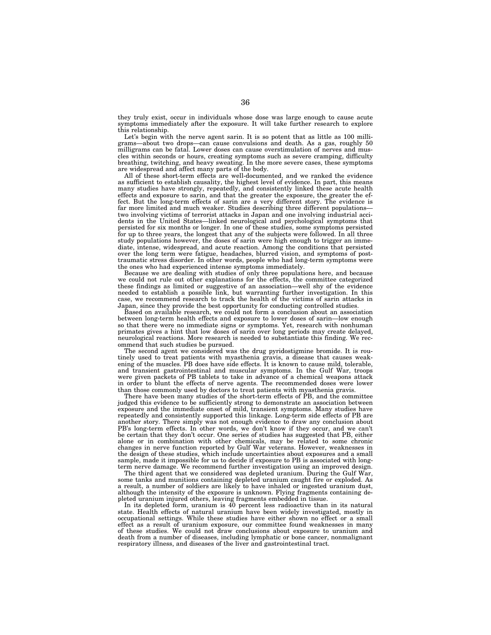they truly exist, occur in individuals whose dose was large enough to cause acute symptoms immediately after the exposure. It will take further research to explore this relationship.

Let's begin with the nerve agent sarin. It is so potent that as little as 100 milligrams—about two drops—can cause convulsions and death. As a gas, roughly 50 milligrams can be fatal. Lower doses can cause overstimulation of nerves and muscles within seconds or hours, creating symptoms such as severe cramping, difficulty breathing, twitching, and heavy sweating. In the more severe cases, these symptoms are widespread and affect many parts of the body.

All of these short-term effects are well-documented, and we ranked the evidence as sufficient to establish causality, the highest level of evidence. In part, this means many studies have strongly, repeatedly, and consistently linked these acute health effects and exposure to sarin, and that the greater the exposure, the greater the effect. But the long-term effects of sarin are a very different story. The evidence is far more limited and much weaker. Studies describing three different populations two involving victims of terrorist attacks in Japan and one involving industrial accidents in the United States—linked neurological and psychological symptoms that persisted for six months or longer. In one of these studies, some symptoms persisted for up to three years, the longest that any of the subjects were followed. In all three study populations however, the doses of sarin were high enough to trigger an immediate, intense, widespread, and acute reaction. Among the conditions that persisted over the long term were fatigue, headaches, blurred vision, and symptoms of posttraumatic stress disorder. In other words, people who had long-term symptoms were the ones who had experienced intense symptoms immediately.

Because we are dealing with studies of only three populations here, and because we could not rule out other explanations for the effects, the committee categorized these findings as limited or suggestive of an association—well shy of the evidence needed to establish a possible link, but warranting further investigation. In this case, we recommend research to track the health of the victims of sarin attacks in Japan, since they provide the best opportunity for conducting controlled studies.

Based on available research, we could not form a conclusion about an association between long-term health effects and exposure to lower doses of sarin—low enough so that there were no immediate signs or symptoms. Yet, research with nonhuman primates gives a hint that low doses of sarin over long periods may create delayed, neurological reactions. More research is needed to substantiate this finding. We recommend that such studies be pursued.

The second agent we considered was the drug pyridostigmine bromide. It is routinely used to treat patients with myasthenia gravis, a disease that causes weakening of the muscles. PB does have side effects. It is known to cause mild, tolerable, and transient gastrointestinal and muscular symptoms. In the Gulf War, troops were given packets of PB tablets to take in advance of a chemical weapons attack in order to blunt the effects of nerve agents. The recommended doses were lower than those commonly used by doctors to treat patients with myasthenia gravis.

There have been many studies of the short-term effects of PB, and the committee judged this evidence to be sufficiently strong to demonstrate an association between exposure and the immediate onset of mild, transient symptoms. Many studies have repeatedly and consistently supported this linkage. Long-term side effects of PB are another story. There simply was not enough evidence to draw any conclusion about PB's long-term effects. In other words, we don't know if they occur, and we can't be certain that they don't occur. One series of studies has suggested that PB, either alone or in combination with other chemicals, may be related to some chronic changes in nerve function reported by Gulf War veterans. However, weaknesses in the design of these studies, which include uncertainties about exposures and a small sample, made it impossible for us to decide if exposure to PB is associated with longterm nerve damage. We recommend further investigation using an improved design.

The third agent that we considered was depleted uranium. During the Gulf War, some tanks and munitions containing depleted uranium caught fire or exploded. As a result, a number of soldiers are likely to have inhaled or ingested uranium dust, although the intensity of the exposure is unknown. Flying fragments containing depleted uranium injured others, leaving fragments embedded in tissue.

In its depleted form, uranium is 40 percent less radioactive than in its natural state. Health effects of natural uranium have been widely investigated, mostly in occupational settings. While these studies have either shown no effect or a small effect as a result of uranium exposure, our committee found weaknesses in many of these studies. We could not draw conclusions about exposure to uranium and death from a number of diseases, including lymphatic or bone cancer, nonmalignant respiratory illness, and diseases of the liver and gastrointestinal tract.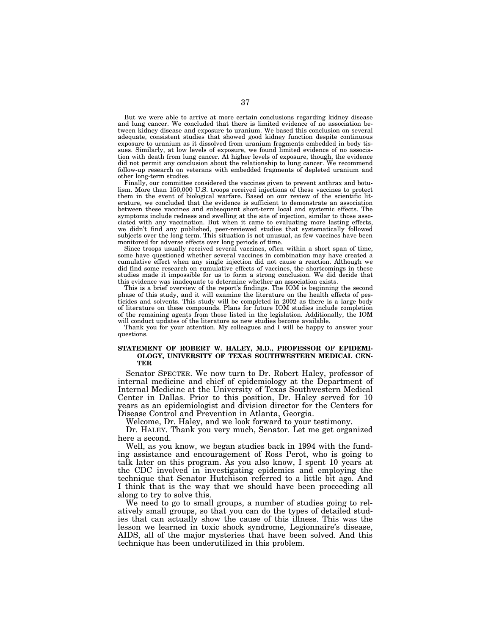But we were able to arrive at more certain conclusions regarding kidney disease and lung cancer. We concluded that there is limited evidence of no association between kidney disease and exposure to uranium. We based this conclusion on several adequate, consistent studies that showed good kidney function despite continuous exposure to uranium as it dissolved from uranium fragments embedded in body tissues. Similarly, at low levels of exposure, we found limited evidence of no association with death from lung cancer. At higher levels of exposure, though, the evidence did not permit any conclusion about the relationship to lung cancer. We recommend follow-up research on veterans with embedded fragments of depleted uranium and other long-term studies.

Finally, our committee considered the vaccines given to prevent anthrax and botulism. More than 150,000 U.S. troops received injections of these vaccines to protect them in the event of biological warfare. Based on our review of the scientific literature, we concluded that the evidence is sufficient to demonstrate an association between these vaccines and subsequent short-term local and systemic effects. The symptoms include redness and swelling at the site of injection, similar to those associated with any vaccination. But when it came to evaluating more lasting effects, we didn't find any published, peer-reviewed studies that systematically followed subjects over the long term. This situation is not unusual, as few vaccines have been monitored for adverse effects over long periods of time.

Since troops usually received several vaccines, often within a short span of time, some have questioned whether several vaccines in combination may have created a cumulative effect when any single injection did not cause a reaction. Although we did find some research on cumulative effects of vaccines, the shortcomings in these studies made it impossible for us to form a strong conclusion. We did decide that this evidence was inadequate to determine whether an association exists.

This is a brief overview of the report's findings. The IOM is beginning the second phase of this study, and it will examine the literature on the health effects of pesticides and solvents. This study will be completed in 2002 as there is a large body of literature on these compounds. Plans for future IOM studies include completion of the remaining agents from those listed in the legislation. Additionally, the IOM will conduct updates of the literature as new studies become available.

Thank you for your attention. My colleagues and I will be happy to answer your questions.

# **STATEMENT OF ROBERT W. HALEY, M.D., PROFESSOR OF EPIDEMI-OLOGY, UNIVERSITY OF TEXAS SOUTHWESTERN MEDICAL CEN-TER**

Senator SPECTER. We now turn to Dr. Robert Haley, professor of internal medicine and chief of epidemiology at the Department of Internal Medicine at the University of Texas Southwestern Medical Center in Dallas. Prior to this position, Dr. Haley served for 10 years as an epidemiologist and division director for the Centers for Disease Control and Prevention in Atlanta, Georgia.

Welcome, Dr. Haley, and we look forward to your testimony.

Dr. HALEY. Thank you very much, Senator. Let me get organized here a second.

Well, as you know, we began studies back in 1994 with the funding assistance and encouragement of Ross Perot, who is going to talk later on this program. As you also know, I spent 10 years at the CDC involved in investigating epidemics and employing the technique that Senator Hutchison referred to a little bit ago. And I think that is the way that we should have been proceeding all along to try to solve this.

We need to go to small groups, a number of studies going to relatively small groups, so that you can do the types of detailed studies that can actually show the cause of this illness. This was the lesson we learned in toxic shock syndrome, Legionnaire's disease, AIDS, all of the major mysteries that have been solved. And this technique has been underutilized in this problem.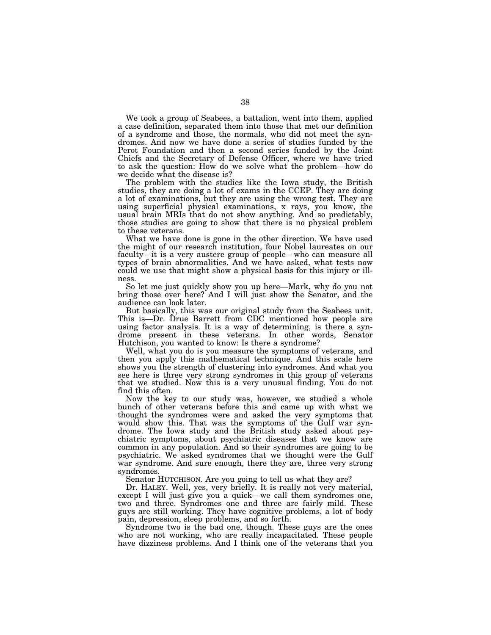We took a group of Seabees, a battalion, went into them, applied a case definition, separated them into those that met our definition of a syndrome and those, the normals, who did not meet the syndromes. And now we have done a series of studies funded by the Perot Foundation and then a second series funded by the Joint Chiefs and the Secretary of Defense Officer, where we have tried to ask the question: How do we solve what the problem—how do we decide what the disease is?

The problem with the studies like the Iowa study, the British studies, they are doing a lot of exams in the CCEP. They are doing a lot of examinations, but they are using the wrong test. They are using superficial physical examinations, x rays, you know, the usual brain MRIs that do not show anything. And so predictably, those studies are going to show that there is no physical problem to these veterans.

What we have done is gone in the other direction. We have used the might of our research institution, four Nobel laureates on our faculty—it is a very austere group of people—who can measure all types of brain abnormalities. And we have asked, what tests now could we use that might show a physical basis for this injury or illness.

So let me just quickly show you up here—Mark, why do you not bring those over here? And I will just show the Senator, and the audience can look later.

But basically, this was our original study from the Seabees unit. This is—Dr. Drue Barrett from CDC mentioned how people are using factor analysis. It is a way of determining, is there a syndrome present in these veterans. In other words, Senator Hutchison, you wanted to know: Is there a syndrome?

Well, what you do is you measure the symptoms of veterans, and then you apply this mathematical technique. And this scale here shows you the strength of clustering into syndromes. And what you see here is three very strong syndromes in this group of veterans that we studied. Now this is a very unusual finding. You do not find this often.

Now the key to our study was, however, we studied a whole bunch of other veterans before this and came up with what we thought the syndromes were and asked the very symptoms that would show this. That was the symptoms of the Gulf war syndrome. The Iowa study and the British study asked about psychiatric symptoms, about psychiatric diseases that we know are common in any population. And so their syndromes are going to be psychiatric. We asked syndromes that we thought were the Gulf war syndrome. And sure enough, there they are, three very strong syndromes.

Senator HUTCHISON. Are you going to tell us what they are?

Dr. HALEY. Well, yes, very briefly. It is really not very material, except I will just give you a quick—we call them syndromes one, two and three. Syndromes one and three are fairly mild. These guys are still working. They have cognitive problems, a lot of body pain, depression, sleep problems, and so forth.

Syndrome two is the bad one, though. These guys are the ones who are not working, who are really incapacitated. These people have dizziness problems. And I think one of the veterans that you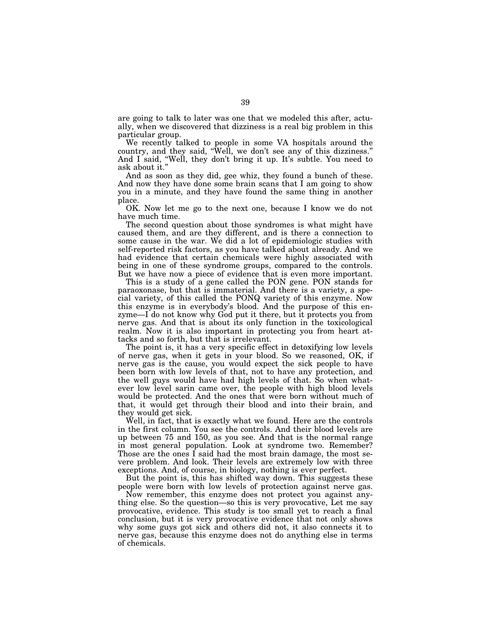are going to talk to later was one that we modeled this after, actually, when we discovered that dizziness is a real big problem in this particular group.

We recently talked to people in some VA hospitals around the country, and they said, ''Well, we don't see any of this dizziness.'' And I said, ''Well, they don't bring it up. It's subtle. You need to ask about it.''

And as soon as they did, gee whiz, they found a bunch of these. And now they have done some brain scans that I am going to show you in a minute, and they have found the same thing in another place.

OK. Now let me go to the next one, because I know we do not have much time.

The second question about those syndromes is what might have caused them, and are they different, and is there a connection to some cause in the war. We did a lot of epidemiologic studies with self-reported risk factors, as you have talked about already. And we had evidence that certain chemicals were highly associated with being in one of these syndrome groups, compared to the controls. But we have now a piece of evidence that is even more important.

This is a study of a gene called the PON gene. PON stands for paraoxonase, but that is immaterial. And there is a variety, a special variety, of this called the PONQ variety of this enzyme. Now this enzyme is in everybody's blood. And the purpose of this enzyme—I do not know why God put it there, but it protects you from nerve gas. And that is about its only function in the toxicological realm. Now it is also important in protecting you from heart attacks and so forth, but that is irrelevant.

The point is, it has a very specific effect in detoxifying low levels of nerve gas, when it gets in your blood. So we reasoned, OK, if nerve gas is the cause, you would expect the sick people to have been born with low levels of that, not to have any protection, and the well guys would have had high levels of that. So when whatever low level sarin came over, the people with high blood levels would be protected. And the ones that were born without much of that, it would get through their blood and into their brain, and they would get sick.

Well, in fact, that is exactly what we found. Here are the controls in the first column. You see the controls. And their blood levels are up between 75 and 150, as you see. And that is the normal range in most general population. Look at syndrome two. Remember? Those are the ones I said had the most brain damage, the most severe problem. And look. Their levels are extremely low with three exceptions. And, of course, in biology, nothing is ever perfect.

But the point is, this has shifted way down. This suggests these people were born with low levels of protection against nerve gas.

Now remember, this enzyme does not protect you against anything else. So the question—so this is very provocative, Let me say provocative, evidence. This study is too small yet to reach a final conclusion, but it is very provocative evidence that not only shows why some guys got sick and others did not, it also connects it to nerve gas, because this enzyme does not do anything else in terms of chemicals.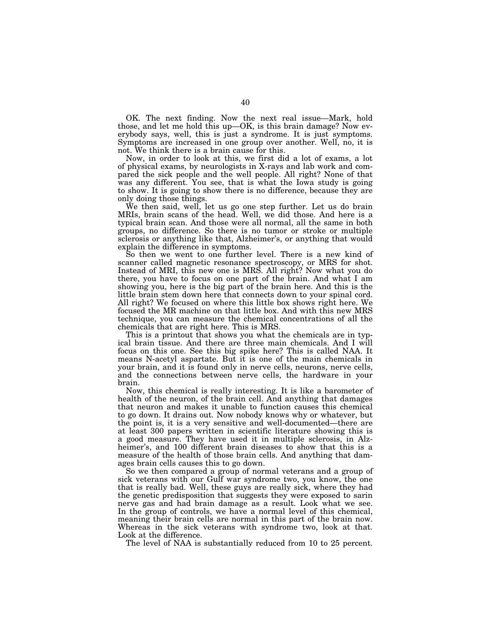OK. The next finding. Now the next real issue—Mark, hold those, and let me hold this up—OK, is this brain damage? Now everybody says, well, this is just a syndrome. It is just symptoms. Symptoms are increased in one group over another. Well, no, it is not. We think there is a brain cause for this.

Now, in order to look at this, we first did a lot of exams, a lot of physical exams, by neurologists in X-rays and lab work and compared the sick people and the well people. All right? None of that was any different. You see, that is what the Iowa study is going to show. It is going to show there is no difference, because they are only doing those things.

We then said, well, let us go one step further. Let us do brain MRIs, brain scans of the head. Well, we did those. And here is a typical brain scan. And those were all normal, all the same in both groups, no difference. So there is no tumor or stroke or multiple sclerosis or anything like that, Alzheimer's, or anything that would explain the difference in symptoms.

So then we went to one further level. There is a new kind of scanner called magnetic resonance spectroscopy, or MRS for shot. Instead of MRI, this new one is MRS. All right? Now what you do there, you have to focus on one part of the brain. And what I am showing you, here is the big part of the brain here. And this is the little brain stem down here that connects down to your spinal cord. All right? We focused on where this little box shows right here. We focused the MR machine on that little box. And with this new MRS technique, you can measure the chemical concentrations of all the chemicals that are right here. This is MRS.

This is a printout that shows you what the chemicals are in typical brain tissue. And there are three main chemicals. And I will focus on this one. See this big spike here? This is called NAA. It means N-acetyl aspartate. But it is one of the main chemicals in your brain, and it is found only in nerve cells, neurons, nerve cells, and the connections between nerve cells, the hardware in your brain.

Now, this chemical is really interesting. It is like a barometer of health of the neuron, of the brain cell. And anything that damages that neuron and makes it unable to function causes this chemical to go down. It drains out. Now nobody knows why or whatever, but the point is, it is a very sensitive and well-documented—there are at least 300 papers written in scientific literature showing this is a good measure. They have used it in multiple sclerosis, in Alzheimer's, and 100 different brain diseases to show that this is a measure of the health of those brain cells. And anything that damages brain cells causes this to go down.

So we then compared a group of normal veterans and a group of sick veterans with our Gulf war syndrome two, you know, the one that is really bad. Well, these guys are really sick, where they had the genetic predisposition that suggests they were exposed to sarin nerve gas and had brain damage as a result. Look what we see. In the group of controls, we have a normal level of this chemical, meaning their brain cells are normal in this part of the brain now. Whereas in the sick veterans with syndrome two, look at that. Look at the difference.

The level of NAA is substantially reduced from 10 to 25 percent.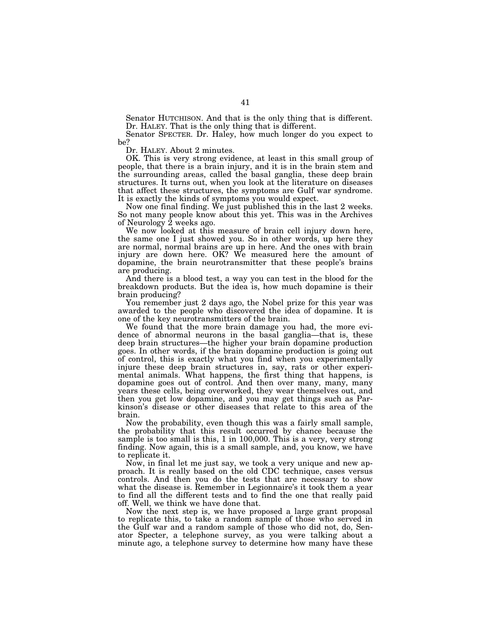Senator HUTCHISON. And that is the only thing that is different. Dr. HALEY. That is the only thing that is different.

Senator SPECTER. Dr. Haley, how much longer do you expect to be?

Dr. HALEY. About 2 minutes.

OK. This is very strong evidence, at least in this small group of people, that there is a brain injury, and it is in the brain stem and the surrounding areas, called the basal ganglia, these deep brain structures. It turns out, when you look at the literature on diseases that affect these structures, the symptoms are Gulf war syndrome. It is exactly the kinds of symptoms you would expect.

Now one final finding. We just published this in the last 2 weeks. So not many people know about this yet. This was in the Archives of Neurology 2 weeks ago.

We now looked at this measure of brain cell injury down here, the same one I just showed you. So in other words, up here they are normal, normal brains are up in here. And the ones with brain injury are down here. OK? We measured here the amount of dopamine, the brain neurotransmitter that these people's brains are producing.

And there is a blood test, a way you can test in the blood for the breakdown products. But the idea is, how much dopamine is their brain producing?

You remember just 2 days ago, the Nobel prize for this year was awarded to the people who discovered the idea of dopamine. It is one of the key neurotransmitters of the brain.

We found that the more brain damage you had, the more evidence of abnormal neurons in the basal ganglia—that is, these deep brain structures—the higher your brain dopamine production goes. In other words, if the brain dopamine production is going out of control, this is exactly what you find when you experimentally injure these deep brain structures in, say, rats or other experimental animals. What happens, the first thing that happens, is dopamine goes out of control. And then over many, many, many years these cells, being overworked, they wear themselves out, and then you get low dopamine, and you may get things such as Parkinson's disease or other diseases that relate to this area of the brain.

Now the probability, even though this was a fairly small sample, the probability that this result occurred by chance because the sample is too small is this, 1 in 100,000. This is a very, very strong finding. Now again, this is a small sample, and, you know, we have to replicate it.

Now, in final let me just say, we took a very unique and new approach. It is really based on the old CDC technique, cases versus controls. And then you do the tests that are necessary to show what the disease is. Remember in Legionnaire's it took them a year to find all the different tests and to find the one that really paid off. Well, we think we have done that.

Now the next step is, we have proposed a large grant proposal to replicate this, to take a random sample of those who served in the Gulf war and a random sample of those who did not, do, Senator Specter, a telephone survey, as you were talking about a minute ago, a telephone survey to determine how many have these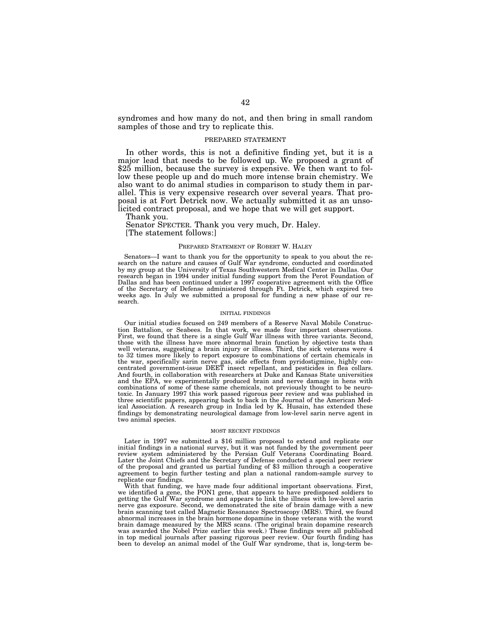syndromes and how many do not, and then bring in small random samples of those and try to replicate this.

## PREPARED STATEMENT

In other words, this is not a definitive finding yet, but it is a major lead that needs to be followed up. We proposed a grant of \$25 million, because the survey is expensive. We then want to follow these people up and do much more intense brain chemistry. We also want to do animal studies in comparison to study them in parallel. This is very expensive research over several years. That proposal is at Fort Detrick now. We actually submitted it as an unsolicited contract proposal, and we hope that we will get support.

Thank you.

Senator SPECTER. Thank you very much, Dr. Haley. [The statement follows:]

## PREPARED STATEMENT OF ROBERT W. HALEY

Senators—I want to thank you for the opportunity to speak to you about the research on the nature and causes of Gulf War syndrome, conducted and coordinated by my group at the University of Texas Southwestern Medical Center in Dallas. Our research began in 1994 under initial funding support from the Perot Foundation of Dallas and has been continued under a 1997 cooperative agreement with the Office of the Secretary of Defense administered through Ft. Detrick, which expired two weeks ago. In July we submitted a proposal for funding a new phase of our research.

## INITIAL FINDINGS

Our initial studies focused on 249 members of a Reserve Naval Mobile Construction Battalion, or Seabees. In that work, we made four important observations. First, we found that there is a single Gulf War illness with three variants. Second, those with the illness have more abnormal brain function by objective tests than well veterans, suggesting a brain injury or illness. Third, the sick veterans were 4 to 32 times more likely to report exposure to combinations of certain chemicals in the war, specifically sarin nerve gas, side effects from pyridostigmine, highly concentrated government-issue DEET insect repellant, and pesticides in flea collars. And fourth, in collaboration with researchers at Duke and Kansas State universities and the EPA, we experimentally produced brain and nerve damage in hens with combinations of some of these same chemicals, not previously thought to be neurotoxic. In January 1997 this work passed rigorous peer review and was published in three scientific papers, appearing back to back in the Journal of the American Medical Association. A research group in India led by K. Husain, has extended these findings by demonstrating neurological damage from low-level sarin nerve agent in two animal species.

#### MOST RECENT FINDINGS

Later in 1997 we submitted a \$16 million proposal to extend and replicate our initial findings in a national survey, but it was not funded by the government peer review system administered by the Persian Gulf Veterans Coordinating Board. Later the Joint Chiefs and the Secretary of Defense conducted a special peer review of the proposal and granted us partial funding of \$3 million through a cooperative agreement to begin further testing and plan a national random-sample survey to replicate our findings.

With that funding, we have made four additional important observations. First, we identified a gene, the PON1 gene, that appears to have predisposed soldiers to getting the Gulf War syndrome and appears to link the illness with low-level sarin nerve gas exposure. Second, we demonstrated the site of brain damage with a new brain scanning test called Magnetic Resonance Spectroscopy (MRS). Third, we found abnormal increases in the brain hormone dopamine in those veterans with the worst brain damage measured by the MRS scans. (The original brain dopamine research was awarded the Nobel Prize earlier this week.) These findings were all published in top medical journals after passing rigorous peer review. Our fourth finding has been to develop an animal model of the Gulf War syndrome, that is, long-term be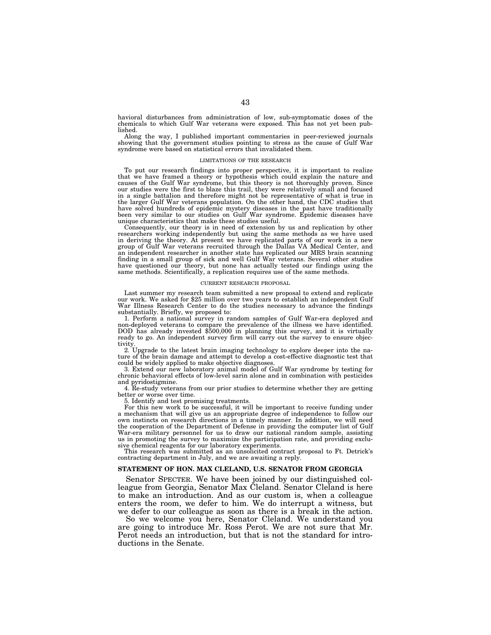havioral disturbances from administration of low, sub-symptomatic doses of the chemicals to which Gulf War veterans were exposed. This has not yet been published.

Along the way, I published important commentaries in peer-reviewed journals showing that the government studies pointing to stress as the cause of Gulf War syndrome were based on statistical errors that invalidated them.

### LIMITATIONS OF THE RESEARCH

To put our research findings into proper perspective, it is important to realize that we have framed a theory or hypothesis which could explain the nature and causes of the Gulf War syndrome, but this theory is not thoroughly proven. Since our studies were the first to blaze this trail, they were relatively small and focused in a single battalion and therefore might not be representative of what is true in the larger Gulf War veterans population. On the other hand, the CDC studies that have solved hundreds of epidemic mystery diseases in the past have traditionally been very similar to our studies on Gulf War syndrome. Epidemic diseases have unique characteristics that make these studies useful.

Consequently, our theory is in need of extension by us and replication by other researchers working independently but using the same methods as we have used in deriving the theory. At present we have replicated parts of our work in a new group of Gulf War veterans recruited through the Dallas VA Medical Center, and an independent researcher in another state has replicated our MRS brain scanning finding in a small group of sick and well Gulf War veterans. Several other studies have questioned our theory, but none has actually tested our findings using the same methods. Scientifically, a replication requires use of the same methods.

### CURRENT RESEARCH PROPOSAL

Last summer my research team submitted a new proposal to extend and replicate our work. We asked for \$25 million over two years to establish an independent Gulf War Illness Research Center to do the studies necessary to advance the findings substantially. Briefly, we proposed to:

1. Perform a national survey in random samples of Gulf War-era deployed and non-deployed veterans to compare the prevalence of the illness we have identified. DOD has already invested \$500,000 in planning this survey, and it is virtually ready to go. An independent survey firm will carry out the survey to ensure objec-

tivity. 2. Upgrade to the latest brain imaging technology to explore deeper into the nature of the brain damage and attempt to develop a cost-effective diagnostic test that could be widely applied to make objective diagnoses.

3. Extend our new laboratory animal model of Gulf War syndrome by testing for chronic behavioral effects of low-level sarin alone and in combination with pesticides

and pyridostigmine. 4. Re-study veterans from our prior studies to determine whether they are getting better or worse over time.

5. Identify and test promising treatments.

For this new work to be successful, it will be important to receive funding under a mechanism that will give us an appropriate degree of independence to follow our own instincts on research directions in a timely manner. In addition, we will need the cooperation of the Department of Defense in providing the computer list of Gulf War-era military personnel for us to draw our national random sample, assisting us in promoting the survey to maximize the participation rate, and providing exclusive chemical reagents for our laboratory experiments.

This research was submitted as an unsolicited contract proposal to Ft. Detrick's contracting department in July, and we are awaiting a reply.

## **STATEMENT OF HON. MAX CLELAND, U.S. SENATOR FROM GEORGIA**

Senator SPECTER. We have been joined by our distinguished colleague from Georgia, Senator Max Cleland. Senator Cleland is here to make an introduction. And as our custom is, when a colleague enters the room, we defer to him. We do interrupt a witness, but we defer to our colleague as soon as there is a break in the action.

So we welcome you here, Senator Cleland. We understand you are going to introduce Mr. Ross Perot. We are not sure that Mr. Perot needs an introduction, but that is not the standard for introductions in the Senate.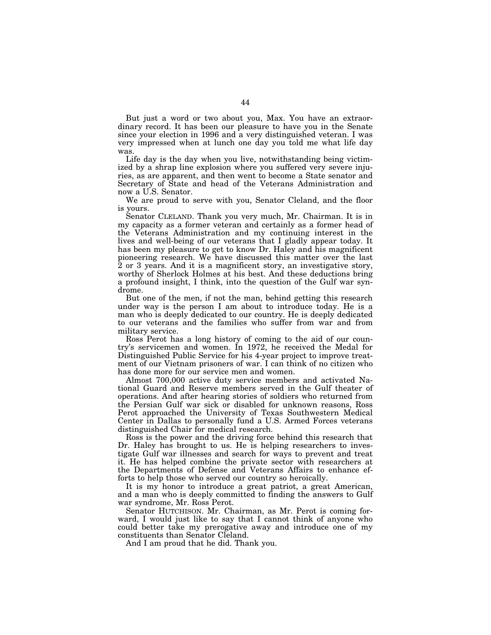But just a word or two about you, Max. You have an extraordinary record. It has been our pleasure to have you in the Senate since your election in 1996 and a very distinguished veteran. I was very impressed when at lunch one day you told me what life day was.

Life day is the day when you live, notwithstanding being victimized by a shrap line explosion where you suffered very severe injuries, as are apparent, and then went to become a State senator and Secretary of State and head of the Veterans Administration and now a U.S. Senator.

We are proud to serve with you, Senator Cleland, and the floor is yours.

Senator CLELAND. Thank you very much, Mr. Chairman. It is in my capacity as a former veteran and certainly as a former head of the Veterans Administration and my continuing interest in the lives and well-being of our veterans that I gladly appear today. It has been my pleasure to get to know Dr. Haley and his magnificent pioneering research. We have discussed this matter over the last 2 or 3 years. And it is a magnificent story, an investigative story, worthy of Sherlock Holmes at his best. And these deductions bring a profound insight, I think, into the question of the Gulf war syndrome.

But one of the men, if not the man, behind getting this research under way is the person I am about to introduce today. He is a man who is deeply dedicated to our country. He is deeply dedicated to our veterans and the families who suffer from war and from military service.

Ross Perot has a long history of coming to the aid of our country's servicemen and women. In 1972, he received the Medal for Distinguished Public Service for his 4-year project to improve treatment of our Vietnam prisoners of war. I can think of no citizen who has done more for our service men and women.

Almost 700,000 active duty service members and activated National Guard and Reserve members served in the Gulf theater of operations. And after hearing stories of soldiers who returned from the Persian Gulf war sick or disabled for unknown reasons, Ross Perot approached the University of Texas Southwestern Medical Center in Dallas to personally fund a U.S. Armed Forces veterans distinguished Chair for medical research.

Ross is the power and the driving force behind this research that Dr. Haley has brought to us. He is helping researchers to investigate Gulf war illnesses and search for ways to prevent and treat it. He has helped combine the private sector with researchers at the Departments of Defense and Veterans Affairs to enhance efforts to help those who served our country so heroically.

It is my honor to introduce a great patriot, a great American, and a man who is deeply committed to finding the answers to Gulf war syndrome, Mr. Ross Perot.

Senator HUTCHISON. Mr. Chairman, as Mr. Perot is coming forward, I would just like to say that I cannot think of anyone who could better take my prerogative away and introduce one of my constituents than Senator Cleland.

And I am proud that he did. Thank you.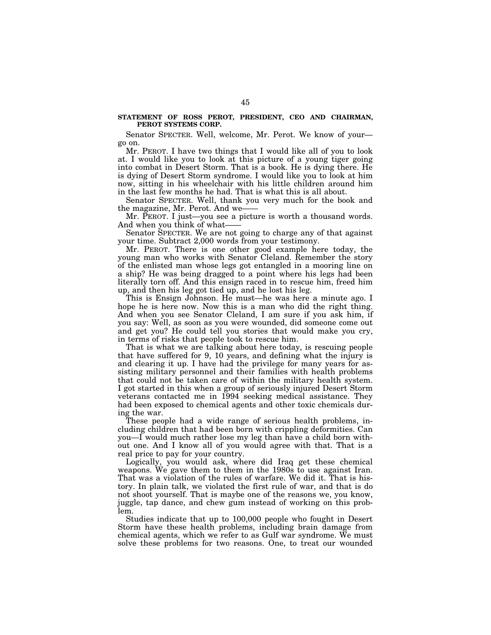# **STATEMENT OF ROSS PEROT, PRESIDENT, CEO AND CHAIRMAN, PEROT SYSTEMS CORP.**

Senator SPECTER. Well, welcome, Mr. Perot. We know of your go on.

Mr. PEROT. I have two things that I would like all of you to look at. I would like you to look at this picture of a young tiger going into combat in Desert Storm. That is a book. He is dying there. He is dying of Desert Storm syndrome. I would like you to look at him now, sitting in his wheelchair with his little children around him in the last few months he had. That is what this is all about.

Senator SPECTER. Well, thank you very much for the book and the magazine, Mr. Perot. And we-

Mr. PEROT. I just—you see a picture is worth a thousand words. And when you think of what-

Senator SPECTER. We are not going to charge any of that against your time. Subtract 2,000 words from your testimony.

Mr. PEROT. There is one other good example here today, the young man who works with Senator Cleland. Remember the story of the enlisted man whose legs got entangled in a mooring line on a ship? He was being dragged to a point where his legs had been literally torn off. And this ensign raced in to rescue him, freed him up, and then his leg got tied up, and he lost his leg.

This is Ensign Johnson. He must—he was here a minute ago. I hope he is here now. Now this is a man who did the right thing. And when you see Senator Cleland, I am sure if you ask him, if you say: Well, as soon as you were wounded, did someone come out and get you? He could tell you stories that would make you cry, in terms of risks that people took to rescue him.

That is what we are talking about here today, is rescuing people that have suffered for 9, 10 years, and defining what the injury is and clearing it up. I have had the privilege for many years for assisting military personnel and their families with health problems that could not be taken care of within the military health system. I got started in this when a group of seriously injured Desert Storm veterans contacted me in 1994 seeking medical assistance. They had been exposed to chemical agents and other toxic chemicals during the war.

These people had a wide range of serious health problems, including children that had been born with crippling deformities. Can you—I would much rather lose my leg than have a child born without one. And I know all of you would agree with that. That is a real price to pay for your country.

Logically, you would ask, where did Iraq get these chemical weapons. We gave them to them in the 1980s to use against Iran. That was a violation of the rules of warfare. We did it. That is history. In plain talk, we violated the first rule of war, and that is do not shoot yourself. That is maybe one of the reasons we, you know, juggle, tap dance, and chew gum instead of working on this problem.

Studies indicate that up to 100,000 people who fought in Desert Storm have these health problems, including brain damage from chemical agents, which we refer to as Gulf war syndrome. We must solve these problems for two reasons. One, to treat our wounded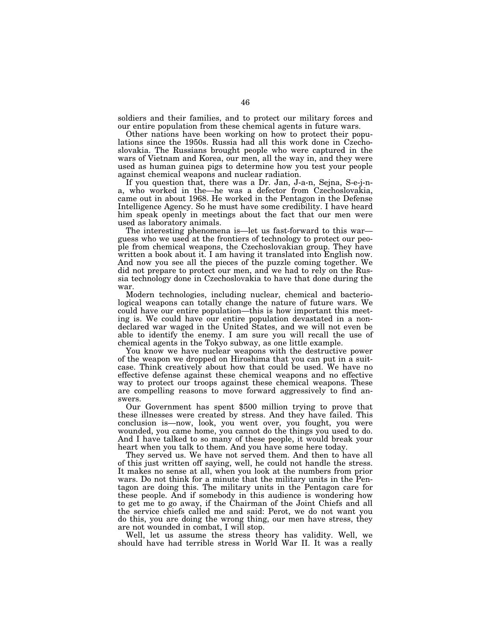soldiers and their families, and to protect our military forces and our entire population from these chemical agents in future wars.

Other nations have been working on how to protect their populations since the 1950s. Russia had all this work done in Czechoslovakia. The Russians brought people who were captured in the wars of Vietnam and Korea, our men, all the way in, and they were used as human guinea pigs to determine how you test your people against chemical weapons and nuclear radiation.

If you question that, there was a Dr. Jan, J-a-n, Sejna, S-e-j-na, who worked in the—he was a defector from Czechoslovakia, came out in about 1968. He worked in the Pentagon in the Defense Intelligence Agency. So he must have some credibility. I have heard him speak openly in meetings about the fact that our men were used as laboratory animals.<br>The interesting phenomena is—let us fast-forward to this war—

guess who we used at the frontiers of technology to protect our people from chemical weapons, the Czechoslovakian group. They have written a book about it. I am having it translated into English now. And now you see all the pieces of the puzzle coming together. We did not prepare to protect our men, and we had to rely on the Russia technology done in Czechoslovakia to have that done during the war.

Modern technologies, including nuclear, chemical and bacteriological weapons can totally change the nature of future wars. We could have our entire population—this is how important this meeting is. We could have our entire population devastated in a nondeclared war waged in the United States, and we will not even be able to identify the enemy. I am sure you will recall the use of chemical agents in the Tokyo subway, as one little example.

You know we have nuclear weapons with the destructive power of the weapon we dropped on Hiroshima that you can put in a suitcase. Think creatively about how that could be used. We have no effective defense against these chemical weapons and no effective way to protect our troops against these chemical weapons. These are compelling reasons to move forward aggressively to find answers.

Our Government has spent \$500 million trying to prove that these illnesses were created by stress. And they have failed. This conclusion is—now, look, you went over, you fought, you were wounded, you came home, you cannot do the things you used to do. And I have talked to so many of these people, it would break your heart when you talk to them. And you have some here today.

They served us. We have not served them. And then to have all of this just written off saying, well, he could not handle the stress. It makes no sense at all, when you look at the numbers from prior wars. Do not think for a minute that the military units in the Pentagon are doing this. The military units in the Pentagon care for these people. And if somebody in this audience is wondering how to get me to go away, if the Chairman of the Joint Chiefs and all the service chiefs called me and said: Perot, we do not want you do this, you are doing the wrong thing, our men have stress, they are not wounded in combat, I will stop.

Well, let us assume the stress theory has validity. Well, we should have had terrible stress in World War II. It was a really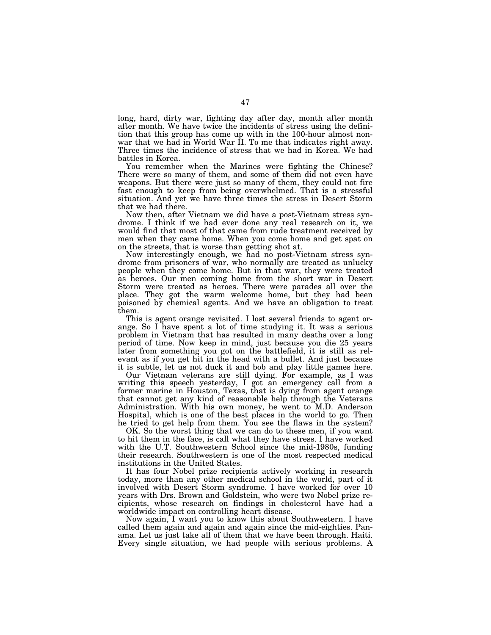long, hard, dirty war, fighting day after day, month after month after month. We have twice the incidents of stress using the definition that this group has come up with in the 100-hour almost nonwar that we had in World War II. To me that indicates right away. Three times the incidence of stress that we had in Korea. We had battles in Korea.

You remember when the Marines were fighting the Chinese? There were so many of them, and some of them did not even have weapons. But there were just so many of them, they could not fire fast enough to keep from being overwhelmed. That is a stressful situation. And yet we have three times the stress in Desert Storm that we had there.

Now then, after Vietnam we did have a post-Vietnam stress syndrome. I think if we had ever done any real research on it, we would find that most of that came from rude treatment received by men when they came home. When you come home and get spat on on the streets, that is worse than getting shot at.

Now interestingly enough, we had no post-Vietnam stress syndrome from prisoners of war, who normally are treated as unlucky people when they come home. But in that war, they were treated as heroes. Our men coming home from the short war in Desert Storm were treated as heroes. There were parades all over the place. They got the warm welcome home, but they had been poisoned by chemical agents. And we have an obligation to treat them.

This is agent orange revisited. I lost several friends to agent orange. So I have spent a lot of time studying it. It was a serious problem in Vietnam that has resulted in many deaths over a long period of time. Now keep in mind, just because you die 25 years later from something you got on the battlefield, it is still as relevant as if you get hit in the head with a bullet. And just because it is subtle, let us not duck it and bob and play little games here.

Our Vietnam veterans are still dying. For example, as I was writing this speech yesterday, I got an emergency call from a former marine in Houston, Texas, that is dying from agent orange that cannot get any kind of reasonable help through the Veterans Administration. With his own money, he went to M.D. Anderson Hospital, which is one of the best places in the world to go. Then he tried to get help from them. You see the flaws in the system?

OK. So the worst thing that we can do to these men, if you want to hit them in the face, is call what they have stress. I have worked with the U.T. Southwestern School since the mid-1980s, funding their research. Southwestern is one of the most respected medical institutions in the United States.

It has four Nobel prize recipients actively working in research today, more than any other medical school in the world, part of it involved with Desert Storm syndrome. I have worked for over 10 years with Drs. Brown and Goldstein, who were two Nobel prize recipients, whose research on findings in cholesterol have had a worldwide impact on controlling heart disease.

Now again, I want you to know this about Southwestern. I have called them again and again and again since the mid-eighties. Panama. Let us just take all of them that we have been through. Haiti. Every single situation, we had people with serious problems. A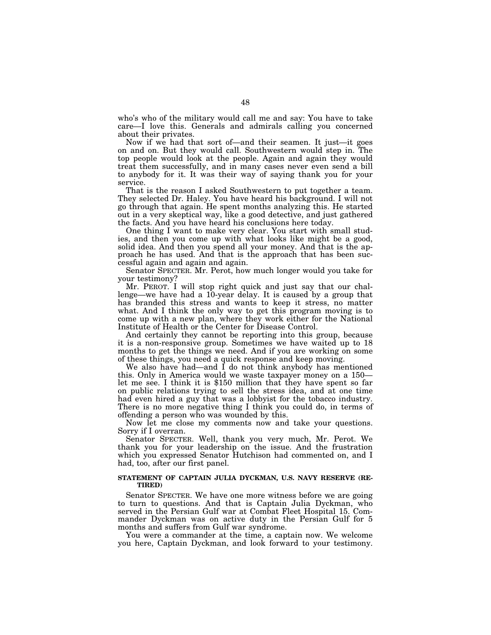who's who of the military would call me and say: You have to take care—I love this. Generals and admirals calling you concerned about their privates.

Now if we had that sort of—and their seamen. It just—it goes on and on. But they would call. Southwestern would step in. The top people would look at the people. Again and again they would treat them successfully, and in many cases never even send a bill to anybody for it. It was their way of saying thank you for your service.

That is the reason I asked Southwestern to put together a team. They selected Dr. Haley. You have heard his background. I will not go through that again. He spent months analyzing this. He started out in a very skeptical way, like a good detective, and just gathered the facts. And you have heard his conclusions here today.

One thing I want to make very clear. You start with small studies, and then you come up with what looks like might be a good, solid idea. And then you spend all your money. And that is the approach he has used. And that is the approach that has been successful again and again and again.

Senator SPECTER. Mr. Perot, how much longer would you take for your testimony?

Mr. PEROT. I will stop right quick and just say that our challenge—we have had a 10-year delay. It is caused by a group that has branded this stress and wants to keep it stress, no matter what. And I think the only way to get this program moving is to come up with a new plan, where they work either for the National Institute of Health or the Center for Disease Control.

And certainly they cannot be reporting into this group, because it is a non-responsive group. Sometimes we have waited up to 18 months to get the things we need. And if you are working on some of these things, you need a quick response and keep moving.

We also have had—and I do not think anybody has mentioned this. Only in America would we waste taxpayer money on a 150 let me see. I think it is \$150 million that they have spent so far on public relations trying to sell the stress idea, and at one time had even hired a guy that was a lobbyist for the tobacco industry. There is no more negative thing I think you could do, in terms of offending a person who was wounded by this.

Now let me close my comments now and take your questions. Sorry if I overran.

Senator SPECTER. Well, thank you very much, Mr. Perot. We thank you for your leadership on the issue. And the frustration which you expressed Senator Hutchison had commented on, and I had, too, after our first panel.

## **STATEMENT OF CAPTAIN JULIA DYCKMAN, U.S. NAVY RESERVE (RE-TIRED)**

Senator SPECTER. We have one more witness before we are going to turn to questions. And that is Captain Julia Dyckman, who served in the Persian Gulf war at Combat Fleet Hospital 15. Commander Dyckman was on active duty in the Persian Gulf for 5 months and suffers from Gulf war syndrome.

You were a commander at the time, a captain now. We welcome you here, Captain Dyckman, and look forward to your testimony.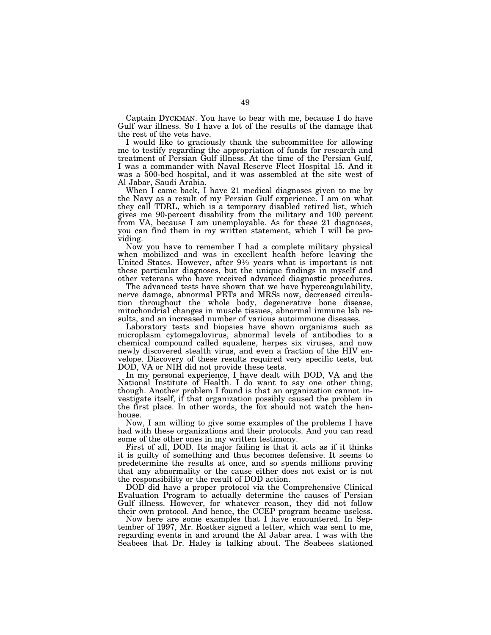Captain DYCKMAN. You have to bear with me, because I do have Gulf war illness. So I have a lot of the results of the damage that the rest of the vets have.

I would like to graciously thank the subcommittee for allowing me to testify regarding the appropriation of funds for research and treatment of Persian Gulf illness. At the time of the Persian Gulf, I was a commander with Naval Reserve Fleet Hospital 15. And it was a 500-bed hospital, and it was assembled at the site west of Al Jabar, Saudi Arabia.

When I came back, I have 21 medical diagnoses given to me by the Navy as a result of my Persian Gulf experience. I am on what they call TDRL, which is a temporary disabled retired list, which gives me 90-percent disability from the military and 100 percent from VA, because I am unemployable. As for these 21 diagnoses, you can find them in my written statement, which I will be providing.

Now you have to remember I had a complete military physical when mobilized and was in excellent health before leaving the United States. However, after  $9\frac{1}{2}$  years what is important is not these particular diagnoses, but the unique findings in myself and other veterans who have received advanced diagnostic procedures.

The advanced tests have shown that we have hypercoagulability, nerve damage, abnormal PETs and MRSs now, decreased circulation throughout the whole body, degenerative bone disease, mitochondrial changes in muscle tissues, abnormal immune lab results, and an increased number of various autoimmune diseases.

Laboratory tests and biopsies have shown organisms such as microplasm cytomegalovirus, abnormal levels of antibodies to a chemical compound called squalene, herpes six viruses, and now newly discovered stealth virus, and even a fraction of the HIV envelope. Discovery of these results required very specific tests, but DOD, VA or NIH did not provide these tests.

In my personal experience, I have dealt with DOD, VA and the National Institute of Health. I do want to say one other thing, though. Another problem I found is that an organization cannot investigate itself, if that organization possibly caused the problem in the first place. In other words, the fox should not watch the henhouse.

Now, I am willing to give some examples of the problems I have had with these organizations and their protocols. And you can read some of the other ones in my written testimony.

First of all, DOD. Its major failing is that it acts as if it thinks it is guilty of something and thus becomes defensive. It seems to predetermine the results at once, and so spends millions proving that any abnormality or the cause either does not exist or is not the responsibility or the result of DOD action.

DOD did have a proper protocol via the Comprehensive Clinical Evaluation Program to actually determine the causes of Persian Gulf illness. However, for whatever reason, they did not follow their own protocol. And hence, the CCEP program became useless.

Now here are some examples that I have encountered. In September of 1997, Mr. Rostker signed a letter, which was sent to me, regarding events in and around the Al Jabar area. I was with the Seabees that Dr. Haley is talking about. The Seabees stationed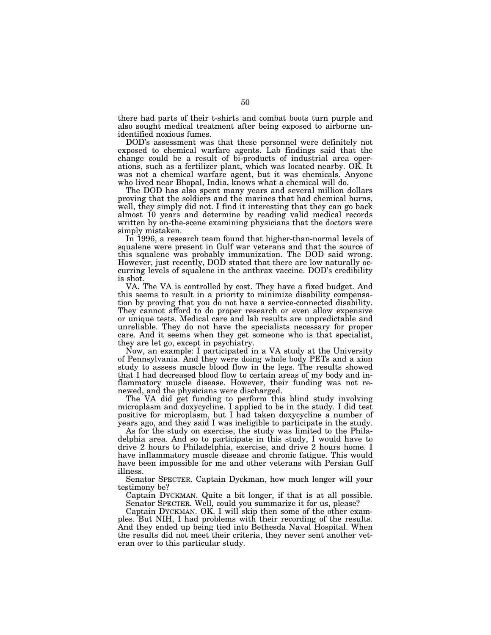there had parts of their t-shirts and combat boots turn purple and also sought medical treatment after being exposed to airborne unidentified noxious fumes.

DOD's assessment was that these personnel were definitely not exposed to chemical warfare agents. Lab findings said that the change could be a result of bi-products of industrial area operations, such as a fertilizer plant, which was located nearby. OK. It was not a chemical warfare agent, but it was chemicals. Anyone who lived near Bhopal, India, knows what a chemical will do.

The DOD has also spent many years and several million dollars proving that the soldiers and the marines that had chemical burns, well, they simply did not. I find it interesting that they can go back almost 10 years and determine by reading valid medical records written by on-the-scene examining physicians that the doctors were simply mistaken.

In 1996, a research team found that higher-than-normal levels of squalene were present in Gulf war veterans and that the source of this squalene was probably immunization. The DOD said wrong. However, just recently, DOD stated that there are low naturally occurring levels of squalene in the anthrax vaccine. DOD's credibility is shot.

VA. The VA is controlled by cost. They have a fixed budget. And this seems to result in a priority to minimize disability compensation by proving that you do not have a service-connected disability. They cannot afford to do proper research or even allow expensive or unique tests. Medical care and lab results are unpredictable and unreliable. They do not have the specialists necessary for proper care. And it seems when they get someone who is that specialist, they are let go, except in psychiatry.

Now, an example: I participated in a VA study at the University of Pennsylvania. And they were doing whole body PETs and a xion study to assess muscle blood flow in the legs. The results showed that I had decreased blood flow to certain areas of my body and inflammatory muscle disease. However, their funding was not renewed, and the physicians were discharged.

The VA did get funding to perform this blind study involving microplasm and doxycycline. I applied to be in the study. I did test positive for microplasm, but I had taken doxycycline a number of years ago, and they said I was ineligible to participate in the study.

As for the study on exercise, the study was limited to the Philadelphia area. And so to participate in this study, I would have to drive 2 hours to Philadelphia, exercise, and drive 2 hours home. I have inflammatory muscle disease and chronic fatigue. This would have been impossible for me and other veterans with Persian Gulf illness.

Senator SPECTER. Captain Dyckman, how much longer will your testimony be?

Captain DYCKMAN. Quite a bit longer, if that is at all possible. Senator SPECTER. Well, could you summarize it for us, please?

Captain DYCKMAN. OK. I will skip then some of the other examples. But NIH, I had problems with their recording of the results. And they ended up being tied into Bethesda Naval Hospital. When the results did not meet their criteria, they never sent another veteran over to this particular study.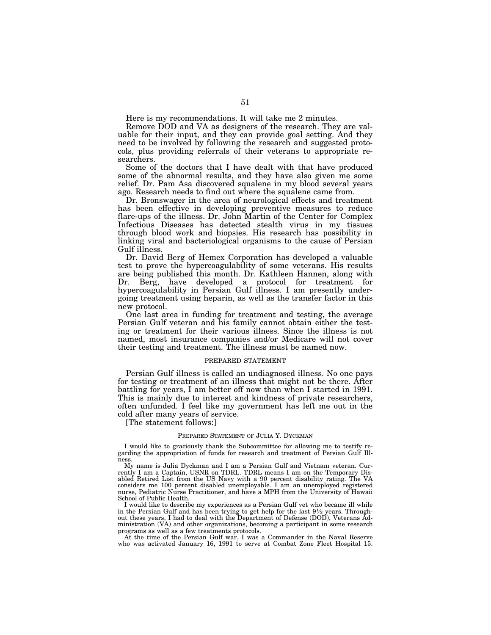Here is my recommendations. It will take me 2 minutes.

Remove DOD and VA as designers of the research. They are valuable for their input, and they can provide goal setting. And they need to be involved by following the research and suggested protocols, plus providing referrals of their veterans to appropriate researchers.

Some of the doctors that I have dealt with that have produced some of the abnormal results, and they have also given me some relief. Dr. Pam Asa discovered squalene in my blood several years ago. Research needs to find out where the squalene came from.

Dr. Bronswager in the area of neurological effects and treatment has been effective in developing preventive measures to reduce flare-ups of the illness. Dr. John Martin of the Center for Complex Infectious Diseases has detected stealth virus in my tissues through blood work and biopsies. His research has possibility in linking viral and bacteriological organisms to the cause of Persian Gulf illness.

Dr. David Berg of Hemex Corporation has developed a valuable test to prove the hypercoagulability of some veterans. His results are being published this month. Dr. Kathleen Hannen, along with Dr. Berg, have developed a protocol for treatment for hypercoagulability in Persian Gulf illness. I am presently undergoing treatment using heparin, as well as the transfer factor in this new protocol.

One last area in funding for treatment and testing, the average Persian Gulf veteran and his family cannot obtain either the testing or treatment for their various illness. Since the illness is not named, most insurance companies and/or Medicare will not cover their testing and treatment. The illness must be named now.

# PREPARED STATEMENT

Persian Gulf illness is called an undiagnosed illness. No one pays for testing or treatment of an illness that might not be there. After battling for years, I am better off now than when I started in 1991. This is mainly due to interest and kindness of private researchers, often unfunded. I feel like my government has left me out in the cold after many years of service.

[The statement follows:]

## PREPARED STATEMENT OF JULIA Y. DYCKMAN

I would like to graciously thank the Subcommittee for allowing me to testify regarding the appropriation of funds for research and treatment of Persian Gulf Illness.

My name is Julia Dyckman and I am a Persian Gulf and Vietnam veteran. Currently I am a Captain, USNR on TDRL. TDRL means I am on the Temporary Disabled Retired List from the US Navy with a 90 percent disability rating. The VA considers me 100 percent disabled unemployable. I am an unemployed registered nurse, Pediatric Nurse Practitioner, and have a MPH from the University of Hawaii School of Public Health.

I would like to describe my experiences as a Persian Gulf vet who became ill while in the Persian Gulf and has been trying to get help for the last 91⁄2 years. Throughout these years, I had to deal with the Department of Defense (DOD), Veterans Administration (VA) and other organizations, becoming a participant in some research programs as well as a few treatments protocols.

At the time of the Persian Gulf war, I was a Commander in the Naval Reserve who was activated January 16, 1991 to serve at Combat Zone Fleet Hospital 15.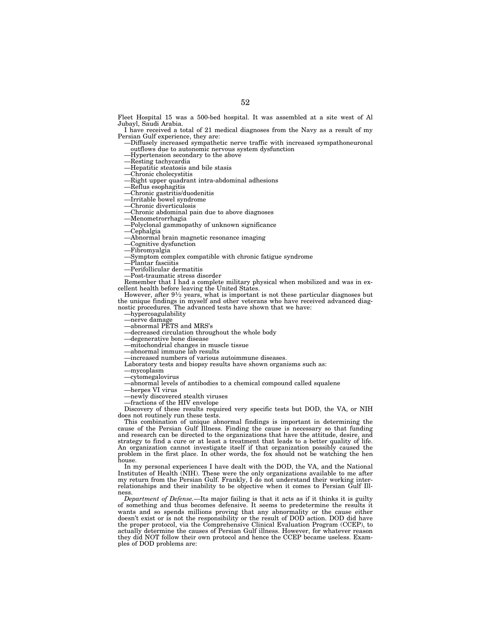Fleet Hospital 15 was a 500-bed hospital. It was assembled at a site west of Al Jubayl, Saudi Arabia.

I have received a total of 21 medical diagnoses from the Navy as a result of my

-Diffusely increased sympathetic nerve traffic with increased sympathoneuronal outflows due to autonomic nervous system dysfunction outflows due to autonomic nervous system dysfunction<br>—Hypertension secondary to the above<br>—Resting tachycardia<br>—Hepatitic steatosis and bile stasis<br>—Chronic cholecystitis<br>—Right upper quadrant intra-abdominal adhesions<br>—Re

- 
- 
- 
- 
- 
- 
- 
- 
- 
- 
- 
- 
- 
- 
- 
- 
- 
- 

Remember that I had a complete military physical when mobilized and was in ex-cellent health before leaving the United States.

However, after 91⁄2 years, what is important is not these particular diagnoses but the unique findings in myself and other veterans who have received advanced diag-<br>nostic procedures. The advanced tests have shown that we have:<br>—hyercoagulability<br>—merve damage<br>—ahnormal PETS and MRS's<br>—decreased circulat

- 
- 
- 
- 
- 
- 
- 
- Laboratory tests and biopsy results have shown organisms such as:
- —mycoplasm
- —cytomegalovirus
- —abnormal levels of antibodies to a chemical compound called squalene
- —herpes VI virus
- —newly discovered stealth viruses
- —fractions of the HIV envelope

Discovery of these results required very specific tests but DOD, the VA, or NIH does not routinely run these tests.

This combination of unique abnormal findings is important in determining the cause of the Persian Gulf Illness. Finding the cause is necessary so that funding and research can be directed to the organizations that have the attitude, desire, and strategy to find a cure or at least a treatment that leads to a better quality of life. An organization cannot investigate itself if that organization possibly caused the problem in the first place. In other words, the fox should not be watching the hen house.

In my personal experiences I have dealt with the DOD, the VA, and the National Institutes of Health (NIH). These were the only organizations available to me after my return from the Persian Gulf. Frankly, I do not understand their working interrelationships and their inability to be objective when it comes to Persian Gulf Illness.

*Department of Defense.*—Its major failing is that it acts as if it thinks it is guilty of something and thus becomes defensive. It seems to predetermine the results it wants and so spends millions proving that any abnormality or the cause either doesn't exist or is not the responsibility or the result of DOD action. DOD did have the proper protocol, via the Comprehensive Clinical Evaluation Program (CCEP), to actually determine the causes of Persian Gulf illness. However, for whatever reason they did NOT follow their own protocol and hence the CCEP became useless. Examples of DOD problems are: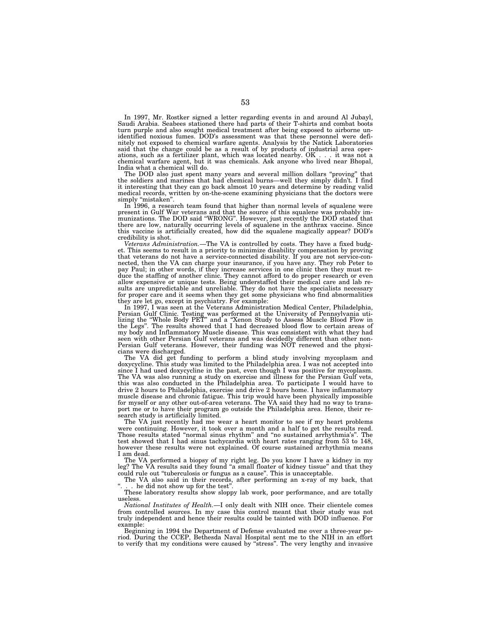In 1997, Mr. Rostker signed a letter regarding events in and around Al Jubayl, Saudi Arabia. Seabees stationed there had parts of their T-shirts and combat boots turn purple and also sought medical treatment after being exposed to airborne unidentified noxious fumes. DOD's assessment was that these personnel were definitely not exposed to chemical warfare agents. Analysis by the Natick Laboratories said that the change could be as a result of by products of industrial area operations, such as a fertilizer plant, which was located nearby. OK . . . it was not a chemical warfare agent, but it was chemicals. Ask anyone who lived near Bhopal, India what a chemical will do.

The DOD also just spent many years and several million dollars ''proving'' that the soldiers and marines that had chemical burns—well they simply didn't. I find it interesting that they can go back almost 10 years and determine by reading valid medical records, written by on-the-scene examining physicians that the doctors were

In 1996, a research team found that higher than normal levels of squalene were present in Gulf War veterans and that the source of this squalene was probably im-munizations. The DOD said ''WRONG''. However, just recently the DOD stated that there are low, naturally occurring levels of squalene in the anthrax vaccine. Since this vaccine is artificially created, how did the squalene magically appear? DOD's credibility is shot. *Veterans Administration.*—The VA is controlled by costs. They have a fixed budg-

et. This seems to result in a priority to minimize disability compensation by proving that veterans do not have a service-connected disability. If you are not service-connected, then the VA can charge your insurance, if you have any. They rob Peter to pay Paul; in other words, if they increase services in one clinic then they must reduce the staffing of another clinic. They cannot afford to do proper research or even<br>allow expensive or unique tests. Being understaffed their medical care and lab re-<br>sults are unpredictable and unreliable. They do not h for proper care and it seems when they get some physicians who find abnormalities

they are let go, except in psychiatry. For example:<br>In 1997, I was seen at the Veterans Administration Medical Center, Philadelphia,<br>Persian Gulf Clinic. Testing was performed at the University of Pennsylvania uti-<br>Izing t seen with other Persian Gulf veterans and was decidedly different than other non-Persian Gulf veterans. However, their funding was NOT renewed and the physicians were discharged.

The VA did get funding to perform a blind study involving mycoplasm and doxycycline. This study was limited to the Philadelphia area. I was not accepted into since I had used doxycycline in the past, even though I was positive for mycoplasm. The VA was also running a study on exercise and illness for the Persian Gulf vets, this was also conducted in the Philadelphia area. To participate I would have to drive 2 hours to Philadelphia, exercise and drive 2 hours home. I have inflammatory muscle disease and chronic fatigue. This trip would have been physically impossible for myself or any other out-of-area veterans. The VA said they had no way to transport me or to have their program go outside the Philadelphia area. Hence, their research study is artificially limited.

The VA just recently had me wear a heart monitor to see if my heart problems were continuing. However, it took over a month and a half to get the results read. Those results stated ''normal sinus rhythm'' and ''no sustained arrhythmia's''. The test showed that I had sinus tachycardia with heart rates ranging from 53 to 148, however these results were not explained. Of course sustained arrhythmia means I am dead.

The VA performed a biopsy of my right leg. Do you know I have a kidney in my leg? The VA results said they found "a small floater of kidney tissue" and that they could rule out ''tuberculosis or fungus as a cause''. This is unacceptable.

The VA also said in their records, after performing an x-ray of my back, that . he did not show up for the test"

These laboratory results show sloppy lab work, poor performance, and are totally useless.

*National Institutes of Health.*—I only dealt with NIH once. Their clientele comes from controlled sources. In my case this control meant that their study was not truly independent and hence their results could be tainted with DOD influence. For example:

Beginning in 1994 the Department of Defense evaluated me over a three-year pe-riod. During the CCEP, Bethesda Naval Hospital sent me to the NIH in an effort to verify that my conditions were caused by ''stress''. The very lengthy and invasive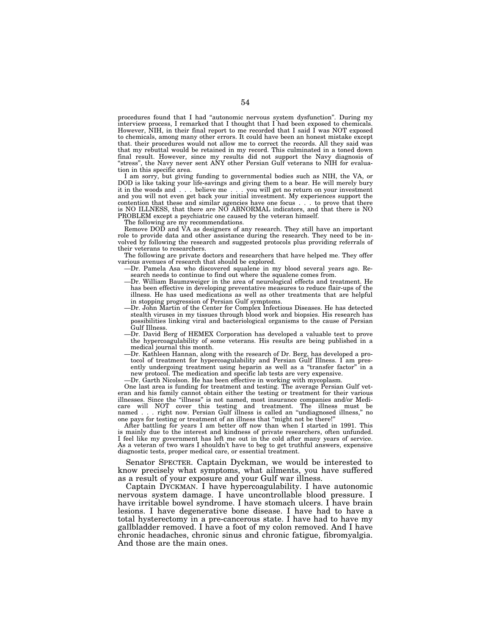procedures found that I had ''autonomic nervous system dysfunction''. During my interview process, I remarked that I thought that I had been exposed to chemicals. However, NIH, in their final report to me recorded that I said I was NOT exposed to chemicals, among many other errors. It could have been an honest mistake except that. their procedures would not allow me to correct the records. All they said was that my rebuttal would be retained in my record. This culminated in a toned down final result. However, since my results did not support the Navy diagnosis of ''stress'', the Navy never sent ANY other Persian Gulf veterans to NIH for evaluation in this specific area.

I am sorry, but giving funding to governmental bodies such as NIH, the VA, or DOD is like taking your life-savings and giving them to a bear. He will merely bury it in the woods and... believe me... you will get no return on your investment and you will not even get back your initial investment. My experiences support the contention that these and similar agencies have one focus . . . to prove that there is NO ILLNESS, that there are NO ABNORMAL indicators, and that there is NO PROBLEM except a psychiatric one caused by the veteran himself.

The following are my recommendations.

Remove DOD and VA as designers of any research. They still have an important role to provide data and other assistance during the research. They need to be involved by following the research and suggested protocols plus providing referrals of their veterans to researchers.

The following are private doctors and researchers that have helped me. They offer various avenues of research that should be explored.

- —Dr. Pamela Asa who discovered squalene in my blood several years ago. Research needs to continue to find out where the squalene comes from.
- —Dr. William Baumzweiger in the area of neurological effects and treatment. He has been effective in developing preventative measures to reduce flair-ups of the illness. He has used medications as well as other treatments that are helpful in stopping progression of Persian Gulf symptoms.
- —Dr. John Martin of the Center for Complex Infectious Diseases. He has detected stealth viruses in my tissues through blood work and biopsies. His research has possibilities linking viral and bacteriological organisms to the cause of Persian Gulf Illness.
- —Dr. David Berg of HEMEX Corporation has developed a valuable test to prove the hypercoagulability of some veterans. His results are being published in a medical journal this month.
- —Dr. Kathleen Hannan, along with the research of Dr. Berg, has developed a protocol of treatment for hypercoagulability and Persian Gulf Illness. I am presently undergoing treatment using heparin as well as a "transfer factor" in a new protocol. The medication and specific lab tests are very expensive.
- —Dr. Garth Nicolson. He has been effective in working with mycoplasm.

One last area is funding for treatment and testing. The average Persian Gulf veteran and his family cannot obtain either the testing or treatment for their various illnesses. Since the ''illness'' is not named, most insurance companies and/or Medicare will NOT cover this testing and treatment. The illness must be named... right now. Persian Gulf illness is called an ''undiagnosed illness,'' no one pays for testing or treatment of an illness that ''might not be there!''

After battling for years I am better off now than when I started in 1991. This is mainly due to the interest and kindness of private researchers, often unfunded. I feel like my government has left me out in the cold after many years of service. As a veteran of two wars I shouldn't have to beg to get truthful answers, expensive diagnostic tests, proper medical care, or essential treatment.

Senator SPECTER. Captain Dyckman, we would be interested to know precisely what symptoms, what ailments, you have suffered as a result of your exposure and your Gulf war illness.

Captain DYCKMAN. I have hypercoagulability. I have autonomic nervous system damage. I have uncontrollable blood pressure. I have irritable bowel syndrome. I have stomach ulcers. I have brain lesions. I have degenerative bone disease. I have had to have a total hysterectomy in a pre-cancerous state. I have had to have my gallbladder removed. I have a foot of my colon removed. And I have chronic headaches, chronic sinus and chronic fatigue, fibromyalgia. And those are the main ones.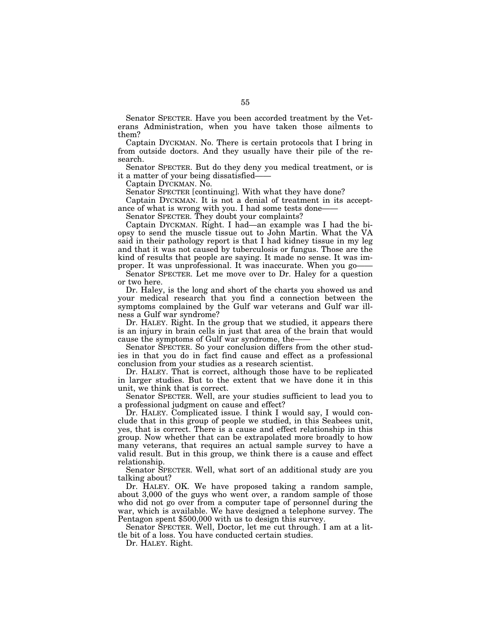Senator SPECTER. Have you been accorded treatment by the Veterans Administration, when you have taken those ailments to them?

Captain DYCKMAN. No. There is certain protocols that I bring in from outside doctors. And they usually have their pile of the research.

Senator SPECTER. But do they deny you medical treatment, or is it a matter of your being dissatisfied-

Captain DYCKMAN. No.

Senator SPECTER [continuing]. With what they have done?

Captain DYCKMAN. It is not a denial of treatment in its acceptance of what is wrong with you. I had some tests done——

Senator SPECTER. They doubt your complaints?

Captain DYCKMAN. Right. I had—an example was I had the biopsy to send the muscle tissue out to John Martin. What the VA said in their pathology report is that I had kidney tissue in my leg and that it was not caused by tuberculosis or fungus. Those are the kind of results that people are saying. It made no sense. It was improper. It was unprofessional. It was inaccurate. When you go-

Senator SPECTER. Let me move over to Dr. Haley for a question or two here.

Dr. Haley, is the long and short of the charts you showed us and your medical research that you find a connection between the symptoms complained by the Gulf war veterans and Gulf war illness a Gulf war syndrome?

Dr. HALEY. Right. In the group that we studied, it appears there is an injury in brain cells in just that area of the brain that would cause the symptoms of Gulf war syndrome, the——

Senator SPECTER. So your conclusion differs from the other studies in that you do in fact find cause and effect as a professional conclusion from your studies as a research scientist.

Dr. HALEY. That is correct, although those have to be replicated in larger studies. But to the extent that we have done it in this unit, we think that is correct.

Senator SPECTER. Well, are your studies sufficient to lead you to a professional judgment on cause and effect?

Dr. HALEY. Complicated issue. I think I would say, I would conclude that in this group of people we studied, in this Seabees unit, yes, that is correct. There is a cause and effect relationship in this group. Now whether that can be extrapolated more broadly to how many veterans, that requires an actual sample survey to have a valid result. But in this group, we think there is a cause and effect relationship.

Senator SPECTER. Well, what sort of an additional study are you talking about?

Dr. HALEY. OK. We have proposed taking a random sample, about 3,000 of the guys who went over, a random sample of those who did not go over from a computer tape of personnel during the war, which is available. We have designed a telephone survey. The Pentagon spent \$500,000 with us to design this survey.

Senator SPECTER. Well, Doctor, let me cut through. I am at a little bit of a loss. You have conducted certain studies.

Dr. HALEY. Right.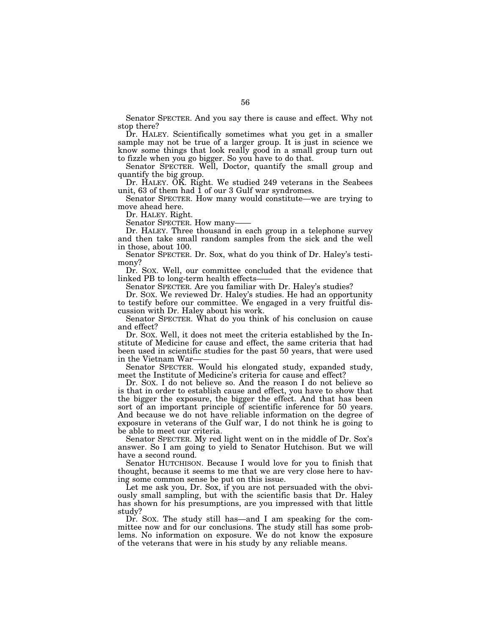Senator SPECTER. And you say there is cause and effect. Why not stop there?

Dr. HALEY. Scientifically sometimes what you get in a smaller sample may not be true of a larger group. It is just in science we know some things that look really good in a small group turn out to fizzle when you go bigger. So you have to do that.

Senator SPECTER. Well, Doctor, quantify the small group and quantify the big group.

Dr. HALEY. OK. Right. We studied 249 veterans in the Seabees unit, 63 of them had  $\overline{1}$  of our 3 Gulf war syndromes.

Senator SPECTER. How many would constitute—we are trying to move ahead here.

Dr. HALEY. Right.

Dr. HALEY. Three thousand in each group in a telephone survey and then take small random samples from the sick and the well in those, about 100.

Senator SPECTER. Dr. Sox, what do you think of Dr. Haley's testimony?

Dr. SOX. Well, our committee concluded that the evidence that linked PB to long-term health effects—— Senator SPECTER. Are you familiar with Dr. Haley's studies?

Dr. Sox. We reviewed Dr. Haley's studies. He had an opportunity to testify before our committee. We engaged in a very fruitful discussion with Dr. Haley about his work.

Senator SPECTER. What do you think of his conclusion on cause and effect?

Dr. SOX. Well, it does not meet the criteria established by the Institute of Medicine for cause and effect, the same criteria that had been used in scientific studies for the past 50 years, that were used in the Vietnam War——<br>Senator SPECTER. Would his elongated study, expanded study,

meet the Institute of Medicine's criteria for cause and effect?

Dr. SOX. I do not believe so. And the reason I do not believe so is that in order to establish cause and effect, you have to show that the bigger the exposure, the bigger the effect. And that has been sort of an important principle of scientific inference for 50 years. And because we do not have reliable information on the degree of exposure in veterans of the Gulf war, I do not think he is going to be able to meet our criteria.

Senator SPECTER. My red light went on in the middle of Dr. Sox's answer. So I am going to yield to Senator Hutchison. But we will have a second round.

Senator HUTCHISON. Because I would love for you to finish that thought, because it seems to me that we are very close here to having some common sense be put on this issue.

Let me ask you, Dr. Sox, if you are not persuaded with the obviously small sampling, but with the scientific basis that Dr. Haley has shown for his presumptions, are you impressed with that little study?

Dr. SOX. The study still has—and I am speaking for the committee now and for our conclusions. The study still has some problems. No information on exposure. We do not know the exposure of the veterans that were in his study by any reliable means.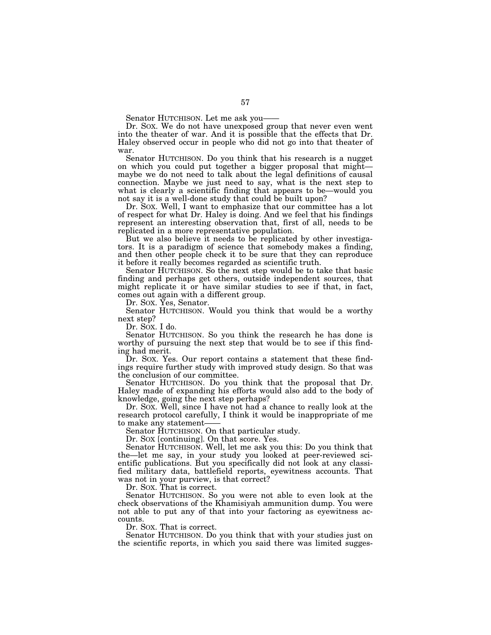Senator HUTCHISON. Let me ask you—— Dr. SOX. We do not have unexposed group that never even went into the theater of war. And it is possible that the effects that Dr. Haley observed occur in people who did not go into that theater of war.

Senator HUTCHISON. Do you think that his research is a nugget on which you could put together a bigger proposal that might— maybe we do not need to talk about the legal definitions of causal connection. Maybe we just need to say, what is the next step to what is clearly a scientific finding that appears to be—would you not say it is a well-done study that could be built upon?

Dr. SOX. Well, I want to emphasize that our committee has a lot of respect for what Dr. Haley is doing. And we feel that his findings represent an interesting observation that, first of all, needs to be replicated in a more representative population.

But we also believe it needs to be replicated by other investigators. It is a paradigm of science that somebody makes a finding, and then other people check it to be sure that they can reproduce it before it really becomes regarded as scientific truth.

Senator HUTCHISON. So the next step would be to take that basic finding and perhaps get others, outside independent sources, that might replicate it or have similar studies to see if that, in fact, comes out again with a different group.

Dr. SOX. Yes, Senator.

Senator HUTCHISON. Would you think that would be a worthy next step?

Dr. SOX. I do.

Senator HUTCHISON. So you think the research he has done is worthy of pursuing the next step that would be to see if this finding had merit.

Dr. SOX. Yes. Our report contains a statement that these findings require further study with improved study design. So that was the conclusion of our committee.

Senator HUTCHISON. Do you think that the proposal that Dr. Haley made of expanding his efforts would also add to the body of knowledge, going the next step perhaps?

Dr. SOX. Well, since I have not had a chance to really look at the research protocol carefully, I think it would be inappropriate of me<br>to make any statement—

Senator HUTCHISON. On that particular study.

Dr. SOX [continuing]. On that score. Yes.

Senator HUTCHISON. Well, let me ask you this: Do you think that the—let me say, in your study you looked at peer-reviewed scientific publications. But you specifically did not look at any classified military data, battlefield reports, eyewitness accounts. That was not in your purview, is that correct?

Dr. SOX. That is correct.

Senator HUTCHISON. So you were not able to even look at the check observations of the Khamisiyah ammunition dump. You were not able to put any of that into your factoring as eyewitness accounts.

Dr. SOX. That is correct.

Senator HUTCHISON. Do you think that with your studies just on the scientific reports, in which you said there was limited sugges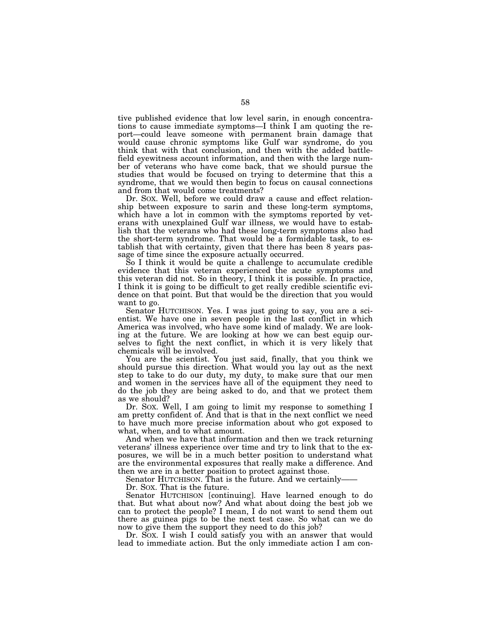tive published evidence that low level sarin, in enough concentrations to cause immediate symptoms—I think I am quoting the report—could leave someone with permanent brain damage that would cause chronic symptoms like Gulf war syndrome, do you think that with that conclusion, and then with the added battlefield eyewitness account information, and then with the large number of veterans who have come back, that we should pursue the studies that would be focused on trying to determine that this a syndrome, that we would then begin to focus on causal connections and from that would come treatments?

Dr. SOX. Well, before we could draw a cause and effect relationship between exposure to sarin and these long-term symptoms, which have a lot in common with the symptoms reported by veterans with unexplained Gulf war illness, we would have to establish that the veterans who had these long-term symptoms also had the short-term syndrome. That would be a formidable task, to establish that with certainty, given that there has been 8 years passage of time since the exposure actually occurred.

So I think it would be quite a challenge to accumulate credible evidence that this veteran experienced the acute symptoms and this veteran did not. So in theory, I think it is possible. In practice, I think it is going to be difficult to get really credible scientific evidence on that point. But that would be the direction that you would want to go.

Senator HUTCHISON. Yes. I was just going to say, you are a scientist. We have one in seven people in the last conflict in which America was involved, who have some kind of malady. We are looking at the future. We are looking at how we can best equip ourselves to fight the next conflict, in which it is very likely that chemicals will be involved.

You are the scientist. You just said, finally, that you think we should pursue this direction. What would you lay out as the next step to take to do our duty, my duty, to make sure that our men and women in the services have all of the equipment they need to do the job they are being asked to do, and that we protect them as we should?

Dr. SOX. Well, I am going to limit my response to something I am pretty confident of. And that is that in the next conflict we need to have much more precise information about who got exposed to what, when, and to what amount.

And when we have that information and then we track returning veterans' illness experience over time and try to link that to the exposures, we will be in a much better position to understand what are the environmental exposures that really make a difference. And then we are in a better position to protect against those.

Senator HUTCHISON. That is the future. And we certainly——

Dr. SOX. That is the future.

Senator HUTCHISON [continuing]. Have learned enough to do that. But what about now? And what about doing the best job we can to protect the people? I mean, I do not want to send them out there as guinea pigs to be the next test case. So what can we do now to give them the support they need to do this job?

Dr. SOX. I wish I could satisfy you with an answer that would lead to immediate action. But the only immediate action I am con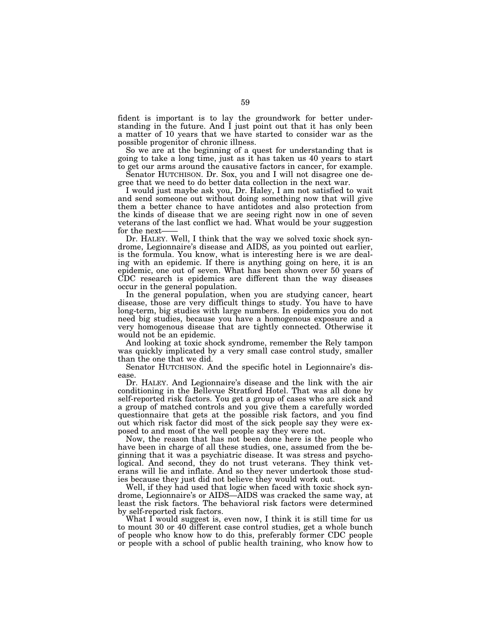fident is important is to lay the groundwork for better understanding in the future. And I just point out that it has only been a matter of 10 years that we have started to consider war as the possible progenitor of chronic illness.

So we are at the beginning of a quest for understanding that is going to take a long time, just as it has taken us 40 years to start to get our arms around the causative factors in cancer, for example.

Senator HUTCHISON. Dr. Sox, you and I will not disagree one degree that we need to do better data collection in the next war.

I would just maybe ask you, Dr. Haley, I am not satisfied to wait and send someone out without doing something now that will give them a better chance to have antidotes and also protection from the kinds of disease that we are seeing right now in one of seven veterans of the last conflict we had. What would be your suggestion for the next——<br>Dr. HALEY. Well, I think that the way we solved toxic shock syn-

drome, Legionnaire's disease and AIDS, as you pointed out earlier, is the formula. You know, what is interesting here is we are dealing with an epidemic. If there is anything going on here, it is an epidemic, one out of seven. What has been shown over 50 years of CDC research is epidemics are different than the way diseases occur in the general population.

In the general population, when you are studying cancer, heart disease, those are very difficult things to study. You have to have long-term, big studies with large numbers. In epidemics you do not need big studies, because you have a homogenous exposure and a very homogenous disease that are tightly connected. Otherwise it would not be an epidemic.

And looking at toxic shock syndrome, remember the Rely tampon was quickly implicated by a very small case control study, smaller than the one that we did.

Senator HUTCHISON. And the specific hotel in Legionnaire's disease.

Dr. HALEY. And Legionnaire's disease and the link with the air conditioning in the Bellevue Stratford Hotel. That was all done by self-reported risk factors. You get a group of cases who are sick and a group of matched controls and you give them a carefully worded questionnaire that gets at the possible risk factors, and you find out which risk factor did most of the sick people say they were exposed to and most of the well people say they were not.

Now, the reason that has not been done here is the people who have been in charge of all these studies, one, assumed from the beginning that it was a psychiatric disease. It was stress and psychological. And second, they do not trust veterans. They think veterans will lie and inflate. And so they never undertook those studies because they just did not believe they would work out.

Well, if they had used that logic when faced with toxic shock syndrome, Legionnaire's or AIDS—AIDS was cracked the same way, at least the risk factors. The behavioral risk factors were determined by self-reported risk factors.

What  $\overline{I}$  would suggest is, even now,  $\overline{I}$  think it is still time for us to mount 30 or 40 different case control studies, get a whole bunch of people who know how to do this, preferably former CDC people or people with a school of public health training, who know how to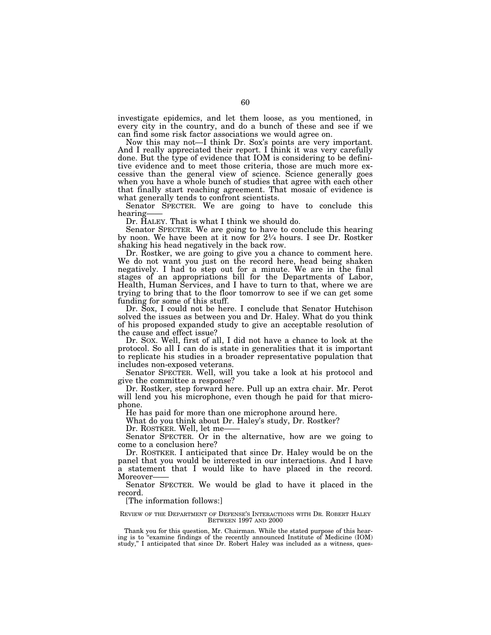investigate epidemics, and let them loose, as you mentioned, in every city in the country, and do a bunch of these and see if we can find some risk factor associations we would agree on.

Now this may not—I think Dr. Sox's points are very important. And I really appreciated their report. I think it was very carefully done. But the type of evidence that IOM is considering to be definitive evidence and to meet those criteria, those are much more excessive than the general view of science. Science generally goes when you have a whole bunch of studies that agree with each other that finally start reaching agreement. That mosaic of evidence is what generally tends to confront scientists.

Senator SPECTER. We are going to have to conclude this hearing——<br>Dr. HALEY. That is what I think we should do.

Senator SPECTER. We are going to have to conclude this hearing by noon. We have been at it now for  $2\frac{1}{4}$  hours. I see Dr. Rostker shaking his head negatively in the back row.

Dr. Rostker, we are going to give you a chance to comment here. We do not want you just on the record here, head being shaken negatively. I had to step out for a minute. We are in the final stages of an appropriations bill for the Departments of Labor, Health, Human Services, and I have to turn to that, where we are trying to bring that to the floor tomorrow to see if we can get some funding for some of this stuff.

Dr. Sox, I could not be here. I conclude that Senator Hutchison solved the issues as between you and Dr. Haley. What do you think of his proposed expanded study to give an acceptable resolution of the cause and effect issue?

Dr. SOX. Well, first of all, I did not have a chance to look at the protocol. So all I can do is state in generalities that it is important to replicate his studies in a broader representative population that includes non-exposed veterans.

Senator SPECTER. Well, will you take a look at his protocol and give the committee a response?

Dr. Rostker, step forward here. Pull up an extra chair. Mr. Perot will lend you his microphone, even though he paid for that microphone.

He has paid for more than one microphone around here.

What do you think about Dr. Haley's study, Dr. Rostker?

Dr. ROSTKER. Well, let me-

Senator SPECTER. Or in the alternative, how are we going to come to a conclusion here?

Dr. ROSTKER. I anticipated that since Dr. Haley would be on the panel that you would be interested in our interactions. And I have a statement that I would like to have placed in the record. Moreover-

Senator SPECTER. We would be glad to have it placed in the record.

[The information follows:]

REVIEW OF THE DEPARTMENT OF DEFENSE'S INTERACTIONS WITH DR. ROBERT HALEY BETWEEN 1997 AND 2000

Thank you for this question, Mr. Chairman. While the stated purpose of this hearing is to ''examine findings of the recently announced Institute of Medicine (IOM) study,'' I anticipated that since Dr. Robert Haley was included as a witness, ques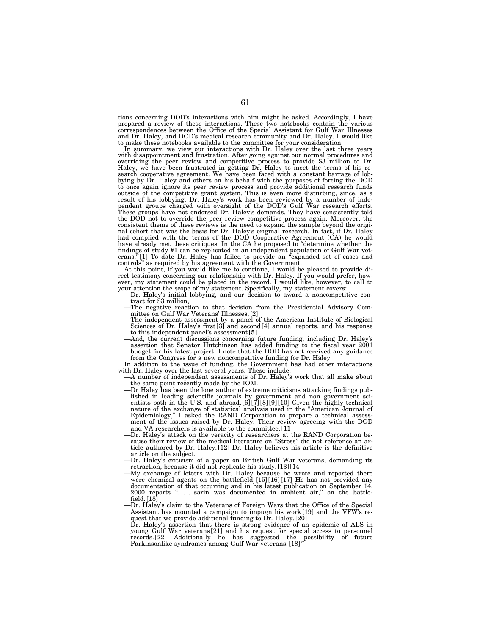tions concerning DOD's interactions with him might be asked. Accordingly, I have prepared a review of these interactions. These two notebooks contain the various correspondences between the Office of the Special Assistant for Gulf War Illnesses and Dr. Haley, and DOD's medical research community and Dr. Haley. I would like to make these notebooks available to the committee for your consideration.

In summary, we view our interactions with Dr. Haley over the last three years with disappointment and frustration. After going against our normal procedures and overriding the peer review and competitive process to provide \$3 million to Dr. Haley, we have been frustrated in getting Dr. Haley to meet the terms of his research cooperative agreement. We have been faced with a constant barrage of lobbying by Dr. Haley and others on his behalf with the purposes of forcing the DOD to once again ignore its peer review process and provide additional research funds outside of the competitive grant system. This is even more disturbing, since, as a result of his lobbying, Dr. Haley's work has been reviewed by a number of inde-pendent groups charged with oversight of the DOD's Gulf War research efforts. These groups have not endorsed Dr. Haley's demands. They have consistently told the DOD not to override the peer review competitive process again. Moreover, the consistent theme of these reviews is the need to expand the sample beyond the origi-nal cohort that was the basis for Dr. Haley's original research. In fact, if Dr. Haley had complied with the terms of the DOD Cooperative Agreement (CA) he would have already met these critiques. In the CA he proposed to ''determine whether the findings of study #1 can be replicated in an independent population of Gulf War vet-erans.''[1] To date Dr. Haley has failed to provide an ''expanded set of cases and

controls'' as required by his agreement with the Government. At this point, if you would like me to continue, I would be pleased to provide direct testimony concerning our relationship with Dr. Haley. If you would prefer, how-ever, my statement could be placed in the record. I would like, however, to call to

- your attention the scope of my statement. Specifically, my statement covers:<br>
-Dr. Haley's initial lobbying, and our decision to award a noncompetitive con-<br>
tract for \$3 million,<br>
-The negative reaction to that decision f
	-
	- mittee on Gulf War Veterans' Illnesses, [2]<br>—The independent assessment by a panel of the American Institute of Biological<br>Sciences of Dr. Haley's first [3] and second [4] annual reports, and his response
	- to this independent panel's assessment [5] —And, the current discussions concerning future funding, including Dr. Haley's assertion that Senator Hutchinson has added funding to the fiscal year 2001 budget for his latest project. I note that the DOD has not received any guidance from the Congress for a new noncompetitive funding for Dr. Haley.

In addition to the issue of funding, the Government has had other interactions with Dr. Haley over the last several years. These include:

—A number of independent assessments of Dr. Haley's work that all make about the same point recently made by the IOM.

- —Dr Haley has been the lone author of extreme criticisms attacking findings published in leading scientific journals by government and non government scientists both in the U.S. and abroad. [6] [7] [8] [9] [10] Given the highly technical nature of the exchange of statistical analysis used in the ''American Journal of Epidemiology,'' I asked the RAND Corporation to prepare a technical assessment of the issues raised by Dr. Haley. Their review agreeing with the DOD and VA researchers is available to the committee. [11]
- —Dr. Haley's attack on the veracity of researchers at the RAND Corporation because their review of the medical literature on ''Stress'' did not reference an article authored by Dr. Haley. [12] Dr. Haley believes his article is the definitive article on the subject.
- —Dr. Haley's criticism of a paper on British Gulf War veterans, demanding its retraction, because it did not replicate his study. [13] [14]
- —My exchange of letters with Dr. Haley because he wrote and reported there were chemical agents on the battlefield. [15] [16] [17] He has not provided any documentation of that occurring and in his latest publication on September 14, 2000 reports ". . . sarin was documented in ambient air," on the battlefield. [18]
- —Dr. Haley's claim to the Veterans of Foreign Wars that the Office of the Special Assistant has mounted a campaign to impugn his work [19] and the VFW's request that we provide additional funding to Dr. Haley. [20]
- Dr. Haley's assertion that there is strong evidence of an epidemic of ALS in young Gulf War veterans [21] and his request for special access to personnel records. [22] Additionally he has suggested the possibility of future Parkinsonlike syndromes among Gulf War veterans. [18]''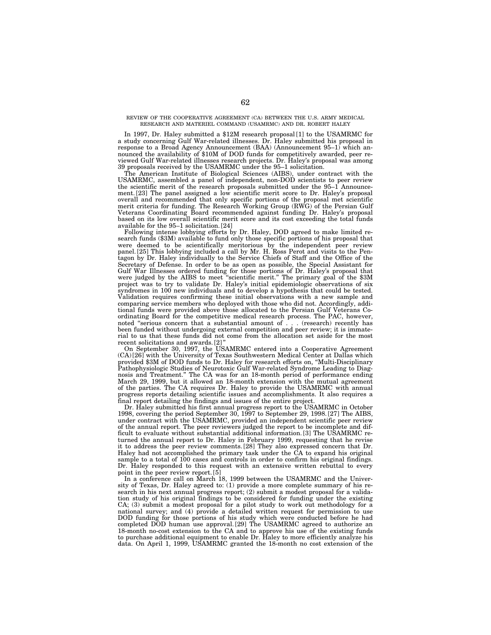### REVIEW OF THE COOPERATIVE AGREEMENT (CA) BETWEEN THE U.S. ARMY MEDICAL RESEARCH AND MATERIEL COMMAND (USAMRMC) AND DR. ROBERT HALEY

In 1997, Dr. Haley submitted a \$12M research proposal [1] to the USAMRMC for a study concerning Gulf War-related illnesses. Dr. Haley submitted his proposal in response to a Broad Agency Announcement (BAA) (Announcement 95–1) which announced the availability of \$10M of DOD funds for competitively awarded, peer reviewed Gulf War-related illnesses research projects. Dr. Haley's proposal was among 39 proposals received by the USAMRMC under the 95–1 solicitation.

The American Institute of Biological Sciences (AIBS), under contract with the USAMRMC, assembled a panel of independent, non-DOD scientists to peer review the scientific merit of the research proposals submitted under the 95–1 Announcement. [23] The panel assigned a low scientific merit score to Dr. Haley's proposal overall and recommended that only specific portions of the proposal met scientific merit criteria for funding. The Research Working Group (RWG) of the Persian Gulf Veterans Coordinating Board recommended against funding Dr. Haley's proposal based on its low overall scientific merit score and its cost exceeding the total funds available for the 95–1 solicitation. [24]

Following intense lobbying efforts by Dr. Haley, DOD agreed to make limited research funds (\$3M) available to fund only those specific portions of his proposal that were deemed to be scientifically meritorious by the independent peer review panel. [25] This lobbying included a call by Mr. H. Ross Perot and visits to the Pentagon by Dr. Haley individually to the Service Chiefs of Staff and the Office of the Secretary of Defense. In order to be as open as possible, the Special Assistant for Gulf War Illnesses ordered funding for those portions of Dr. Haley's proposal that were judged by the AIBS to meet ''scientific merit.'' The primary goal of the \$3M project was to try to validate Dr. Haley's initial epidemiologic observations of six syndromes in 100 new individuals and to develop a hypothesis that could be tested. Validation requires confirming these initial observations with a new sample and comparing service members who deployed with those who did not. Accordingly, additional funds were provided above those allocated to the Persian Gulf Veterans Coordinating Board for the competitive medical research process. The PAC, however, noted "serious concern that a substantial amount of . . . (research) recently has been funded without undergoing external competition and peer review; it is immaterial to us that these funds did not come from the allocation set aside for the most recent solicitations and awards. [2]''

On September 30, 1997, the USAMRMC entered into a Cooperative Agreement (CA) [26] with the University of Texas Southwestern Medical Center at Dallas which provided \$3M of DOD funds to Dr. Haley for research efforts on, ''Multi-Disciplinary Pathophysiologic Studies of Neurotoxic Gulf War-related Syndrome Leading to Diagnosis and Treatment." The CA was for an 18-month period of performance ending March 29, 1999, but it allowed an 18-month extension with the mutual agreement of the parties. The CA requires Dr. Haley to provide the USAMRMC with annual progress reports detailing scientific issues and accomplishments. It also requires a final report detailing the findings and issues of the entire project.

Dr. Haley submitted his first annual progress report to the USAMRMC in October 1998, covering the period September 30, 1997 to September 29, 1998. [27] The AIBS, under contract with the USAMRMC, provided an independent scientific peer review of the annual report. The peer reviewers judged the report to be incomplete and difficult to evaluate without substantial additional information. [3] The USAMRMC returned the annual report to Dr. Haley in February 1999, requesting that he revise it to address the peer review comments. [28] They also expressed concern that Dr. Haley had not accomplished the primary task under the CA to expand his original sample to a total of 100 cases and controls in order to confirm his original findings. Dr. Haley responded to this request with an extensive written rebuttal to every point in the peer review report. [5]

In a conference call on March 18, 1999 between the USAMRMC and the University of Texas, Dr. Haley agreed to: (1) provide a more complete summary of his research in his next annual progress report; (2) submit a modest proposal for a validation study of his original findings to be considered for funding under the existing CA; (3) submit a modest proposal for a pilot study to work out methodology for a national survey; and (4) provide a detailed written request for permission to use DOD funding for those portions of his study which were conducted before he had completed DOD human use approval. [29] The USAMRMC agreed to authorize an 18-month no-cost extension to the CA and to approve his use of the existing funds to purchase additional equipment to enable Dr. Haley to more efficiently analyze his data. On April 1, 1999, USAMRMC granted the 18-month no cost extension of the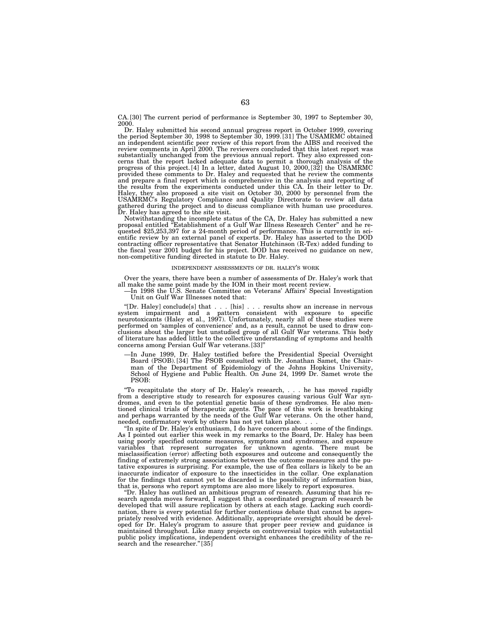CA. [30] The current period of performance is September 30, 1997 to September 30, 2000.

Dr. Haley submitted his second annual progress report in October 1999, covering the period September 30, 1998 to September 30, 1999. [31] The USAMRMC obtained an independent scientific peer review of this report from the AIBS and received the review comments in April 2000. The reviewers concluded that this latest report was substantially unchanged from the previous annual report. They also expressed concerns that the report lacked adequate data to permit a thorough analysis of the progress of this project. [4] In a letter, dated August 10, 2000, [32] the USAMRMC provided these comments to Dr. Haley and requested that he review the comments and prepare a final report which is comprehensive in the analysis and reporting of the results from the experiments conducted under this CA. In their letter to Dr. Haley, they also proposed a site visit on October 30, 2000 by personnel from the USAMRMC's Regulatory Compliance and Quality Directorate to review all data gathered during the project and to discuss compliance with human use procedures. Dr. Haley has agreed to the site visit.

Notwithstanding the incomplete status of the CA, Dr. Haley has submitted a new proposal entitled ''Establishment of a Gulf War Illness Research Center'' and he re-quested \$25,253,397 for a 24-month period of performance. This is currently in scientific review by an external panel of experts. Dr. Haley has asserted to the DOD contracting officer representative that Senator Hutchinson (R-Tex) added funding to the fiscal year 2001 budget for his project. DOD has received no guidance on new, non-competitive funding directed in statute to Dr. Haley.

#### INDEPENDENT ASSESSMENTS OF DR. HALEY'S WORK

Over the years, there have been a number of assessments of Dr. Haley's work that all make the same point made by the IOM in their most recent review. —In 1998 the U.S. Senate Committee on Veterans' Affairs' Special Investigation

Unit on Gulf War Illnesses noted that:

"[Dr. Haley] conclude[s] that . . . [his] . . . results show an increase in nervous system impairment and a pattern consistent with exposure to specific neurotoxicants (Haley et al., 1997). Unfortunately, nearly all of the performed on 'samples of convenience' and, as a result, cannot be used to draw conclusions about the larger but unstudied group of all Gulf War veterans. This body of literature has added little to the collective understanding of symptoms and health concerns among Persian Gulf War veterans. [33]''

—In June 1999, Dr. Haley testified before the Presidential Special Oversight Board (PSOB). [34] The PSOB consulted with Dr. Jonathan Samet, the Chairman of the Department of Epidemiology of the Johns Hopkins University, School of Hygiene and Public Health. On June 24, 1999 Dr. Samet wrote the PSOB:

''To recapitulate the story of Dr. Haley's research, . . . he has moved rapidly from a descriptive study to research for exposures causing various Gulf War syndromes, and even to the potential genetic basis of these syndromes. He also mentioned clinical trials of therapeutic agents. The pace of this work is breathtaking and perhaps warranted by the needs of the Gulf War veterans. On the other hand, needed, confirmatory work by others has not yet taken place....

''In spite of Dr. Haley's enthusiasm, I do have concerns about some of the findings. As I pointed out earlier this week in my remarks to the Board, Dr. Haley has been using poorly specified outcome measures, symptoms and syndromes, and exposure variables that represent surrogates for unknown agents. There must be misclassification (error) affecting both exposures and outcome and consequently the finding of extremely strong associations between the outcome measures and the putative exposures is surprising. For example, the use of flea collars is likely to be an inaccurate indicator of exposure to the insecticides in the collar. One explanation for the findings that cannot yet be discarded is the possibility of information bias, that is, persons who report symptoms are also more likely to report exposures.

"Dr. Haley has outlined an ambitious program of research. Assuming that his research agenda moves forward, I suggest that a coordinated program of research be developed that will assure replication by others at each stage. Lacking such coordination, there is every potential for further contentious debate that cannot be appropriately resolved with evidence. Additionally, appropriate oversight should be developed for Dr. Haley's program to assure that proper peer review and guidance is maintained throughout. Like many projects on controversial topics with substantial public policy implications, independent oversight enhances the credibility of the research and the researcher."[35]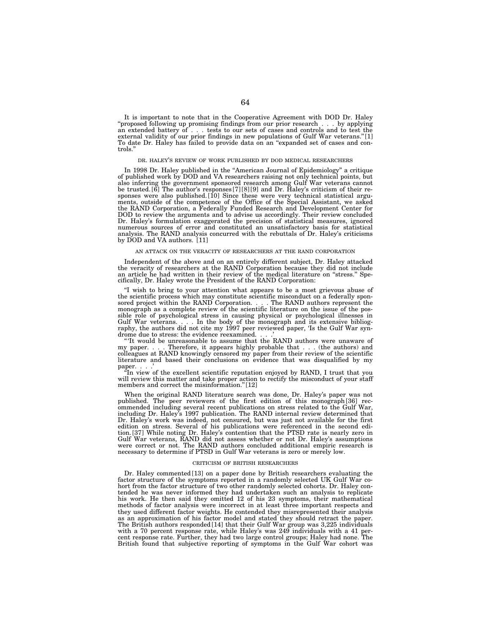It is important to note that in the Cooperative Agreement with DOD Dr. Haley<br>"proposed following up promising findings from our prior research . . . by applying<br>an extended battery of . . . tests to our sets of cases and c external validity of our prior findings in new populations of Gulf War veterans.''[1] To date Dr. Haley has failed to provide data on an ''expanded set of cases and controls.''

#### DR. HALEY'S REVIEW OF WORK PUBLISHED BY DOD MEDICAL RESEARCHERS

In 1998 Dr. Haley published in the ''American Journal of Epidemiology'' a critique of published work by DOD and VA researchers raising not only technical points, but also inferring the government sponsored research among Gulf War veterans cannot be trusted. [6] The author's responses [7] [8] [9] and Dr. Haley's criticism of their responses were also published. [10] Since these were very technical statistical arguments, outside of the competence of the Office of the Special Assistant, we asked the RAND Corporation, a Federally Funded Research and Development Center for DOD to review the arguments and to advise us accordingly. Their review concluded Dr. Haley's formulation exaggerated the precision of statistical measures, ignored numerous sources of error and constituted an unsatisfactory basis for statistical analysis. The RAND analysis concurred with the rebuttals of Dr. Haley's criticisms by DOD and VA authors. [11]

### AN ATTACK ON THE VERACITY OF RESEARCHERS AT THE RAND CORPORATION

Independent of the above and on an entirely different subject, Dr. Haley attacked the veracity of researchers at the RAND Corporation because they did not include an article he had written in their review of the medical literature on "stress." Specifically, Dr. Haley wrote the President of the RAND Corporation:

"I wish to bring to your attention what appears to be a most grievous abuse of the scientific process which may constitute scientific misconduct on a federally spon-sored project within the RAND Corporation. . . . The RAND authors represent the monograph as a complete review of the scientific literature on the issue of the possible role of psychological stress in causing physical or psychological illnesses in<br>Gulf War veterans. . . . In the body of the monograph and its extensive bibliog-<br>raphy, the authors did not cite my 1997 peer reviewed pa

drome due to stress: the evidence reexamined....'<br>"It would be unreasonable to assume that the RAND authors were unaware of<br>my paper....Therefore, it appears highly probable that ... (the authors) and Therefore, it appears highly probable that  $\dots$  (the authors) and my paper.... Incretore, it appears mighty probable that ... (the authors) and<br>colleagues at RAND knowingly censored my paper from their review of the scientific literature and based their conclusions on evidence that was disqualified by my

paper....'<br>"In view of the excellent scientific reputation enjoyed by RAND, I trust that you<br>"In view of the excellent scientific reputation to rectify the misconduct of your staff will review this matter and take proper action to rectify the misconduct of your staff members and correct the misinformation."[12]

When the original RAND literature search was done, Dr. Haley's paper was not published. The peer reviewers of the first edition of this monograph [36] rec-ommended including several recent publications on stress related to the Gulf War, including Dr. Haley's 1997 publication. The RAND internal review determined that Dr. Haley's work was indeed, not censured, but was just not available for the first<br>edition on stress. Several of his publications were referenced in the second edi-<br>tion.[37] While noting Dr. Haley's contention that the P Gulf War veterans, RAND did not assess whether or not Dr. Haley's assumptions were correct or not. The RAND authors concluded additional empiric research is necessary to determine if PTSD in Gulf War veterans is zero or merely low.

#### CRITICISM OF BRITISH RESEARCHERS

Dr. Haley commented [13] on a paper done by British researchers evaluating the factor structure of the symptoms reported in a randomly selected UK Gulf War cohort from the factor structure of two other randomly selected cohorts. Dr. Haley contended he was never informed they had undertaken such an analysis to replicate his work. He then said they omitted 12 of his 23 symptoms, their mathematical methods of factor analysis were incorrect in at least three important respects and they used different factor weights. He contended they misrepresented their analysis as an approximation of his factor model and stated they should retract the paper. The British authors responded [14] that their Gulf War group was 3,225 individuals with a 70 percent response rate, while Haley's was 249 individuals with a 41 percent response rate. Further, they had two large control groups; Haley had none. The British found that subjective reporting of symptoms in the Gulf War cohort was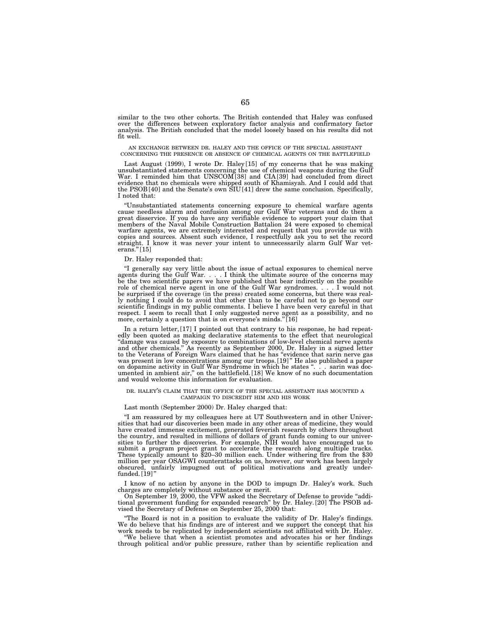similar to the two other cohorts. The British contended that Haley was confused over the differences between exploratory factor analysis and confirmatory factor analysis. The British concluded that the model loosely based on his results did not fit well.

#### AN EXCHANGE BETWEEN DR. HALEY AND THE OFFICE OF THE SPECIAL ASSISTANT CONCERNING THE PRESENCE OR ABSENCE OF CHEMICAL AGENTS ON THE BATTLEFIELD

Last August (1999), I wrote Dr. Haley [15] of my concerns that he was making unsubstantiated statements concerning the use of chemical weapons during the Gulf War. I reminded him that UNSCOM [38] and CIA [39] had concluded from direct evidence that no chemicals were shipped south of Khamisyah. And I could add that the PSOB [40] and the Senate's own SIU [41] drew the same conclusion. Specifically, I noted that:

''Unsubstantiated statements concerning exposure to chemical warfare agents cause needless alarm and confusion among our Gulf War veterans and do them a great disservice. If you do have any verifiable evidence to support your claim that members of the Naval Mobile Construction Battalion 24 were exposed to chemical warfare agents, we are extremely interested and request that you provide us with copies and sources. Absent such evidence, I respectfully ask you to set the record straight. I know it was never your intent to unnecessarily alarm Gulf War veterans."[15]

### Dr. Haley responded that:

"I generally say very little about the issue of actual exposures to chemical nerve agents during the Gulf War.  $\dots$  I think the ultimate source of the concerns may be the two scientific papers we have published that bear role of chemical nerve agent in one of the Gulf War syndromes. . . . I would not be surprised if the coverage (in the press) created some concerns, but there was really nothing I could do to avoid that other than to be careful not to go beyond our scientific findings in my public comments. I believe I have been very careful in that respect. I seem to recall that I only suggested nerve agent as a possibility, and no more, certainly a question that is on everyone's minds."[16]

In a return letter, [17] I pointed out that contrary to his response, he had repeatedly been quoted as making declarative statements to the effect that neurological "damage was caused by exposure to combinations of low-level chemical nerve agents<br>and other chemicals." As recently as September 2000, Dr. Haley in a signed letter<br>to the Veterans of Foreign Wars claimed that he has "evide was present in low concentrations among our troops. [19]" He also published a paper on dopamine activity in Gulf War Syndrome in which he states ''. . . sarin was doc-umented in ambient air,'' on the battlefield. [18] We know of no such documentation and would welcome this information for evaluation.

### DR. HALEY'S CLAIM THAT THE OFFICE OF THE SPECIAL ASSISTANT HAS MOUNTED A CAMPAIGN TO DISCREDIT HIM AND HIS WORK

# Last month (September 2000) Dr. Haley charged that:

''I am reassured by my colleagues here at UT Southwestern and in other Universities that had our discoveries been made in any other areas of medicine, they would have created immense excitement, generated feverish research by others throughout the country, and resulted in millions of dollars of grant funds coming to our universities to further the discoveries. For example, NIH would have encouraged us to submit a program project grant to accelerate the research million per year OSAGWI counterattacks on us, however, our work has been largely obscured, unfairly impugned out of political motivations and greatly underfunded. [19]''

I know of no action by anyone in the DOD to impugn Dr. Haley's work. Such charges are completely without substance or merit.

On September 19, 2000, the VFW asked the Secretary of Defense to provide "additional government funding for expanded research" by Dr. Haley. [20] The PSOB advised the Secretary of Defense on September 25, 2000 that:

''The Board is not in a position to evaluate the validity of Dr. Haley's findings. We do believe that his findings are of interest and we support the concept that his work needs to be replicated by independent scientists not affiliated with Dr. Haley. ''We believe that when a scientist promotes and advocates his or her findings

through political and/or public pressure, rather than by scientific replication and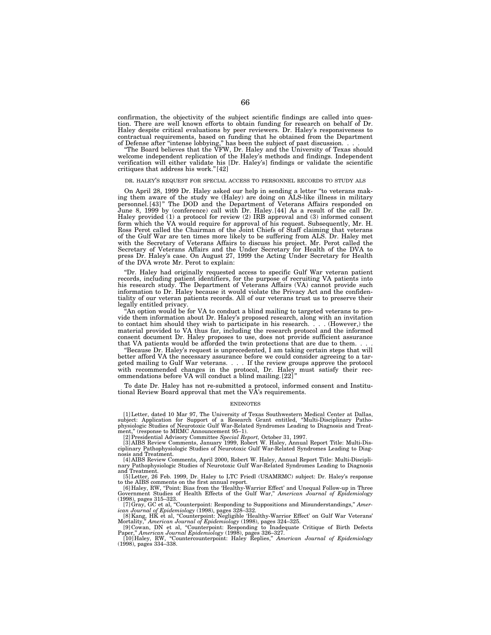confirmation, the objectivity of the subject scientific findings are called into question. There are well known efforts to obtain funding for research on behalf of Dr. Haley despite critical evaluations by peer reviewers. Dr. Haley's responsiveness to contractual requirements, based on funding that he obtained from the Department of Defense after "intense lobbying," has been the subject of past discussion...

''The Board believes that the VFW, Dr. Haley and the University of Texas should welcome independent replication of the Haley's methods and findings. Independent verification will either validate his [Dr. Haley's] findings or validate the scientific critiques that address his work.''[42]

### DR. HALEY'S REQUEST FOR SPECIAL ACCESS TO PERSONNEL RECORDS TO STUDY ALS

On April 28, 1999 Dr. Haley asked our help in sending a letter ''to veterans making them aware of the study we (Haley) are doing on ALS-like illness in military personnel. [43]'' The DOD and the Department of Veterans Affairs responded on June 8, 1999 by (conference) call with Dr. Haley. [44] As a result of the call Dr. Haley provided (1) a protocol for review (2) IRB approval and (3) informed consent form which the VA would require for approval of his request. Subsequently, Mr. H. Ross Perot called the Chairman of the Joint Chiefs of Staff claiming that veterans of the Gulf War are ten times more likely to be suffering from ALS. Dr. Haley met with the Secretary of Veterans Affairs to discuss his project. Mr. Perot called the Secretary of Veterans Affairs and the Under Secretary for Health of the DVA to press Dr. Haley's case. On August 27, 1999 the Acting Under Secretary for Health of the DVA wrote Mr. Perot to explain:

''Dr. Haley had originally requested access to specific Gulf War veteran patient records, including patient identifiers, for the purpose of recruiting VA patients into his research study. The Department of Veterans Affairs (VA) cannot provide such information to Dr. Haley because it would violate the Privacy Act and the confidentiality of our veteran patients records. All of our veterans trust us to preserve their legally entitled privacy.

''An option would be for VA to conduct a blind mailing to targeted veterans to provide them information about Dr. Haley's proposed research, along with an invitation to contact him should they wish to participate in his research. . . . (However,) the material provided to VA thus far, including the research protocol and the informed consent document Dr. Haley proposes to use, does not provide sufficient assurance that VA patients would be afforded the twin protections that are due to them...

''Because Dr. Haley's request is unprecedented, I am taking certain steps that will better afford VA the necessary assurance before we could consider agreeing to a targeted mailing to Gulf War veterans. . . . If the review groups approve the protocol with recommended changes in the protocol, Dr. Haley must satisfy their recommendations before VA will conduct a blind mailing. [22]

To date Dr. Haley has not re-submitted a protocol, informed consent and Institutional Review Board approval that met the VA's requirements.

#### **ENDNOTES**

[1] Letter, dated 10 Mar 97, The University of Texas Southwestern Medical Center at Dallas, subject: Application for Support of a Research Grant entitled, ''Multi-Disciplinary Patho-physiologic Studies of Neurotoxic Gulf War-Related Syndromes Leading to Diagnosis and Treatment," (response to MRMC Announcement 95–1).

[2] Presidential Advisory Committee Special Report, October 31, 1997.<br>[3] AIBS Review Comments, January 1999, Robert W. Haley, Annual Report Title: Multi-Disciplinary Pathophysiologic Studies of Neurotoxic Gulf War-Related nosis and Treatment.

[4] AIBS Review Comments, April 2000, Robert W. Haley, Annual Report Title: Multi-Discipli-nary Pathophysiologic Studies of Neurotoxic Gulf War-Related Syndromes Leading to Diagnosis and Treatment.

[5] Letter, 26 Feb. 1999, Dr. Haley to LTC Friedl (USAMRMC) subject: Dr. Haley's response<br>to the AIBS comments on the first annual report.<br>[6] Haley, RW, "Point: Bias from the 'Healthy-Warrior Effect' and Unequal Follow-up

(1998), pages 315–323.

[7] Gray, GC et al, "Counterpoint: Responding to Suppositions and Misunderstandings," American Journal of Epidemiology (1998), pages 328–332.<br>
ican Journal of Epidemiology (1998), pages 324–325.<br>
Mortality," American Jour

[10] Haley, RW, ''Countercounterpoint: Haley Replies,'' *American Journal of Epidemiology* (1998), pages 334–338.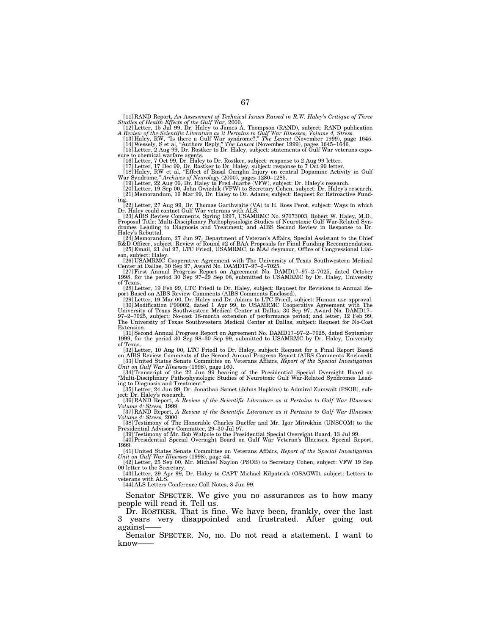[11] RAND Report, *An Assessment of Technical Issues Raised in R.W. Haley's Critique of Three*

Studies of Health Effects of the Gulf War, 2000.<br>
[12] Letter, 15 Jul 99, Dr. Haley to James A. Thompson (RAND), subject: RAND publication<br>
A Review of the Scientific Literature as it Pertains to Gulf War Illnesses, Volume

sure to chemical warfare agents.<br>
[16] Letter, 7 Oct 99, Dr. Haley to Dr. Rostker, subject: response to 2 Aug 99 letter.<br>
[17] Letter, 17 Dee 99, Dr. Rostker to Dr. Haley, subject: response to 7 Oct 99 letter.<br>
[18] Haley,

[21] Memorandum, 19 Mar 99, Dr. Haley to Dr. Adams, subject: Request for Retroactive Fund-

ing.<br>22] Letter, 27 Aug 99, Dr. Thomas Garthwaite (VA) to H. Ross Perot, subject: Ways in which<br>Dr. Haley could contact Gulf War veterans with ALS.<br>23] AIBS Review Comments, Spring 1997, USAMRMC No. 97073003, Robert W. Hal

[24] Memorandum, 27 Jun 97, Department of Veteran's Affairs, Special Assistant to the Chief (R&D Officer, subject: Review of Round #2 of BAA Proposals for Final Funding Recommendation.<br>[25] Email, 21 Jul 97, LTC Friedl, US

son, subject: Haley.<br>
[26] USAMRMC Cooperative Agreement with The University of Texas Southwestern Medical<br>
Center at Dallas, 30 Sep 97, Award No. DAMD17–97–2–7025.<br>
[27] First Annual Progress Report on Agreement No. DAMD1

of Texas.

[28] Letter, 19 Feb 99, LTC Friedl to Dr. Haley, subject: Request for Revisions to Annual Report Based on AIBS Review Comments (AIBS Comments Enclosed). [29] Letter, 19 Mar 00, Dr. Haley and Dr. Adams to LTC Friedl, subject: Human use approval.

[30] Modification P90002, dated 1 Apr 99, to USAMRMC Cooperative Agreement with The<br>University of Texas Southwestern Medical Center at Dallas, 30 Sep 97, Award No. DAMD17–<br>97–2–7025, subject: No-cost 18-month extension of The University of Texas Southwestern Medical Center at Dallas, subject: Request for No-Cost Extension.

[31] Second Annual Progress Report on Agreement No. DAMD17–97–2–7025, dated September 1999, for the period 30 Sep 98–30 Sep 99, submitted to USAMRMC by Dr. Haley, University of Texas.

[32] Letter, 10 Aug 00, LTC Friedl to Dr. Haley, subject: Request for a Final Report Based<br>on AIBS Review Comments of the Second Annual Progress Report (AIBS Comments Enclosed).<br>[33] United States Senate Committee on Veter

[34] Transcript of the 22 Jun 99 hearing of the Presidential Special Oversight Board on ''Multi-Disciplinary Pathophysiologic Studies of Neurotoxic Gulf War-Related Syndromes Lead-

ing to Diagnosis and Treatment.'' [35] Letter, 24 Jun 99, Dr. Jonathan Samet (Johns Hopkins) to Admiral Zumwalt (PSOB), sub-

ject: Dr. Haley's research. [36] RAND Report, *A Review of the Scientific Literature as it Pertains to Gulf War Illnesses:*

*Volume 4: Stress,* 1999.

[37] RAND Report, *A Review of the Scientific Literature as it Pertains to Gulf War Illnesses: Volume 4: Stress,* 2000. [38] Testimony of The Honorable Charles Duelfer and Mr. Igor Mitrokhin (UNSCOM) to the

Presidential Advisory Committee, 29–30 Jul 97. [39] Testimony of Mr. Bob Walpole to the Presidential Special Oversight Board, 13 Jul 99.

[40] Presidential Special Oversight Board on Gulf War Veteran's Illnesses, Special Report, 1999.

[41] United States Senate Committee on Veterans Affairs, *Report of the Special Investigation Unit on Gulf War Illnesses* (1998), page 44. [42] Letter, 25 Sep 00, Mr. Michael Naylon (PSOB) to Secretary Cohen, subject: VFW 19 Sep 00 letter to the Secretary.

[43] Letter, 29 Apr 99, Dr. Haley to CAPT Michael Kilpatrick (OSAGWI), subject: Letters to veterans with ALS. [44] ALS Letters Conference Call Notes, 8 Jun 99.

Senator SPECTER. We give you no assurances as to how many people will read it. Tell us.

Dr. ROSTKER. That is fine. We have been, frankly, over the last 3 years very disappointed and frustrated. After going out against——

Senator SPECTER. No, no. Do not read a statement. I want to know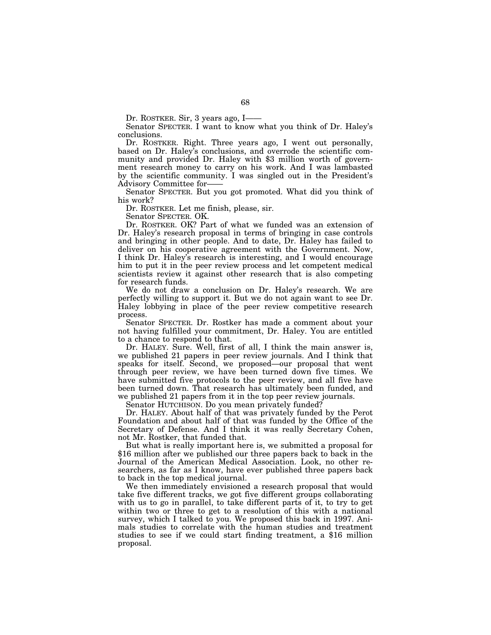Dr. ROSTKER. Sir, 3 years ago, I-

Senator SPECTER. I want to know what you think of Dr. Haley's conclusions.

Dr. ROSTKER. Right. Three years ago, I went out personally, based on Dr. Haley's conclusions, and overrode the scientific community and provided Dr. Haley with \$3 million worth of government research money to carry on his work. And I was lambasted by the scientific community. I was singled out in the President's Advisory Committee for——

Senator SPECTER. But you got promoted. What did you think of his work?

Dr. ROSTKER. Let me finish, please, sir.

Senator SPECTER. OK.

Dr. ROSTKER. OK? Part of what we funded was an extension of Dr. Haley's research proposal in terms of bringing in case controls and bringing in other people. And to date, Dr. Haley has failed to deliver on his cooperative agreement with the Government. Now, I think Dr. Haley's research is interesting, and I would encourage him to put it in the peer review process and let competent medical scientists review it against other research that is also competing for research funds.

We do not draw a conclusion on Dr. Haley's research. We are perfectly willing to support it. But we do not again want to see Dr. Haley lobbying in place of the peer review competitive research process.

Senator SPECTER. Dr. Rostker has made a comment about your not having fulfilled your commitment, Dr. Haley. You are entitled to a chance to respond to that.

Dr. HALEY. Sure. Well, first of all, I think the main answer is, we published 21 papers in peer review journals. And I think that speaks for itself. Second, we proposed—our proposal that went through peer review, we have been turned down five times. We have submitted five protocols to the peer review, and all five have been turned down. That research has ultimately been funded, and we published 21 papers from it in the top peer review journals.

Senator HUTCHISON. Do you mean privately funded?

Dr. HALEY. About half of that was privately funded by the Perot Foundation and about half of that was funded by the Office of the Secretary of Defense. And I think it was really Secretary Cohen, not Mr. Rostker, that funded that.

But what is really important here is, we submitted a proposal for \$16 million after we published our three papers back to back in the Journal of the American Medical Association. Look, no other researchers, as far as I know, have ever published three papers back to back in the top medical journal.

We then immediately envisioned a research proposal that would take five different tracks, we got five different groups collaborating with us to go in parallel, to take different parts of it, to try to get within two or three to get to a resolution of this with a national survey, which I talked to you. We proposed this back in 1997. Animals studies to correlate with the human studies and treatment studies to see if we could start finding treatment, a \$16 million proposal.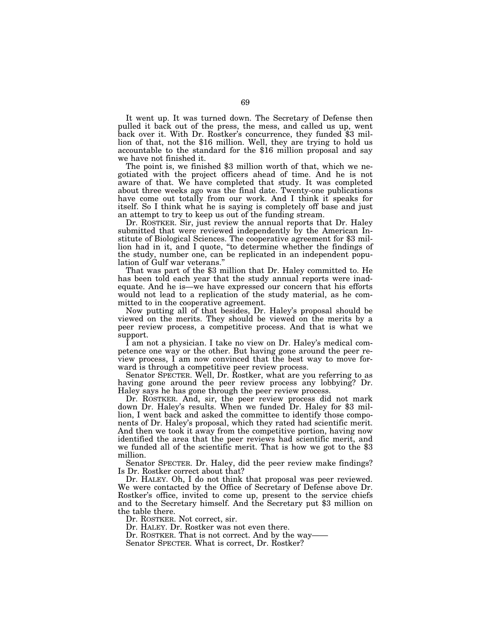It went up. It was turned down. The Secretary of Defense then pulled it back out of the press, the mess, and called us up, went lion of that, not the \$16 million. Well, they are trying to hold us accountable to the standard for the \$16 million proposal and say we have not finished it.

The point is, we finished \$3 million worth of that, which we negotiated with the project officers ahead of time. And he is not aware of that. We have completed that study. It was completed about three weeks ago was the final date. Twenty-one publications have come out totally from our work. And I think it speaks for itself. So I think what he is saying is completely off base and just an attempt to try to keep us out of the funding stream.

Dr. ROSTKER. Sir, just review the annual reports that Dr. Haley submitted that were reviewed independently by the American Institute of Biological Sciences. The cooperative agreement for \$3 million had in it, and I quote, ''to determine whether the findings of the study, number one, can be replicated in an independent population of Gulf war veterans.'' That was part of the \$3 million that Dr. Haley committed to. He

has been told each year that the study annual reports were inadequate. And he is—we have expressed our concern that his efforts would not lead to a replication of the study material, as he committed to in the cooperative agreement.

Now putting all of that besides, Dr. Haley's proposal should be viewed on the merits. They should be viewed on the merits by a peer review process, a competitive process. And that is what we support.

I am not a physician. I take no view on Dr. Haley's medical competence one way or the other. But having gone around the peer review process, I am now convinced that the best way to move forward is through a competitive peer review process.

Senator SPECTER. Well, Dr. Rostker, what are you referring to as having gone around the peer review process any lobbying? Dr. Haley says he has gone through the peer review process.

Dr. ROSTKER. And, sir, the peer review process did not mark down Dr. Haley's results. When we funded Dr. Haley for \$3 million, I went back and asked the committee to identify those components of Dr. Haley's proposal, which they rated had scientific merit. And then we took it away from the competitive portion, having now identified the area that the peer reviews had scientific merit, and we funded all of the scientific merit. That is how we got to the \$3 million.

Senator SPECTER. Dr. Haley, did the peer review make findings? Is Dr. Rostker correct about that?

Dr. HALEY. Oh, I do not think that proposal was peer reviewed. We were contacted by the Office of Secretary of Defense above Dr. Rostker's office, invited to come up, present to the service chiefs and to the Secretary himself. And the Secretary put \$3 million on the table there.

Dr. ROSTKER. Not correct, sir.

Dr. HALEY. Dr. Rostker was not even there.

Dr. ROSTKER. That is not correct. And by the way-

Senator SPECTER. What is correct, Dr. Rostker?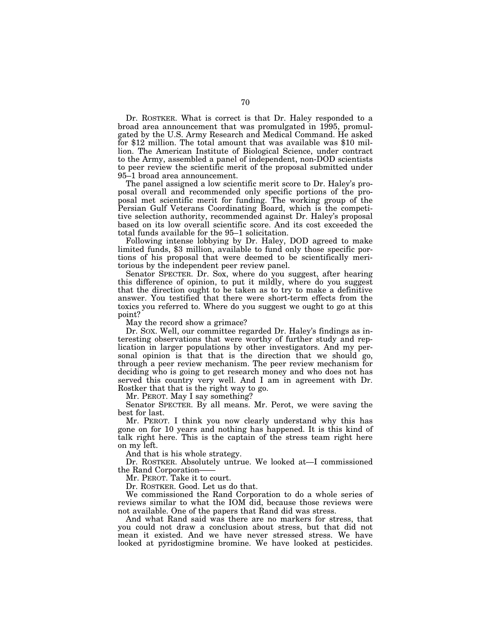Dr. ROSTKER. What is correct is that Dr. Haley responded to a broad area announcement that was promulgated in 1995, promulgated by the U.S. Army Research and Medical Command. He asked for \$12 million. The total amount that was available was \$10 million. The American Institute of Biological Science, under contract to the Army, assembled a panel of independent, non-DOD scientists to peer review the scientific merit of the proposal submitted under 95–1 broad area announcement.

The panel assigned a low scientific merit score to Dr. Haley's proposal overall and recommended only specific portions of the proposal met scientific merit for funding. The working group of the Persian Gulf Veterans Coordinating Board, which is the competitive selection authority, recommended against Dr. Haley's proposal based on its low overall scientific score. And its cost exceeded the total funds available for the 95–1 solicitation.

Following intense lobbying by Dr. Haley, DOD agreed to make limited funds, \$3 million, available to fund only those specific portions of his proposal that were deemed to be scientifically meritorious by the independent peer review panel.

Senator SPECTER. Dr. Sox, where do you suggest, after hearing this difference of opinion, to put it mildly, where do you suggest that the direction ought to be taken as to try to make a definitive answer. You testified that there were short-term effects from the toxics you referred to. Where do you suggest we ought to go at this point?

May the record show a grimace?

Dr. SOX. Well, our committee regarded Dr. Haley's findings as interesting observations that were worthy of further study and replication in larger populations by other investigators. And my personal opinion is that that is the direction that we should go, through a peer review mechanism. The peer review mechanism for deciding who is going to get research money and who does not has served this country very well. And I am in agreement with Dr. Rostker that that is the right way to go.

Mr. PEROT. May I say something?

Senator SPECTER. By all means. Mr. Perot, we were saving the best for last.

Mr. PEROT. I think you now clearly understand why this has gone on for 10 years and nothing has happened. It is this kind of talk right here. This is the captain of the stress team right here on my left.

And that is his whole strategy.

Dr. ROSTKER. Absolutely untrue. We looked at—I commissioned the Rand Corporation-

Mr. PEROT. Take it to court.

Dr. ROSTKER. Good. Let us do that.

We commissioned the Rand Corporation to do a whole series of reviews similar to what the IOM did, because those reviews were not available. One of the papers that Rand did was stress.

And what Rand said was there are no markers for stress, that you could not draw a conclusion about stress, but that did not mean it existed. And we have never stressed stress. We have looked at pyridostigmine bromine. We have looked at pesticides.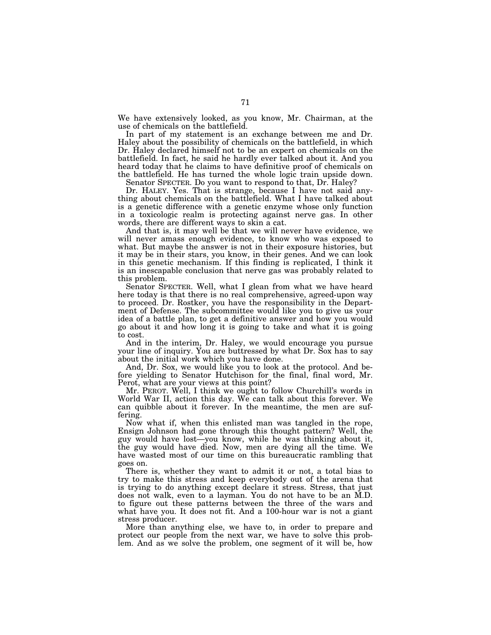We have extensively looked, as you know, Mr. Chairman, at the use of chemicals on the battlefield.

In part of my statement is an exchange between me and Dr. Haley about the possibility of chemicals on the battlefield, in which Dr. Haley declared himself not to be an expert on chemicals on the battlefield. In fact, he said he hardly ever talked about it. And you heard today that he claims to have definitive proof of chemicals on the battlefield. He has turned the whole logic train upside down.

Senator SPECTER. Do you want to respond to that, Dr. Haley?

Dr. HALEY. Yes. That is strange, because I have not said anything about chemicals on the battlefield. What I have talked about is a genetic difference with a genetic enzyme whose only function in a toxicologic realm is protecting against nerve gas. In other words, there are different ways to skin a cat.

And that is, it may well be that we will never have evidence, we will never amass enough evidence, to know who was exposed to what. But maybe the answer is not in their exposure histories, but it may be in their stars, you know, in their genes. And we can look in this genetic mechanism. If this finding is replicated, I think it is an inescapable conclusion that nerve gas was probably related to this problem.

Senator SPECTER. Well, what I glean from what we have heard here today is that there is no real comprehensive, agreed-upon way to proceed. Dr. Rostker, you have the responsibility in the Department of Defense. The subcommittee would like you to give us your idea of a battle plan, to get a definitive answer and how you would go about it and how long it is going to take and what it is going to cost.

And in the interim, Dr. Haley, we would encourage you pursue your line of inquiry. You are buttressed by what Dr. Sox has to say about the initial work which you have done.

And, Dr. Sox, we would like you to look at the protocol. And before yielding to Senator Hutchison for the final, final word, Mr. Perot, what are your views at this point?

Mr. PEROT. Well, I think we ought to follow Churchill's words in World War II, action this day. We can talk about this forever. We can quibble about it forever. In the meantime, the men are suffering.

Now what if, when this enlisted man was tangled in the rope, Ensign Johnson had gone through this thought pattern? Well, the guy would have lost—you know, while he was thinking about it, the guy would have died. Now, men are dying all the time. We have wasted most of our time on this bureaucratic rambling that goes on.

There is, whether they want to admit it or not, a total bias to try to make this stress and keep everybody out of the arena that is trying to do anything except declare it stress. Stress, that just does not walk, even to a layman. You do not have to be an M.D. to figure out these patterns between the three of the wars and what have you. It does not fit. And a 100-hour war is not a giant stress producer.

More than anything else, we have to, in order to prepare and protect our people from the next war, we have to solve this problem. And as we solve the problem, one segment of it will be, how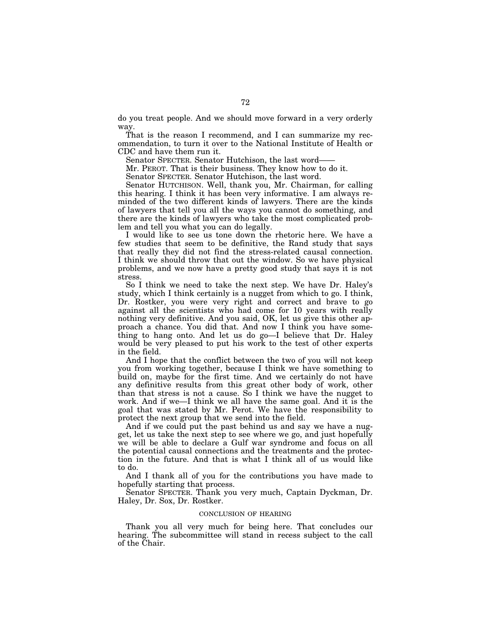do you treat people. And we should move forward in a very orderly way.

That is the reason I recommend, and I can summarize my recommendation, to turn it over to the National Institute of Health or CDC and have them run it.

Senator SPECTER. Senator Hutchison, the last word——

Mr. PEROT. That is their business. They know how to do it.

Senator SPECTER. Senator Hutchison, the last word.

Senator HUTCHISON. Well, thank you, Mr. Chairman, for calling this hearing. I think it has been very informative. I am always reminded of the two different kinds of lawyers. There are the kinds of lawyers that tell you all the ways you cannot do something, and there are the kinds of lawyers who take the most complicated problem and tell you what you can do legally.

I would like to see us tone down the rhetoric here. We have a few studies that seem to be definitive, the Rand study that says that really they did not find the stress-related causal connection. I think we should throw that out the window. So we have physical problems, and we now have a pretty good study that says it is not stress.

So I think we need to take the next step. We have Dr. Haley's study, which I think certainly is a nugget from which to go. I think, Dr. Rostker, you were very right and correct and brave to go against all the scientists who had come for 10 years with really nothing very definitive. And you said, OK, let us give this other approach a chance. You did that. And now I think you have something to hang onto. And let us do go—I believe that Dr. Haley would be very pleased to put his work to the test of other experts in the field.

And I hope that the conflict between the two of you will not keep you from working together, because I think we have something to build on, maybe for the first time. And we certainly do not have any definitive results from this great other body of work, other than that stress is not a cause. So I think we have the nugget to work. And if we—I think we all have the same goal. And it is the goal that was stated by Mr. Perot. We have the responsibility to protect the next group that we send into the field.

And if we could put the past behind us and say we have a nugget, let us take the next step to see where we go, and just hopefully we will be able to declare a Gulf war syndrome and focus on all the potential causal connections and the treatments and the protection in the future. And that is what I think all of us would like to do.

And I thank all of you for the contributions you have made to hopefully starting that process.

Senator SPECTER. Thank you very much, Captain Dyckman, Dr. Haley, Dr. Sox, Dr. Rostker.

## CONCLUSION OF HEARING

Thank you all very much for being here. That concludes our hearing. The subcommittee will stand in recess subject to the call of the Chair.